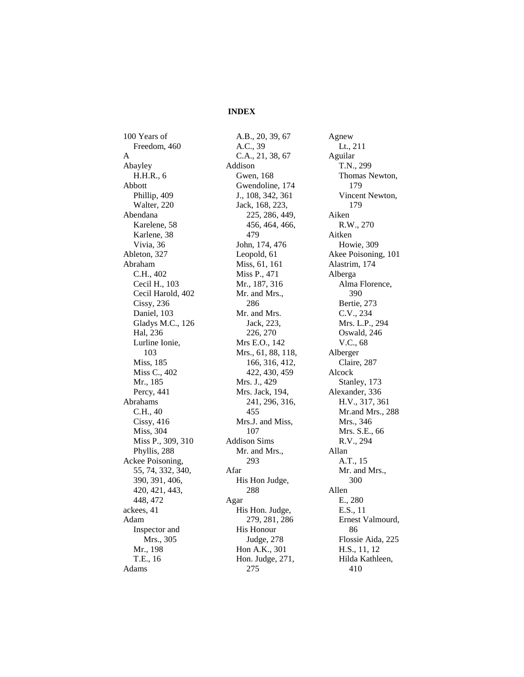## **INDEX**

100 Years of Freedom, 460 A Abayley H.H.R., 6 Abbott Phillip, 409 Walter, 220 Abendana Karelene, 58 Karlene, 38 Vivia, 36 Ableton, 327 Abraham C.H., 402 Cecil H., 103 Cecil Harold, 402 Cissy, 236 Daniel, 103 Gladys M.C., 126 Hal, 236 Lurline Ionie, 103 Miss, 185 Miss C., 402 Mr., 185 Percy, 441 Abrahams C.H., 40 Cissy, 416 Miss, 304 Miss P., 309, 310 Phyllis, 288 Ackee Poisoning, 55, 74, 332, 340, 390, 391, 406, 420, 421, 443, 448, 472 ackees, 41 Adam Inspector and Mrs., 305 Mr., 198 T.E., 16 Adams

A.B., 20, 39, 67 A.C., 39 C.A., 21, 38, 67 Addison Gwen, 168 Gwendoline, 174 J., 108, 342, 361 Jack, 168, 223, 225, 286, 449, 456, 464, 466, 479 John, 174, 476 Leopold, 61 Miss, 61, 161 Miss P., 471 Mr., 187, 316 Mr. and Mrs., 286 Mr. and Mrs. Jack, 223, 226, 270 Mrs E.O., 142 Mrs., 61, 88, 118, 166, 316, 412, 422, 430, 459 Mrs. J., 429 Mrs. Jack, 194, 241, 296, 316, 455 Mrs.J. and Miss, 107 Addison Sims Mr. and Mrs., 293 Afar His Hon Judge, 288 Agar His Hon. Judge, 279, 281, 286 His Honour Judge, 278 Hon A.K., 301 Hon. Judge, 271, 275

Agnew Lt., 211 Aguilar T.N., 299 Thomas Newton, 179 Vincent Newton, 179 Aiken R.W., 270 Aitken Howie, 309 Akee Poisoning, 101 Alastrim, 174 Alberga Alma Florence, 390 Bertie, 273 C.V., 234 Mrs. L.P., 294 Oswald, 246 V.C., 68 Alberger Claire, 287 Alcock Stanley, 173 Alexander, 336 H.V., 317, 361 Mr.and Mrs., 288 Mrs., 346 Mrs. S.E., 66 R.V., 294 Allan A.T., 15 Mr. and Mrs., 300 Allen E., 280 E.S., 11 Ernest Valmourd, 86 Flossie Aida, 225 H.S., 11, 12 Hilda Kathleen, 410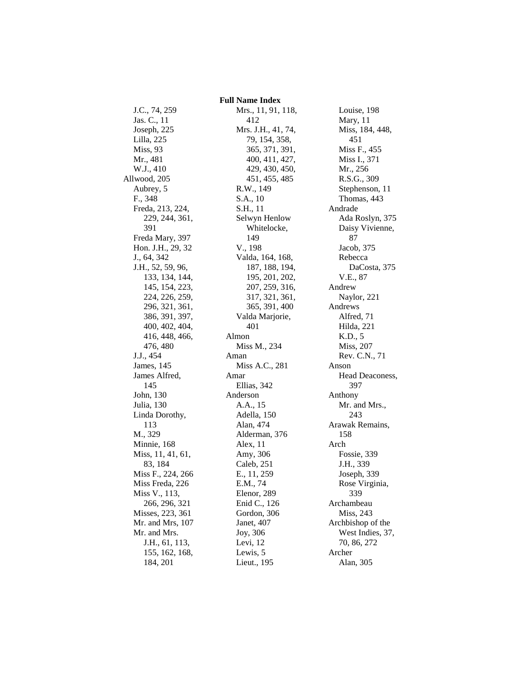J.C., 74, 259 Jas. C., 11 Joseph, 225 Lilla, 225 Miss, 93 Mr., 481 W.J., 410 Allwood, 205 Aubrey, 5 F., 348 Freda, 213, 224, 229, 244, 361, 391 Freda Mary, 397 Hon. J.H., 29, 32 J., 64, 342 J.H., 52, 59, 96, 133, 134, 144, 145, 154, 223, 224, 226, 259, 296, 321, 361, 386, 391, 397, 400, 402, 404, 416, 448, 466, 476, 480 J.J., 454 James, 145 James Alfred, 145 John, 130 Julia, 130 Linda Dorothy, 113 M., 329 Minnie, 168 Miss, 11, 41, 61, 83, 184 Miss F., 224, 266 Miss Freda, 226 Miss V., 113, 266, 296, 321 Misses, 223, 361 Mr. and Mrs, 107 Mr. and Mrs. J.H., 61, 113, 155, 162, 168, 184, 201

 **Full Name Index** Mrs., 11, 91, 118, 412 Mrs. J.H., 41, 74, 79, 154, 358, 365, 371, 391, 400, 411, 427, 429, 430, 450, 451, 455, 485 R.W., 149 S.A., 10 S.H., 11 Selwyn Henlow Whitelocke, 149 V., 198 Valda, 164, 168, 187, 188, 194, 195, 201, 202, 207, 259, 316, 317, 321, 361, 365, 391, 400 Valda Marjorie, 401 Almon Miss M., 234 Aman Miss A.C., 281 Amar Ellias, 342 Anderson A.A., 15 Adella, 150 Alan, 474 Alderman, 376 Alex, 11 Amy, 306 Caleb, 251 E., 11, 259 E.M., 74 Elenor, 289 Enid C., 126 Gordon, 306 Janet, 407 Joy, 306 Levi, 12 Lewis, 5 Lieut., 195

Louise, 198 Mary, 11 Miss, 184, 448, 451 Miss F., 455 Miss I., 371 Mr., 256 R.S.G., 309 Stephenson, 11 Thomas, 443 Andrade Ada Roslyn, 375 Daisy Vivienne, 87 Jacob, 375 Rebecca DaCosta, 375 V.E., 87 Andrew Naylor, 221 Andrews Alfred, 71 Hilda, 221 K.D., 5 Miss, 207 Rev. C.N., 71 Anson Head Deaconess, 397 Anthony Mr. and Mrs., 243 Arawak Remains, 158 Arch Fossie, 339 J.H., 339 Joseph, 339 Rose Virginia, 339 Archambeau Miss, 243 Archbishop of the West Indies, 37, 70, 86, 272 Archer Alan, 305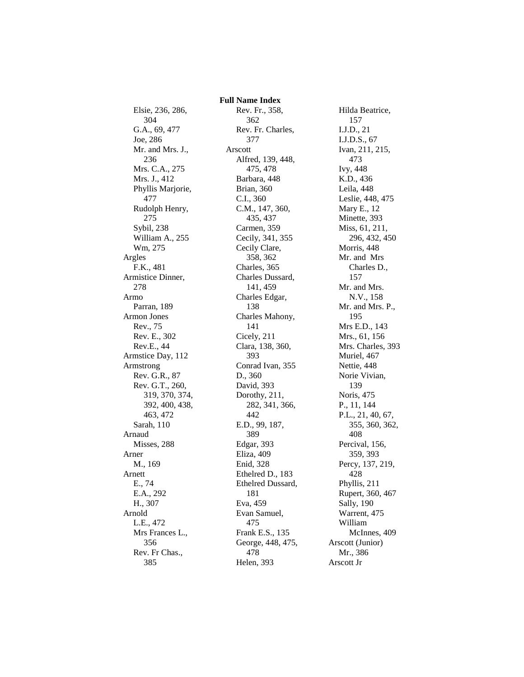Elsie, 236, 286, 304 G.A., 69, 477 Joe, 286 Mr. and Mrs. J., 236 Mrs. C.A., 275 Mrs. J., 412 Phyllis Marjorie, 477 Rudolph Henry, 275 Sybil, 238 William A., 255 Wm, 275 Argles F.K., 481 Armistice Dinner, 278 Armo Parran, 189 Armon Jones Rev., 75 Rev. E., 302 Rev.E., 44 Armstice Day, 112 Armstrong Rev. G.R., 87 Rev. G.T., 260, 319, 370, 374, 392, 400, 438, 463, 472 Sarah, 110 Arnaud Misses, 288 Arner M., 169 Arnett E., 74 E.A., 292 H., 307 Arnold L.E., 472 Mrs Frances L., 356 Rev. Fr Chas., 385

 **Full Name Index** Rev. Fr., 358, 362 Rev. Fr. Charles, 377 Arscott Alfred, 139, 448, 475, 478 Barbara, 448 Brian, 360 C.I., 360 C.M., 147, 360, 435, 437 Carmen, 359 Cecily, 341, 355 Cecily Clare, 358, 362 Charles, 365 Charles Dussard, 141, 459 Charles Edgar, 138 Charles Mahony, 141 Cicely, 211 Clara, 138, 360, 393 Conrad Ivan, 355 D., 360 David, 393 Dorothy, 211, 282, 341, 366, 442 E.D., 99, 187, 389 Edgar, 393 Eliza, 409 Enid, 328 Ethelred D., 183 Ethelred Dussard, 181 Eva, 459 Evan Samuel, 475 Frank E.S., 135 George, 448, 475, 478 Helen, 393

Hilda Beatrice, 157 I.J.D., 21 I.J.D.S., 67 Ivan, 211, 215, 473 Ivy, 448 K.D., 436 Leila, 448 Leslie, 448, 475 Mary E., 12 Minette, 393 Miss, 61, 211, 296, 432, 450 Morris, 448 Mr. and Mrs Charles D., 157 Mr. and Mrs. N.V., 158 Mr. and Mrs. P., 195 Mrs E.D., 143 Mrs., 61, 156 Mrs. Charles, 393 Muriel, 467 Nettie, 448 Norie Vivian, 139 Noris, 475 P., 11, 144 P.L., 21, 40, 67, 355, 360, 362, 408 Percival, 156, 359, 393 Percy, 137, 219, 428 Phyllis, 211 Rupert, 360, 467 Sally, 190 Warrent, 475 William McInnes, 409 Arscott (Junior) Mr., 386 Arscott Jr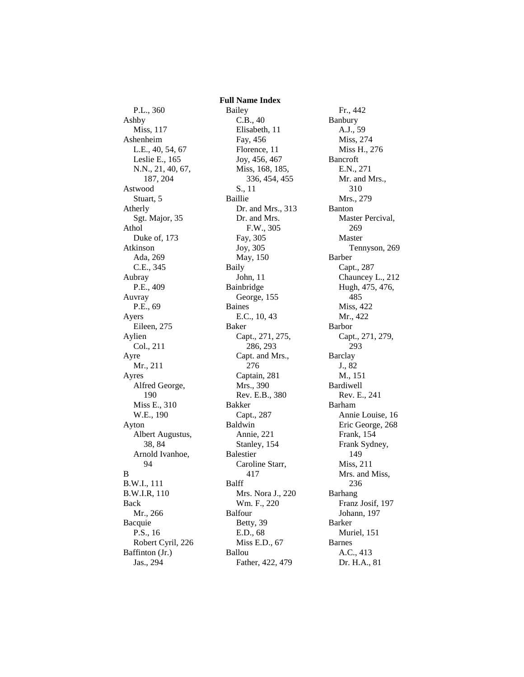P.L., 360 Ashby Miss, 117 Ashenheim L.E., 40, 54, 67 Leslie E., 165 N.N., 21, 40, 67, 187, 204 Astwood Stuart, 5 Atherly Sgt. Major, 35 Athol Duke of, 173 Atkinson Ada, 269 C.E., 345 Aubray P.E., 409 Auvray P.E., 69 Ayers Eileen, 275 Aylien Col., 211 Ayre Mr., 211 Ayres Alfred George, 190 Miss E., 310 W.E., 190 Ayton Albert Augustus, 38, 84 Arnold Ivanhoe, 94 B B.W.I., 111 B.W.I.R, 110 Back Mr., 266 Bacquie P.S., 16 Robert Cyril, 226 Baffinton (Jr.) Jas., 294

 **Full Name Index** Bailey C.B., 40 Elisabeth, 11 Fay, 456 Florence, 11 Joy, 456, 467 Miss, 168, 185, 336, 454, 455 S., 11 Baillie Dr. and Mrs., 313 Dr. and Mrs. F.W., 305 Fay, 305 Joy, 305 May, 150 Baily John, 11 Bainbridge George, 155 Baines E.C., 10, 43 Baker Capt., 271, 275, 286, 293 Capt. and Mrs., 276 Captain, 281 Mrs., 390 Rev. E.B., 380 Bakker Capt., 287 Baldwin Annie, 221 Stanley, 154 Balestier Caroline Starr, 417 Balff Mrs. Nora J., 220 Wm. F., 220 Balfour Betty, 39 E.D., 68 Miss E.D., 67 Ballou Father, 422, 479

Fr., 442 Banbury A.J., 59 Miss, 274 Miss H., 276 Bancroft E.N., 271 Mr. and Mrs., 310 Mrs., 279 Banton Master Percival, 269 Master Tennyson, 269 Barber Capt., 287 Chauncey L., 212 Hugh, 475, 476, 485 Miss, 422 Mr., 422 Barbor Capt., 271, 279, 293 Barclay J., 82 M., 151 Bardiwell Rev. E., 241 Barham Annie Louise, 16 Eric George, 268 Frank, 154 Frank Sydney, 149 Miss, 211 Mrs. and Miss, 236 Barhang Franz Josif, 197 Johann, 197 Barker Muriel, 151 Barnes A.C., 413 Dr. H.A., 81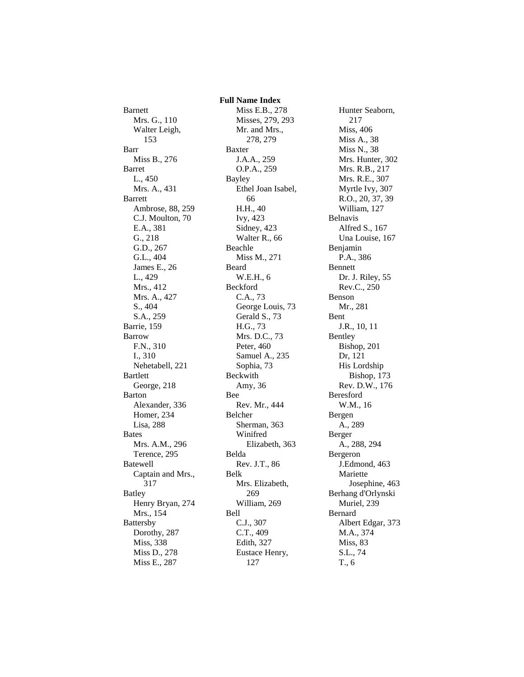Barnett Mrs. G., 110 Walter Leigh, 153 Barr Miss B., 276 Barret L., 450 Mrs. A., 431 Barrett Ambrose, 88, 259 C.J. Moulton, 70 E.A., 381 G., 218 G.D., 267 G.L., 404 James E., 26 L., 429 Mrs., 412 Mrs. A., 427 S., 404 S.A., 259 Barrie, 159 Barrow F.N., 310 I., 310 Nehetabell, 221 Bartlett George, 218 Barton Alexander, 336 Homer, 234 Lisa, 288 Bates Mrs. A.M., 296 Terence, 295 Batewell Captain and Mrs., 317 Batley Henry Bryan, 274 Mrs., 154 Battersby Dorothy, 287 Miss, 338 Miss D., 278 Miss E., 287

 **Full Name Index** Miss E.B., 278 Misses, 279, 293 Mr. and Mrs., 278, 279 Baxter J.A.A., 259 O.P.A., 259 Bayley Ethel Joan Isabel, 66 H.H., 40 Ivy, 423 Sidney, 423 Walter R., 66 Beachle Miss M., 271 Beard W.E.H., 6 Beckford C.A., 73 George Louis, 73 Gerald S., 73 H.G., 73 Mrs. D.C., 73 Peter, 460 Samuel A., 235 Sophia, 73 Beckwith Amy, 36 Bee Rev. Mr., 444 Belcher Sherman, 363 Winifred Elizabeth, 363 Belda Rev. J.T., 86 Belk Mrs. Elizabeth, 269 William, 269 Bell C.J., 307 C.T., 409 Edith, 327 Eustace Henry, 127

Hunter Seaborn, 217 Miss, 406 Miss A., 38 Miss N., 38 Mrs. Hunter, 302 Mrs. R.B., 217 Mrs. R.E., 307 Myrtle Ivy, 307 R.O., 20, 37, 39 William, 127 Belnavis Alfred S., 167 Una Louise, 167 Benjamin P.A., 386 Bennett Dr. J. Riley, 55 Rev.C., 250 Benson Mr., 281 Bent J.R., 10, 11 Bentley Bishop, 201 Dr, 121 His Lordship Bishop, 173 Rev. D.W., 176 Beresford W.M., 16 Bergen A., 289 Berger A., 288, 294 Bergeron J.Edmond, 463 Mariette Josephine, 463 Berhang d'Orlynski Muriel, 239 Bernard Albert Edgar, 373 M.A., 374 Miss, 83 S.L., 74 T., 6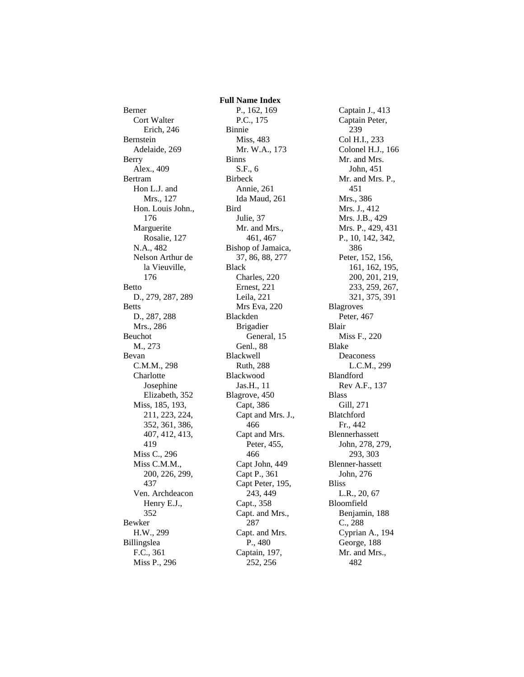Berner Cort Walter Erich, 246 Bernstein Adelaide, 269 Berry Alex., 409 Bertram Hon L.J. and Mrs., 127 Hon. Louis John., 176 Marguerite Rosalie, 127 N.A., 482 Nelson Arthur de la Vieuville, 176 Betto D., 279, 287, 289 Betts D., 287, 288 Mrs., 286 Beuchot M., 273 Bevan C.M.M., 298 Charlotte Josephine Elizabeth, 352 Miss, 185, 193, 211, 223, 224, 352, 361, 386, 407, 412, 413, 419 Miss C., 296 Miss C.M.M., 200, 226, 299, 437 Ven. Archdeacon Henry E.J., 352 Bewker H.W., 299 Billingslea F.C., 361 Miss P., 296

 **Full Name Index** P., 162, 169 P.C., 175 Binnie Miss, 483 Mr. W.A., 173 Binns S.F., 6 Birbeck Annie, 261 Ida Maud, 261 Bird Julie, 37 Mr. and Mrs., 461, 467 Bishop of Jamaica, 37, 86, 88, 277 Black Charles, 220 Ernest, 221 Leila, 221 Mrs Eva, 220 Blackden Brigadier General, 15 Genl., 88 Blackwell Ruth, 288 Blackwood Jas.H., 11 Blagrove, 450 Capt, 386 Capt and Mrs. J., 466 Capt and Mrs. Peter, 455, 466 Capt John, 449 Capt P., 361 Capt Peter, 195, 243, 449 Capt., 358 Capt. and Mrs., 287 Capt. and Mrs. P., 480 Captain, 197, 252, 256

Captain J., 413 Captain Peter, 239 Col H.I., 233 Colonel H.J., 166 Mr. and Mrs. John, 451 Mr. and Mrs. P., 451 Mrs., 386 Mrs. J., 412 Mrs. J.B., 429 Mrs. P., 429, 431 P., 10, 142, 342, 386 Peter, 152, 156, 161, 162, 195, 200, 201, 219, 233, 259, 267, 321, 375, 391 Blagroves Peter, 467 Blair Miss F., 220 Blake Deaconess L.C.M., 299 Blandford Rev A.F., 137 Blass Gill, 271 Blatchford Fr., 442 Blennerhassett John, 278, 279, 293, 303 Blenner-hassett John, 276 Bliss L.R., 20, 67 Bloomfield Benjamin, 188 C., 288 Cyprian A., 194 George, 188 Mr. and Mrs., 482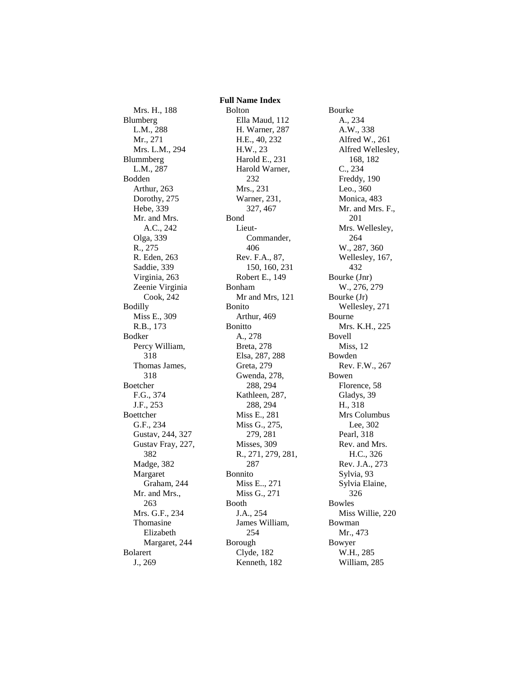Mrs. H., 188 Blumberg L.M., 288 Mr., 271 Mrs. L.M., 294 Blummberg L.M., 287 Bodden Arthur, 263 Dorothy, 275 Hebe, 339 Mr. and Mrs. A.C., 242 Olga, 339 R., 275 R. Eden, 263 Saddie, 339 Virginia, 263 Zeenie Virginia Cook, 242 Bodilly Miss E., 309 R.B., 173 Bodker Percy William, 318 Thomas James, 318 Boetcher F.G., 374 J.F., 253 Boettcher G.F., 234 Gustav, 244, 327 Gustav Fray, 227, 382 Madge, 382 Margaret Graham, 244 Mr. and Mrs., 263 Mrs. G.F., 234 Thomasine Elizabeth Margaret, 244 Bolarert J., 269

 **Full Name Index** Bolton Ella Maud, 112 H. Warner, 287 H.E., 40, 232 H.W., 23 Harold E., 231 Harold Warner, 232 Mrs., 231 Warner, 231, 327, 467 Bond Lieut-Commander, 406 Rev. F.A., 87, 150, 160, 231 Robert E., 149 Bonham Mr and Mrs, 121 Bonito Arthur, 469 Bonitto A., 278 Breta, 278 Elsa, 287, 288 Greta, 279 Gwenda, 278, 288, 294 Kathleen, 287, 288, 294 Miss E., 281 Miss G., 275, 279, 281 Misses, 309 R., 271, 279, 281, 287 Bonnito Miss E.., 271 Miss G., 271 Booth J.A., 254 James William, 254 Borough Clyde, 182 Kenneth, 182

Bourke A., 234 A.W., 338 Alfred W., 261 Alfred Wellesley, 168, 182 C., 234 Freddy, 190 Leo., 360 Monica, 483 Mr. and Mrs. F., 201 Mrs. Wellesley, 264 W., 287, 360 Wellesley, 167, 432 Bourke (Jnr) W., 276, 279 Bourke (Jr) Wellesley, 271 Bourne Mrs. K.H., 225 Bovell Miss, 12 Bowden Rev. F.W., 267 Bowen Florence, 58 Gladys, 39 H., 318 Mrs Columbus Lee, 302 Pearl, 318 Rev. and Mrs. H.C., 326 Rev. J.A., 273 Sylvia, 93 Sylvia Elaine, 326 Bowles Miss Willie, 220 Bowman Mr., 473 Bowyer W.H., 285 William, 285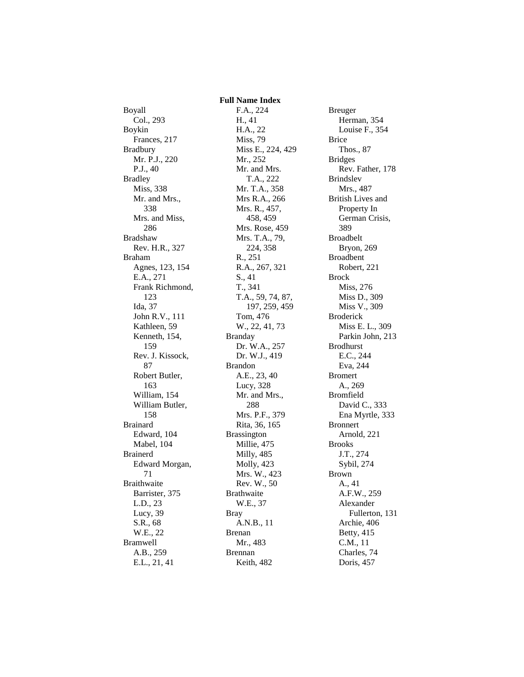Boyall Col., 293 Boykin Frances, 217 Bradbury Mr. P.J., 220 P.J., 40 Bradley Miss, 338 Mr. and Mrs., 338 Mrs. and Miss, 286 Bradshaw Rev. H.R., 327 Braham Agnes, 123, 154 E.A., 271 Frank Richmond, 123 Ida, 37 John R.V., 111 Kathleen, 59 Kenneth, 154, 159 Rev. J. Kissock, 87 Robert Butler, 163 William, 154 William Butler, 158 Brainard Edward, 104 Mabel, 104 Brainerd Edward Morgan, 71 Braithwaite Barrister, 375 L.D., 23 Lucy, 39 S.R., 68 W.E., 22 Bramwell A.B., 259 E.L., 21, 41

F.A., 224 H., 41 H.A., 22 Miss, 79 Miss E., 224, 429 Mr., 252 Mr. and Mrs. T.A., 222 Mr. T.A., 358 Mrs R.A., 266 Mrs. R., 457, 458, 459 Mrs. Rose, 459 Mrs. T.A., 79, 224, 358 R., 251 R.A., 267, 321 S., 41 T., 341 T.A., 59, 74, 87, 197, 259, 459 Tom, 476 W., 22, 41, 73 Branday Dr. W.A., 257 Dr. W.J., 419 Brandon A.E., 23, 40 Lucy, 328 Mr. and Mrs., 288 Mrs. P.F., 379 Rita, 36, 165 Brassington Millie, 475 Milly, 485 Molly, 423 Mrs. W., 423 Rev. W., 50 Brathwaite W.E., 37 Bray A.N.B., 11 Brenan Mr., 483 Brennan Keith, 482

 **Full Name Index**

Breuger Herman, 354 Louise F., 354 Brice Thos., 87 Bridges Rev. Father, 178 Brindslev Mrs., 487 British Lives and Property In German Crisis, 389 Broadbelt Bryon, 269 Broadbent Robert, 221 Brock Miss, 276 Miss D., 309 Miss V., 309 Broderick Miss E. L., 309 Parkin John, 213 Brodhurst E.C., 244 Eva, 244 Bromert A., 269 Bromfield David C., 333 Ena Myrtle, 333 Bronnert Arnold, 221 Brooks J.T., 274 Sybil, 274 Brown A., 41 A.F.W., 259 Alexander Fullerton, 131 Archie, 406 Betty, 415 C.M., 11 Charles, 74 Doris, 457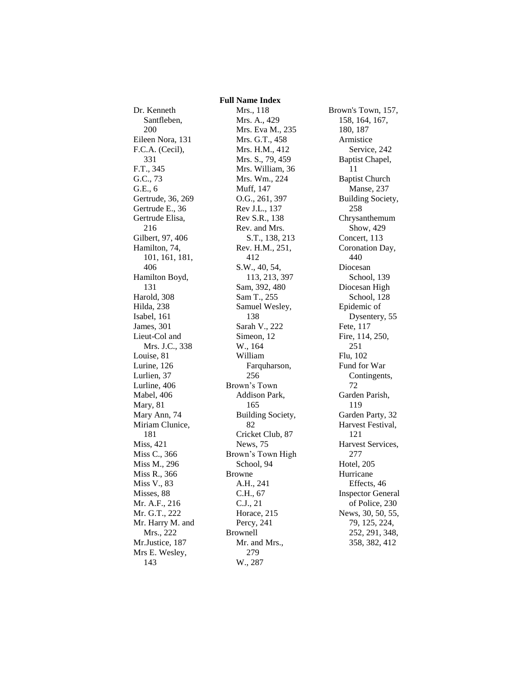## **Full Name Index**

Dr. Kenneth Santfleben, 200 Eileen Nora, 131 F.C.A. (Cecil), 331 F.T., 345 G.C., 73 G.E., 6 Gertrude, 36, 269 Gertrude E., 36 Gertrude Elisa, 216 Gilbert, 97, 406 Hamilton, 74, 101, 161, 181, 406 Hamilton Boyd, 131 Harold, 308 Hilda, 238 Isabel, 161 James, 301 Lieut-Col and Mrs. J.C., 338 Louise, 81 Lurine, 126 Lurlien, 37 Lurline, 406 Mabel, 406 Mary, 81 Mary Ann, 74 Miriam Clunice, 181 Miss, 421 Miss C., 366 Miss M., 296 Miss R., 366 Miss V., 83 Misses, 88 Mr. A.F., 216 Mr. G.T., 222 Mr. Harry M. and Mrs., 222 Mr.Justice, 187 Mrs E. Wesley, 143

Mrs., 118 Mrs. A., 429 Mrs. Eva M., 235 Mrs. G.T., 458 Mrs. H.M., 412 Mrs. S., 79, 459 Mrs. William, 36 Mrs. Wm., 224 Muff, 147 O.G., 261, 397 Rev J.L., 137 Rev S.R., 138 Rev. and Mrs. S.T., 138, 213 Rev. H.M., 251, 412 S.W., 40, 54, 113, 213, 397 Sam, 392, 480 Sam T., 255 Samuel Wesley, 138 Sarah V., 222 Simeon, 12 W., 164 William Farquharson, 256 Brown's Town Addison Park, 165 Building Society, 82 Cricket Club, 87 News, 75 Brown's Town High School, 94 Browne A.H., 241 C.H., 67 C.J., 21 Horace, 215 Percy, 241 Brownell Mr. and Mrs., 279 W., 287

Brown's Town, 157, 158, 164, 167, 180, 187 Armistice Service, 242 Baptist Chapel, 11 Baptist Church Manse, 237 Building Society, 258 Chrysanthemum Show, 429 Concert, 113 Coronation Day, 440 Diocesan School, 139 Diocesan High School, 128 Epidemic of Dysentery, 55 Fete, 117 Fire, 114, 250, 251 Flu, 102 Fund for War Contingents, 72 Garden Parish, 119 Garden Party, 32 Harvest Festival, 121 Harvest Services, 277 Hotel, 205 Hurricane Effects, 46 Inspector General of Police, 230 News, 30, 50, 55, 79, 125, 224, 252, 291, 348, 358, 382, 412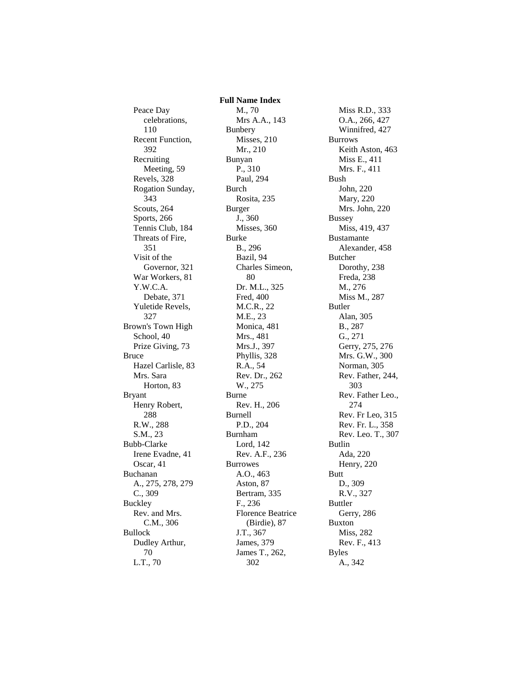Peace Day celebrations, 110 Recent Function, 392 Recruiting Meeting, 59 Revels, 328 Rogation Sunday, 343 Scouts, 264 Sports, 266 Tennis Club, 184 Threats of Fire, 351 Visit of the Governor, 321 War Workers, 81 Y.W.C.A. Debate, 371 Yuletide Revels, 327 Brown's Town High School, 40 Prize Giving, 73 Bruce Hazel Carlisle, 83 Mrs. Sara Horton, 83 Bryant Henry Robert, 288 R.W., 288 S.M., 23 Bubb-Clarke Irene Evadne, 41 Oscar, 41 Buchanan A., 275, 278, 279 C., 309 Buckley Rev. and Mrs. C.M., 306 Bullock Dudley Arthur, 70 L.T., 70

 **Full Name Index** M., 70 Mrs A.A., 143 Bunbery Misses, 210 Mr., 210 Bunyan P., 310 Paul, 294 Burch Rosita, 235 Burger J., 360 Misses, 360 Burke B., 296 Bazil, 94 Charles Simeon, 80 Dr. M.L., 325 Fred, 400 M.C.R., 22 M.E., 23 Monica, 481 Mrs., 481 Mrs.J., 397 Phyllis, 328 R.A., 54 Rev. Dr., 262 W., 275 Burne Rev. H., 206 Burnell P.D., 204 Burnham Lord, 142 Rev. A.F., 236 Burrowes A.O., 463 Aston, 87 Bertram, 335 F., 236 Florence Beatrice (Birdie), 87 J.T., 367 James, 379 James T., 262, 302

Miss R.D., 333 O.A., 266, 427 Winnifred, 427 Burrows Keith Aston, 463 Miss E., 411 Mrs. F., 411 Bush John, 220 Mary, 220 Mrs. John, 220 Bussey Miss, 419, 437 Bustamante Alexander, 458 Butcher Dorothy, 238 Freda, 238 M., 276 Miss M., 287 Butler Alan, 305 B., 287 G., 271 Gerry, 275, 276 Mrs. G.W., 300 Norman, 305 Rev. Father, 244, 303 Rev. Father Leo., 274 Rev. Fr Leo, 315 Rev. Fr. L., 358 Rev. Leo. T., 307 Butlin Ada, 220 Henry, 220 Butt D., 309 R.V., 327 Buttler Gerry, 286 Buxton Miss, 282 Rev. F., 413 Byles A., 342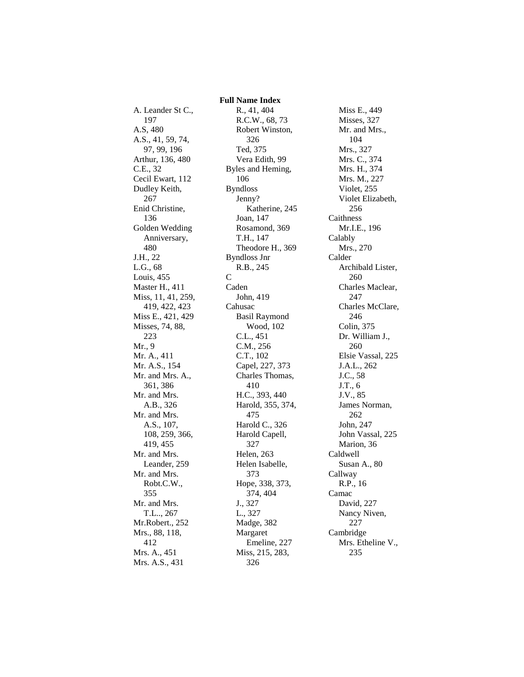A. Leander St C., 197 A.S, 480 A.S., 41, 59, 74, 97, 99, 196 Arthur, 136, 480 C.E., 32 Cecil Ewart, 112 Dudley Keith, 267 Enid Christine, 136 Golden Wedding Anniversary, 480 J.H., 22 L.G., 68 Louis, 455 Master H., 411 Miss, 11, 41, 259, 419, 422, 423 Miss E., 421, 429 Misses, 74, 88, 223 Mr., 9 Mr. A., 411 Mr. A.S., 154 Mr. and Mrs. A., 361, 386 Mr. and Mrs. A.B., 326 Mr. and Mrs. A.S., 107, 108, 259, 366, 419, 455 Mr. and Mrs. Leander, 259 Mr. and Mrs. Robt.C.W., 355 Mr. and Mrs. T.L.., 267 Mr.Robert., 252 Mrs., 88, 118, 412 Mrs. A., 451 Mrs. A.S., 431

 **Full Name Index** R., 41, 404 R.C.W., 68, 73 Robert Winston, 326 Ted, 375 Vera Edith, 99 Byles and Heming, 106 Byndloss Jenny? Katherine, 245 Joan, 147 Rosamond, 369 T.H., 147 Theodore H., 369 Byndloss Jnr R.B., 245 C Caden John, 419 Cahusac Basil Raymond Wood, 102 C.L., 451 C.M., 256 C.T., 102 Capel, 227, 373 Charles Thomas, 410 H.C., 393, 440 Harold, 355, 374, 475 Harold C., 326 Harold Capell, 327 Helen, 263 Helen Isabelle, 373 Hope, 338, 373, 374, 404 J., 327 L., 327 Madge, 382 Margaret Emeline, 227 Miss, 215, 283, 326

Miss E., 449 Misses, 327 Mr. and Mrs., 104 Mrs., 327 Mrs. C., 374 Mrs. H., 374 Mrs. M., 227 Violet, 255 Violet Elizabeth, 256 Caithness Mr.I.E., 196 Calably Mrs., 270 Calder Archibald Lister, 260 Charles Maclear, 247 Charles McClare, 246 Colin, 375 Dr. William J., 260 Elsie Vassal, 225 J.A.L., 262 J.C., 58 J.T., 6 J.V., 85 James Norman, 262 John, 247 John Vassal, 225 Marion, 36 Caldwell Susan A., 80 Callway R.P., 16 Camac David, 227 Nancy Niven, 227 Cambridge Mrs. Etheline V., 235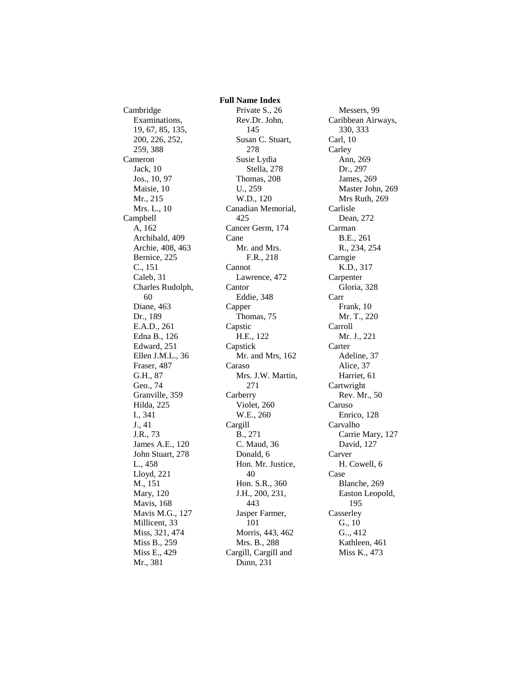Cambridge Examinations, 19, 67, 85, 135, 200, 226, 252, 259, 388 Cameron Jack, 10 Jos., 10, 97 Maisie, 10 Mr., 215 Mrs. L., 10 Campbell A, 162 Archibald, 409 Archie, 408, 463 Bernice, 225 C., 151 Caleb, 31 Charles Rudolph, 60 Diane, 463 Dr., 189 E.A.D., 261 Edna B., 126 Edward, 251 Ellen J.M.L., 36 Fraser, 487 G.H., 87 Geo., 74 Granville, 359 Hilda, 225 I., 341 J., 41 J.R., 73 James A.E., 120 John Stuart, 278 L., 458 Lloyd, 221 M., 151 Mary, 120 Mavis, 168 Mavis M.G., 127 Millicent, 33 Miss, 321, 474 Miss B., 259 Miss E., 429 Mr., 381

 **Full Name Index** Private S., 26 Rev.Dr. John, 145 Susan C. Stuart, 278 Susie Lydia Stella, 278 Thomas, 208 U., 259 W.D., 120 Canadian Memorial, 425 Cancer Germ, 174 Cane Mr. and Mrs. F.R., 218 Cannot Lawrence, 472 Cantor Eddie, 348 Capper Thomas, 75 Capstic H.E., 122 Capstick Mr. and Mrs, 162 Caraso Mrs. J.W. Martin, 271 Carberry Violet, 260 W.E., 260 Cargill B., 271 C. Maud, 36 Donald, 6 Hon. Mr. Justice, 40 Hon. S.R., 360 J.H., 200, 231, 443 Jasper Farmer, 101 Morris, 443, 462 Mrs. B., 288 Cargill, Cargill and Dunn, 231

Messers, 99 Caribbean Airways, 330, 333 Carl, 10 **Carley** Ann, 269 Dr., 297 James, 269 Master John, 269 Mrs Ruth, 269 Carlisle Dean, 272 Carman B.E., 261 R., 234, 254 Carngie K.D., 317 Carpenter Gloria, 328 Carr Frank, 10 Mr. T., 220 Carroll Mr. J., 221 Carter Adeline, 37 Alice, 37 Harriet, 61 Cartwright Rev. Mr., 50 Caruso Enrico, 128 Carvalho Carrie Mary, 127 David, 127 Carver H. Cowell, 6 Case Blanche, 269 Easton Leopold, 195 **Casserley** G., 10 G.., 412 Kathleen, 461 Miss K., 473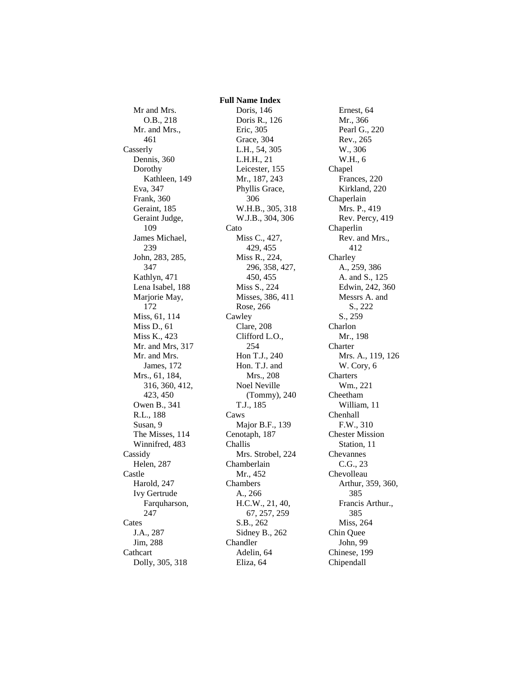Mr and Mrs. O.B., 218 Mr. and Mrs., 461 Casserly Dennis, 360 Dorothy Kathleen, 149 Eva, 347 Frank, 360 Geraint, 185 Geraint Judge, 109 James Michael, 239 John, 283, 285, 347 Kathlyn, 471 Lena Isabel, 188 Marjorie May, 172 Miss, 61, 114 Miss D., 61 Miss K., 423 Mr. and Mrs, 317 Mr. and Mrs. James, 172 Mrs., 61, 184, 316, 360, 412, 423, 450 Owen B., 341 R.L., 188 Susan, 9 The Misses, 114 Winnifred, 483 Cassidy Helen, 287 Castle Harold, 247 Ivy Gertrude Farquharson, 247 Cates J.A., 287 Jim, 288 Cathcart Dolly, 305, 318

 **Full Name Index** Doris, 146 Doris R., 126 Eric, 305 Grace, 304 L.H., 54, 305 L.H.H., 21 Leicester, 155 Mr., 187, 243 Phyllis Grace, 306 W.H.B., 305, 318 W.J.B., 304, 306 Cato Miss C., 427, 429, 455 Miss R., 224, 296, 358, 427, 450, 455 Miss S., 224 Misses, 386, 411 Rose, 266 Cawley Clare, 208 Clifford L.O., 254 Hon T.J., 240 Hon. T.J. and Mrs., 208 Noel Neville (Tommy), 240 T.J., 185 Caws Major B.F., 139 Cenotaph, 187 Challis Mrs. Strobel, 224 Chamberlain Mr., 452 Chambers A., 266 H.C.W., 21, 40, 67, 257, 259 S.B., 262 Sidney B., 262 Chandler Adelin, 64 Eliza, 64

Ernest, 64 Mr., 366 Pearl G., 220 Rev., 265 W., 306 W.H., 6 Chapel Frances, 220 Kirkland, 220 Chaperlain Mrs. P., 419 Rev. Percy, 419 Chaperlin Rev. and Mrs., 412 Charley A., 259, 386 A. and S., 125 Edwin, 242, 360 Messrs A. and S., 222 S., 259 Charlon Mr., 198 **Charter** Mrs. A., 119, 126 W. Cory, 6 Charters Wm., 221 Cheetham William, 11 Chenhall F.W., 310 Chester Mission Station, 11 Chevannes C.G., 23 Chevolleau Arthur, 359, 360, 385 Francis Arthur., 385 Miss, 264 Chin Quee John, 99 Chinese, 199 Chipendall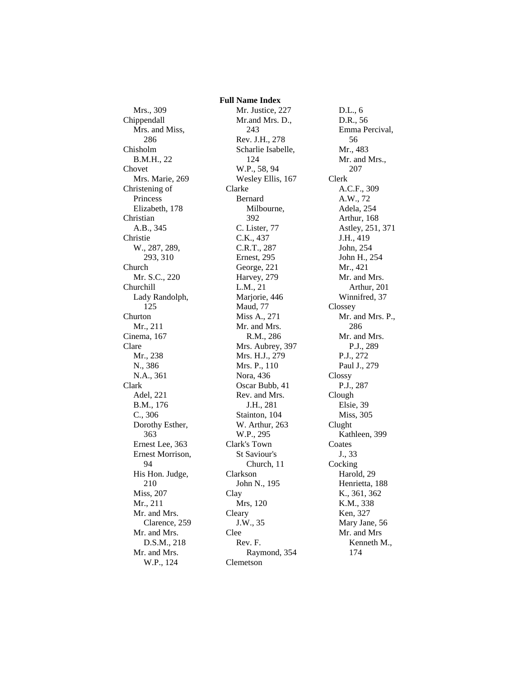Mrs., 309 Chippendall Mrs. and Miss, 286 Chisholm B.M.H., 22 Chovet Mrs. Marie, 269 Christening of Princess Elizabeth, 178 Christian A.B., 345 Christie W., 287, 289, 293, 310 Church Mr. S.C., 220 Churchill Lady Randolph, 125 Churton Mr., 211 Cinema, 167 Clare Mr., 238 N., 386 N.A., 361 Clark Adel, 221 B.M., 176 C., 306 Dorothy Esther, 363 Ernest Lee, 363 Ernest Morrison, 94 His Hon. Judge, 210 Miss, 207 Mr., 211 Mr. and Mrs. Clarence, 259 Mr. and Mrs. D.S.M., 218 Mr. and Mrs. W.P., 124

 **Full Name Index** Mr. Justice, 227 Mr.and Mrs. D., 243 Rev. J.H., 278 Scharlie Isabelle, 124 W.P., 58, 94 Wesley Ellis, 167 Clarke Bernard Milbourne, 392 C. Lister, 77 C.K., 437 C.R.T., 287 Ernest, 295 George, 221 Harvey, 279 L.M., 21 Marjorie, 446 Maud, 77 Miss A., 271 Mr. and Mrs. R.M., 286 Mrs. Aubrey, 397 Mrs. H.J., 279 Mrs. P., 110 Nora, 436 Oscar Bubb, 41 Rev. and Mrs. J.H., 281 Stainton, 104 W. Arthur, 263 W.P., 295 Clark's Town St Saviour's Church, 11 Clarkson John N., 195 Clay Mrs, 120 Cleary J.W., 35 Clee Rev. F. Raymond, 354 Clemetson

D.L., 6 D.R., 56 Emma Percival, 56 Mr., 483 Mr. and Mrs., 207 Clerk A.C.F., 309 A.W., 72 Adela, 254 Arthur, 168 Astley, 251, 371 J.H., 419 John, 254 John H., 254 Mr., 421 Mr. and Mrs. Arthur, 201 Winnifred, 37 Clossey Mr. and Mrs. P., 286 Mr. and Mrs. P.J., 289 P.J., 272 Paul J., 279 Clossy P.J., 287 Clough Elsie, 39 Miss, 305 Clught Kathleen, 399 Coates J., 33 Cocking Harold, 29 Henrietta, 188 K., 361, 362 K.M., 338 Ken, 327 Mary Jane, 56 Mr. and Mrs Kenneth M., 174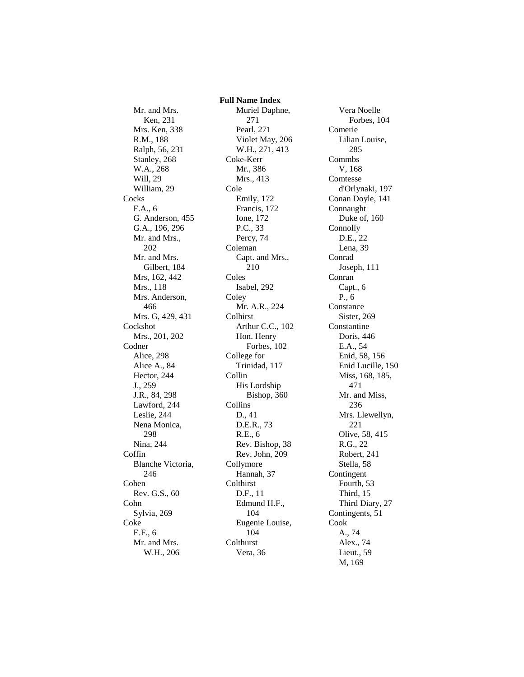Mr. and Mrs. Ken, 231 Mrs. Ken, 338 R.M., 188 Ralph, 56, 231 Stanley, 268 W.A., 268 Will, 29 William, 29 **Cocks** F.A., 6 G. Anderson, 455 G.A., 196, 296 Mr. and Mrs., 202 Mr. and Mrs. Gilbert, 184 Mrs, 162, 442 Mrs., 118 Mrs. Anderson, 466 Mrs. G, 429, 431 Cockshot Mrs., 201, 202 Codner Alice, 298 Alice A., 84 Hector, 244 J., 259 J.R., 84, 298 Lawford, 244 Leslie, 244 Nena Monica, 298 Nina, 244 Coffin Blanche Victoria, 246 Cohen Rev. G.S., 60 Cohn Sylvia, 269 Coke E.F., 6 Mr. and Mrs. W.H., 206

 **Full Name Index** Muriel Daphne, 271 Pearl, 271 Violet May, 206 W.H., 271, 413 Coke-Kerr Mr., 386 Mrs., 413 Cole Emily, 172 Francis, 172 Ione, 172 P.C., 33 Percy, 74 Coleman Capt. and Mrs., 210 Coles Isabel, 292 **Coley** Mr. A.R., 224 Colhirst Arthur C.C., 102 Hon. Henry Forbes, 102 College for Trinidad, 117 Collin His Lordship Bishop, 360 Collins D., 41 D.E.R., 73 R.E., 6 Rev. Bishop, 38 Rev. John, 209 Collymore Hannah, 37 **Colthirst** D.F., 11 Edmund H.F., 104 Eugenie Louise, 104 **Colthurst** Vera, 36

Vera Noelle Forbes, 104 Comerie Lilian Louise, 285 Commbs V, 168 **Comtesse** d'Orlynaki, 197 Conan Doyle, 141 Connaught Duke of, 160 Connolly D.E., 22 Lena, 39 Conrad Joseph, 111 Conran Capt., 6 P., 6 Constance Sister, 269 Constantine Doris, 446 E.A., 54 Enid, 58, 156 Enid Lucille, 150 Miss, 168, 185, 471 Mr. and Miss, 236 Mrs. Llewellyn, 221 Olive, 58, 415 R.G., 22 Robert, 241 Stella, 58 Contingent Fourth, 53 Third, 15 Third Diary, 27 Contingents, 51 Cook A., 74 Alex., 74 Lieut., 59 M, 169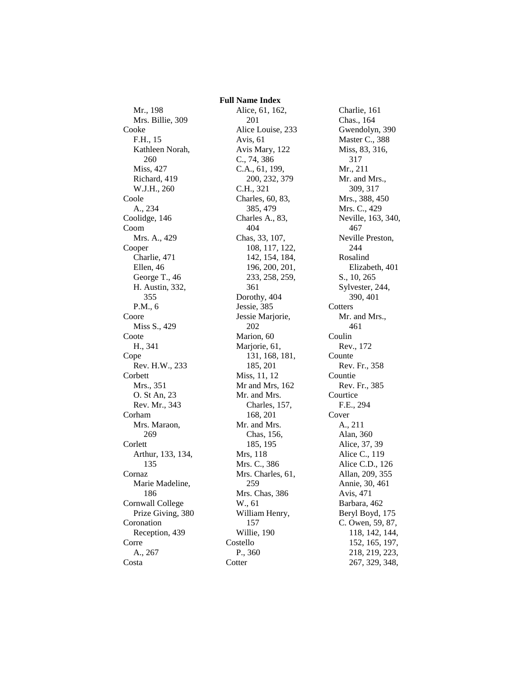Mr., 198 Mrs. Billie, 309 Cooke F.H., 15 Kathleen Norah, 260 Miss, 427 Richard, 419 W.J.H., 260 Coole A., 234 Coolidge, 146 Coom Mrs. A., 429 Cooper Charlie, 471 Ellen, 46 George T., 46 H. Austin, 332, 355 P.M., 6 Coore Miss S., 429 Coote H., 341 Cope Rev. H.W., 233 Corbett Mrs., 351 O. St An, 23 Rev. Mr., 343 Corham Mrs. Maraon, 269 **Corlett** Arthur, 133, 134, 135 Cornaz Marie Madeline, 186 Cornwall College Prize Giving, 380 Coronation Reception, 439 Corre A., 267 Costa

 **Full Name Index** Alice, 61, 162, 201 Alice Louise, 233 Avis, 61 Avis Mary, 122 C., 74, 386 C.A., 61, 199, 200, 232, 379 C.H., 321 Charles, 60, 83, 385, 479 Charles A., 83, 404 Chas, 33, 107, 108, 117, 122, 142, 154, 184, 196, 200, 201, 233, 258, 259, 361 Dorothy, 404 Jessie, 385 Jessie Marjorie, 202 Marion, 60 Marjorie, 61, 131, 168, 181, 185, 201 Miss, 11, 12 Mr and Mrs, 162 Mr. and Mrs. Charles, 157, 168, 201 Mr. and Mrs. Chas, 156, 185, 195 Mrs, 118 Mrs. C., 386 Mrs. Charles, 61, 259 Mrs. Chas, 386 W., 61 William Henry, 157 Willie, 190 Costello P., 360 **Cotter** 

Charlie, 161 Chas., 164 Gwendolyn, 390 Master C., 388 Miss, 83, 316, 317 Mr., 211 Mr. and Mrs., 309, 317 Mrs., 388, 450 Mrs. C., 429 Neville, 163, 340, 467 Neville Preston, 244 Rosalind Elizabeth, 401 S., 10, 265 Sylvester, 244, 390, 401 **Cotters** Mr. and Mrs., 461 Coulin Rev., 172 Counte Rev. Fr., 358 Countie Rev. Fr., 385 **Courtice** F.E., 294 Cover A., 211 Alan, 360 Alice, 37, 39 Alice C., 119 Alice C.D., 126 Allan, 209, 355 Annie, 30, 461 Avis, 471 Barbara, 462 Beryl Boyd, 175 C. Owen, 59, 87, 118, 142, 144, 152, 165, 197, 218, 219, 223, 267, 329, 348,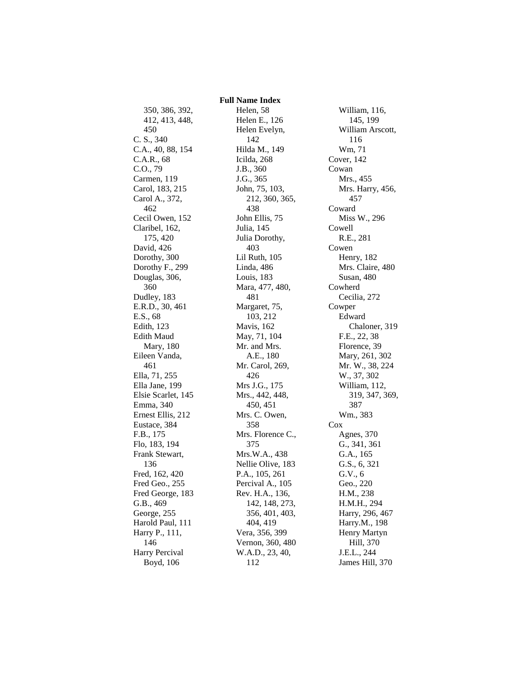350, 386, 392, 412, 413, 448, 450 C. S., 340 C.A., 40, 88, 154 C.A.R., 68 C.O., 79 Carmen, 119 Carol, 183, 215 Carol A., 372, 462 Cecil Owen, 152 Claribel, 162, 175, 420 David, 426 Dorothy, 300 Dorothy F., 299 Douglas, 306, 360 Dudley, 183 E.R.D., 30, 461 E.S., 68 Edith, 123 Edith Maud Mary, 180 Eileen Vanda, 461 Ella, 71, 255 Ella Jane, 199 Elsie Scarlet, 145 Emma, 340 Ernest Ellis, 212 Eustace, 384 F.B., 175 Flo, 183, 194 Frank Stewart, 136 Fred, 162, 420 Fred Geo., 255 Fred George, 183 G.B., 469 George, 255 Harold Paul, 111 Harry P., 111, 146 Harry Percival Boyd, 106

 **Full Name Index** Helen, 58 Helen E., 126 Helen Evelyn, 142 Hilda M., 149 Icilda, 268 J.B., 360 J.G., 365 John, 75, 103, 212, 360, 365, 438 John Ellis, 75 Julia, 145 Julia Dorothy, 403 Lil Ruth, 105 Linda, 486 Louis, 183 Mara, 477, 480, 481 Margaret, 75, 103, 212 Mavis, 162 May, 71, 104 Mr. and Mrs. A.E., 180 Mr. Carol, 269, 426 Mrs J.G., 175 Mrs., 442, 448, 450, 451 Mrs. C. Owen, 358 Mrs. Florence C., 375 Mrs.W.A., 438 Nellie Olive, 183 P.A., 105, 261 Percival A., 105 Rev. H.A., 136, 142, 148, 273, 356, 401, 403, 404, 419 Vera, 356, 399 Vernon, 360, 480 W.A.D., 23, 40, 112

William, 116, 145, 199 William Arscott, 116 Wm, 71 Cover, 142 Cowan Mrs., 455 Mrs. Harry, 456, 457 Coward Miss W., 296 Cowell R.E., 281 Cowen Henry, 182 Mrs. Claire, 480 Susan, 480 Cowherd Cecilia, 272 Cowper Edward Chaloner, 319 F.E., 22, 38 Florence, 39 Mary, 261, 302 Mr. W., 38, 224 W., 37, 302 William, 112, 319, 347, 369, 387 Wm., 383 Cox Agnes, 370 G., 341, 361 G.A., 165 G.S., 6, 321 G.V., 6 Geo., 220 H.M., 238 H.M.H., 294 Harry, 296, 467 Harry.M., 198 Henry Martyn Hill, 370 J.E.L., 244 James Hill, 370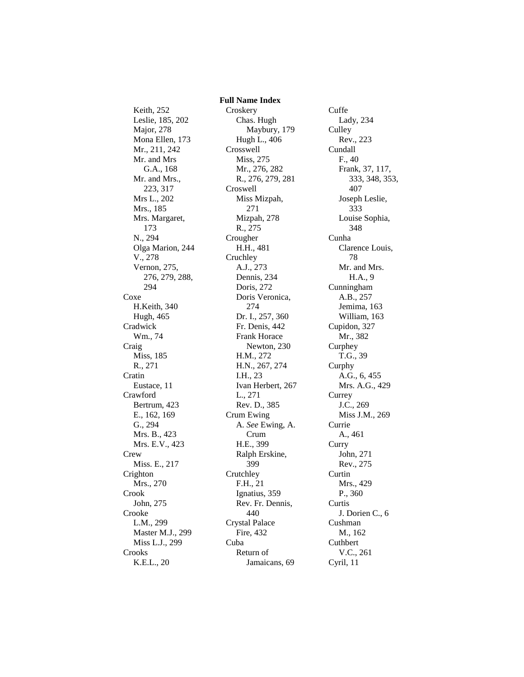Keith, 252 Leslie, 185, 202 Major, 278 Mona Ellen, 173 Mr., 211, 242 Mr. and Mrs G.A., 168 Mr. and Mrs., 223, 317 Mrs L., 202 Mrs., 185 Mrs. Margaret, 173 N., 294 Olga Marion, 244 V., 278 Vernon, 275, 276, 279, 288, 294 Coxe H.Keith, 340 Hugh, 465 Cradwick Wm., 74 Craig Miss, 185 R., 271 Cratin Eustace, 11 Crawford Bertrum, 423 E., 162, 169 G., 294 Mrs. B., 423 Mrs. E.V., 423 Crew Miss. E., 217 Crighton Mrs., 270 Crook John, 275 Crooke L.M., 299 Master M.J., 299 Miss L.J., 299 Crooks K.E.L., 20

 **Full Name Index** Croskery Chas. Hugh Maybury, 179 Hugh L., 406 Crosswell Miss, 275 Mr., 276, 282 R., 276, 279, 281 Croswell Miss Mizpah, 271 Mizpah, 278 R., 275 Crougher H.H., 481 **Cruchley** A.J., 273 Dennis, 234 Doris, 272 Doris Veronica, 274 Dr. I., 257, 360 Fr. Denis, 442 Frank Horace Newton, 230 H.M., 272 H.N., 267, 274 I.H., 23 Ivan Herbert, 267 L., 271 Rev. D., 385 Crum Ewing A. *See* Ewing, A. Crum H.E., 399 Ralph Erskine, 399 **Crutchley** F.H., 21 Ignatius, 359 Rev. Fr. Dennis, 440 Crystal Palace Fire, 432 Cuba Return of Jamaicans, 69

Cuffe Lady, 234 Culley Rev., 223 Cundall F., 40 Frank, 37, 117, 333, 348, 353, 407 Joseph Leslie, 333 Louise Sophia, 348 Cunha Clarence Louis, 78 Mr. and Mrs. H.A., 9 Cunningham A.B., 257 Jemima, 163 William, 163 Cupidon, 327 Mr., 382 Curphey T.G., 39 Curphy A.G., 6, 455 Mrs. A.G., 429 **Currey** J.C., 269 Miss J.M., 269 Currie A., 461 Curry John, 271 Rev., 275 **Curtin** Mrs., 429 P., 360 **Curtis** J. Dorien C., 6 Cushman M., 162 Cuthbert V.C., 261 Cyril, 11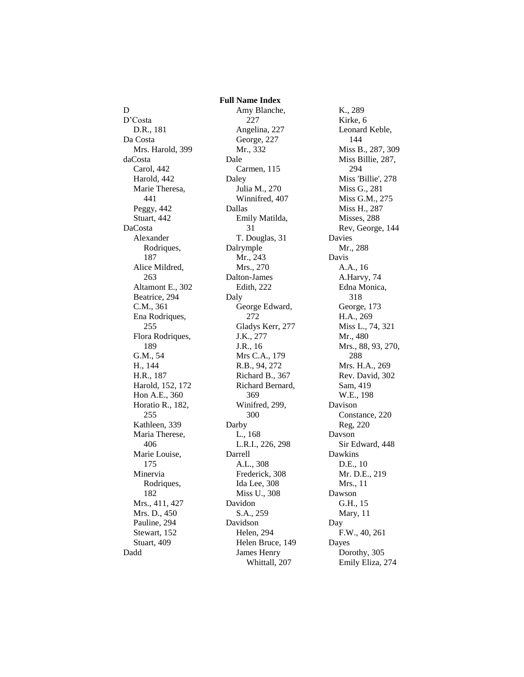D D'Costa D.R., 181 Da Costa Mrs. Harold, 399 daCosta Carol, 442 Harold, 442 Marie Theresa, 441 Peggy, 442 Stuart, 442 DaCosta Alexander Rodriques, 187 Alice Mildred, 263 Altamont E., 302 Beatrice, 294 C.M., 361 Ena Rodriques, 255 Flora Rodriques, 189 G.M., 54 H., 144 H.R., 187 Harold, 152, 172 Hon A.E., 360 Horatio R., 182, 255 Kathleen, 339 Maria Therese, 406 Marie Louise, 175 Minervia Rodriques, 182 Mrs., 411, 427 Mrs. D., 450 Pauline, 294 Stewart, 152 Stuart, 409 Dadd

 **Full Name Index** Amy Blanche, 227 Angelina, 227 George, 227 Mr., 332 Dale Carmen, 115 Daley Julia M., 270 Winnifred, 407 Dallas Emily Matilda, 31 T. Douglas, 31 Dalrymple Mr., 243 Mrs., 270 Dalton-James Edith, 222 Daly George Edward, 272 Gladys Kerr, 277 J.K., 277 J.R., 16 Mrs C.A., 179 R.B., 94, 272 Richard B., 367 Richard Bernard, 369 Winifred, 299, 300 Darby L., 168 L.R.I., 226, 298 Darrell A.L., 308 Frederick, 308 Ida Lee, 308 Miss U., 308 Davidon S.A., 259 Davidson Helen, 294 Helen Bruce, 149 James Henry Whittall, 207

K., 289 Kirke, 6 Leonard Keble, 144 Miss B., 287, 309 Miss Billie, 287, 294 Miss 'Billie', 278 Miss G., 281 Miss G.M., 275 Miss H., 287 Misses, 288 Rev, George, 144 Davies Mr., 288 Davis A.A., 16 A.Harvy, 74 Edna Monica, 318 George, 173 H.A., 269 Miss L., 74, 321 Mr., 480 Mrs., 88, 93, 270, 288 Mrs. H.A., 269 Rev. David, 302 Sam, 419 W.E., 198 Davison Constance, 220 Reg, 220 Davson Sir Edward, 448 Dawkins D.E., 10 Mr. D.E., 219 Mrs., 11 Dawson G.H., 15 Mary, 11 Day F.W., 40, 261 Dayes Dorothy, 305 Emily Eliza, 274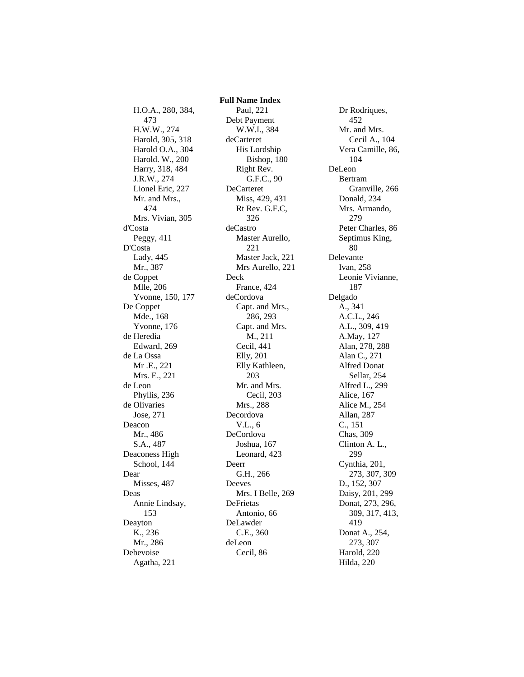H.O.A., 280, 384, 473 H.W.W., 274 Harold, 305, 318 Harold O.A., 304 Harold. W., 200 Harry, 318, 484 J.R.W., 274 Lionel Eric, 227 Mr. and Mrs., 474 Mrs. Vivian, 305 d'Costa Peggy, 411 D'Costa Lady, 445 Mr., 387 de Coppet Mlle, 206 Yvonne, 150, 177 De Coppet Mde., 168 Yvonne, 176 de Heredia Edward, 269 de La Ossa Mr .E., 221 Mrs. E., 221 de Leon Phyllis, 236 de Olivaries Jose, 271 Deacon Mr., 486 S.A., 487 Deaconess High School, 144 Dear Misses, 487 Deas Annie Lindsay, 153 Deayton K., 236 Mr., 286 Debevoise Agatha, 221

 **Full Name Index** Paul, 221 Debt Payment W.W.I., 384 deCarteret His Lordship Bishop, 180 Right Rev. G.F.C., 90 DeCarteret Miss, 429, 431 Rt Rev. G.F.C, 326 deCastro Master Aurello, 221 Master Jack, 221 Mrs Aurello, 221 Deck France, 424 deCordova Capt. and Mrs., 286, 293 Capt. and Mrs. M., 211 Cecil, 441 Elly, 201 Elly Kathleen, 203 Mr. and Mrs. Cecil, 203 Mrs., 288 Decordova V.L., 6 DeCordova Joshua, 167 Leonard, 423 Deerr G.H., 266 Deeves Mrs. I Belle, 269 DeFrietas Antonio, 66 DeLawder C.E., 360 deLeon Cecil, 86

Dr Rodriques, 452 Mr. and Mrs. Cecil A., 104 Vera Camille, 86, 104 DeLeon Bertram Granville, 266 Donald, 234 Mrs. Armando, 279 Peter Charles, 86 Septimus King, 80 Delevante Ivan, 258 Leonie Vivianne, 187 Delgado A., 341 A.C.L., 246 A.L., 309, 419 A.May, 127 Alan, 278, 288 Alan C., 271 Alfred Donat Sellar, 254 Alfred L., 299 Alice, 167 Alice M., 254 Allan, 287 C., 151 Chas, 309 Clinton A. L., 299 Cynthia, 201, 273, 307, 309 D., 152, 307 Daisy, 201, 299 Donat, 273, 296, 309, 317, 413, 419 Donat A., 254, 273, 307 Harold, 220 Hilda, 220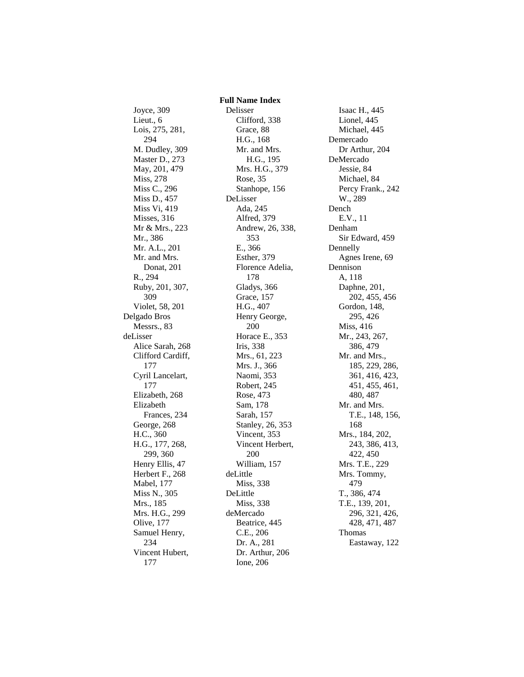Joyce, 309 Lieut., 6 Lois, 275, 281, 294 M. Dudley, 309 Master D., 273 May, 201, 479 Miss, 278 Miss C., 296 Miss D., 457 Miss Vi, 419 Misses, 316 Mr & Mrs., 223 Mr., 386 Mr. A.L., 201 Mr. and Mrs. Donat, 201 R., 294 Ruby, 201, 307, 309 Violet, 58, 201 Delgado Bros Messrs., 83 deLisser Alice Sarah, 268 Clifford Cardiff, 177 Cyril Lancelart, 177 Elizabeth, 268 Elizabeth Frances, 234 George, 268 H.C., 360 H.G., 177, 268, 299, 360 Henry Ellis, 47 Herbert F., 268 Mabel, 177 Miss N., 305 Mrs., 185 Mrs. H.G., 299 Olive, 177 Samuel Henry, 234 Vincent Hubert, 177

 **Full Name Index** Delisser Clifford, 338 Grace, 88 H.G., 168 Mr. and Mrs. H.G., 195 Mrs. H.G., 379 Rose, 35 Stanhope, 156 DeLisser Ada, 245 Alfred, 379 Andrew, 26, 338, 353 E., 366 Esther, 379 Florence Adelia, 178 Gladys, 366 Grace, 157 H.G., 407 Henry George, 200 Horace E., 353 Iris, 338 Mrs., 61, 223 Mrs. J., 366 Naomi, 353 Robert, 245 Rose, 473 Sam, 178 Sarah, 157 Stanley, 26, 353 Vincent, 353 Vincent Herbert, 200 William, 157 deLittle Miss, 338 DeLittle Miss, 338 deMercado Beatrice, 445 C.E., 206 Dr. A., 281 Dr. Arthur, 206 Ione, 206

Isaac H., 445 Lionel, 445 Michael, 445 Demercado Dr Arthur, 204 DeMercado Jessie, 84 Michael, 84 Percy Frank., 242 W., 289 Dench E.V., 11 Denham Sir Edward, 459 Dennelly Agnes Irene, 69 Dennison A, 118 Daphne, 201, 202, 455, 456 Gordon, 148, 295, 426 Miss, 416 Mr., 243, 267, 386, 479 Mr. and Mrs., 185, 229, 286, 361, 416, 423, 451, 455, 461, 480, 487 Mr. and Mrs. T.E., 148, 156, 168 Mrs., 184, 202, 243, 386, 413, 422, 450 Mrs. T.E., 229 Mrs. Tommy, 479 T., 386, 474 T.E., 139, 201, 296, 321, 426, 428, 471, 487 Thomas Eastaway, 122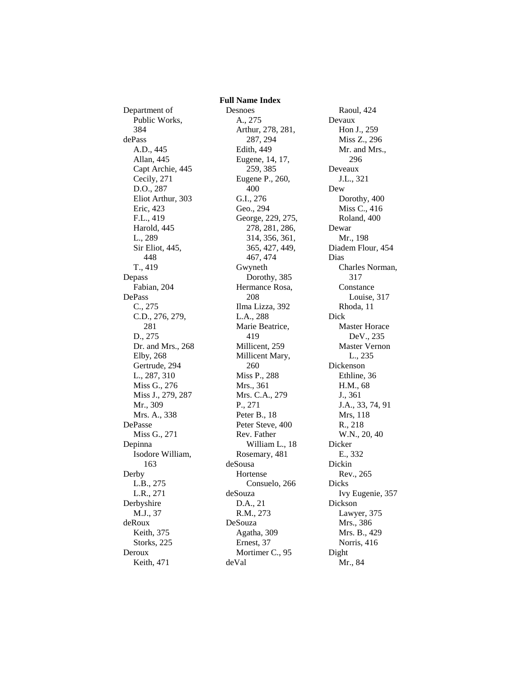Department of Public Works, 384 dePass A.D., 445 Allan, 445 Capt Archie, 445 Cecily, 271 D.O., 287 Eliot Arthur, 303 Eric, 423 F.L., 419 Harold, 445 L., 289 Sir Eliot, 445, 448 T., 419 Depass Fabian, 204 DePass C., 275 C.D., 276, 279, 281 D., 275 Dr. and Mrs., 268 Elby, 268 Gertrude, 294 L., 287, 310 Miss G., 276 Miss J., 279, 287 Mr., 309 Mrs. A., 338 DePasse Miss G., 271 Depinna Isodore William, 163 Derby L.B., 275 L.R., 271 Derbyshire M.J., 37 deRoux Keith, 375 Storks, 225 Deroux Keith, 471

Desnoes A., 275 Arthur, 278, 281, 287, 294 Edith, 449 Eugene, 14, 17, 259, 385 Eugene P., 260, 400 G.I., 276 Geo., 294 George, 229, 275, 278, 281, 286, 314, 356, 361, 365, 427, 449, 467, 474 Gwyneth Dorothy, 385 Hermance Rosa, 208 Ilma Lizza, 392 L.A., 288 Marie Beatrice, 419 Millicent, 259 Millicent Mary, 260 Miss P., 288 Mrs., 361 Mrs. C.A., 279 P., 271 Peter B., 18 Peter Steve, 400 Rev. Father William L., 18 Rosemary, 481 deSousa Hortense Consuelo, 266 deSouza D.A., 21 R.M., 273 DeSouza Agatha, 309 Ernest, 37 Mortimer C., 95 deVal

 **Full Name Index**

Raoul, 424 Devaux Hon J., 259 Miss Z., 296 Mr. and Mrs., 296 Deveaux J.L., 321 Dew Dorothy, 400 Miss C., 416 Roland, 400 Dewar Mr., 198 Diadem Flour, 454 Dias Charles Norman, 317 Constance Louise, 317 Rhoda, 11 Dick Master Horace DeV., 235 Master Vernon L., 235 Dickenson Ethline, 36 H.M., 68 J., 361 J.A., 33, 74, 91 Mrs, 118 R., 218 W.N., 20, 40 Dicker E., 332 Dickin Rev., 265 Dicks Ivy Eugenie, 357 Dickson Lawyer, 375 Mrs., 386 Mrs. B., 429 Norris, 416 Dight Mr., 84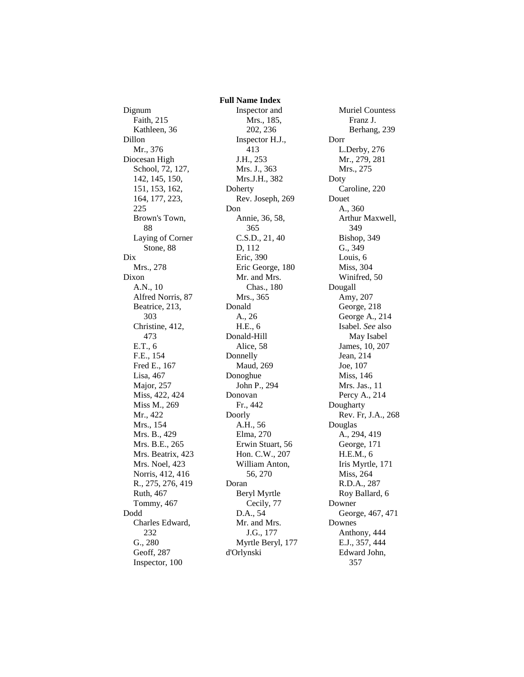Dignum Faith, 215 Kathleen, 36 Dillon Mr., 376 Diocesan High School, 72, 127, 142, 145, 150, 151, 153, 162, 164, 177, 223, 225 Brown's Town, 88 Laying of Corner Stone, 88 Dix Mrs., 278 Dixon A.N., 10 Alfred Norris, 87 Beatrice, 213, 303 Christine, 412, 473 E.T., 6 F.E., 154 Fred E., 167 Lisa, 467 Major, 257 Miss, 422, 424 Miss M., 269 Mr., 422 Mrs., 154 Mrs. B., 429 Mrs. B.E., 265 Mrs. Beatrix, 423 Mrs. Noel, 423 Norris, 412, 416 R., 275, 276, 419 Ruth, 467 Tommy, 467 Dodd Charles Edward, 232 G., 280 Geoff, 287 Inspector, 100

 **Full Name Index** Inspector and Mrs., 185, 202, 236 Inspector H.J., 413 J.H., 253 Mrs. J., 363 Mrs.J.H., 382 Doherty Rev. Joseph, 269 Don Annie, 36, 58, 365 C.S.D., 21, 40 D, 112 Eric, 390 Eric George, 180 Mr. and Mrs. Chas., 180 Mrs., 365 Donald A., 26 H.E., 6 Donald-Hill Alice, 58 Donnelly Maud, 269 Donoghue John P., 294 Donovan Fr., 442 Doorly A.H., 56 Elma, 270 Erwin Stuart, 56 Hon. C.W., 207 William Anton, 56, 270 Doran Beryl Myrtle Cecily, 77 D.A., 54 Mr. and Mrs. J.G., 177 Myrtle Beryl, 177 d'Orlynski

Muriel Countess Franz J. Berhang, 239 Dorr L.Derby, 276 Mr., 279, 281 Mrs., 275 Doty Caroline, 220 Douet A., 360 Arthur Maxwell, 349 Bishop, 349 G., 349 Louis, 6 Miss, 304 Winifred, 50 Dougall Amy, 207 George, 218 George A., 214 Isabel. *See* also May Isabel James, 10, 207 Jean, 214 Joe, 107 Miss, 146 Mrs. Jas., 11 Percy A., 214 Dougharty Rev. Fr, J.A., 268 Douglas A., 294, 419 George, 171 H.E.M., 6 Iris Myrtle, 171 Miss, 264 R.D.A., 287 Roy Ballard, 6 Downer George, 467, 471 Downes Anthony, 444 E.J., 357, 444 Edward John, 357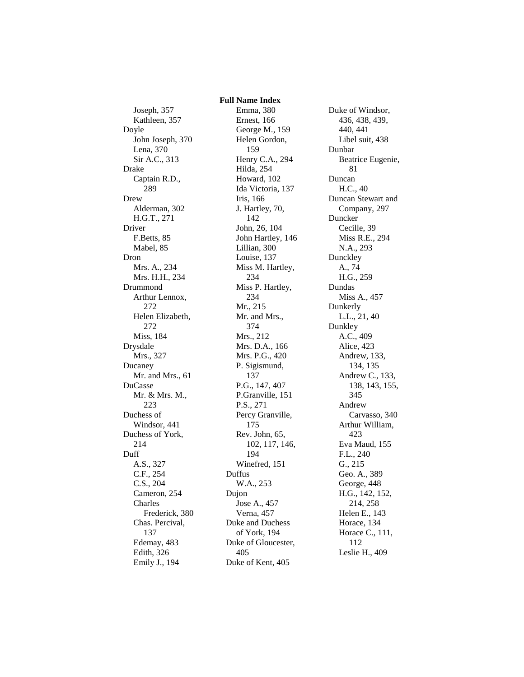## **Full Name Index**

Joseph, 357 Kathleen, 357 Doyle John Joseph, 370 Lena, 370 Sir A.C., 313 Drake Captain R.D., 289 Drew Alderman, 302 H.G.T., 271 Driver F.Betts, 85 Mabel, 85 Dron Mrs. A., 234 Mrs. H.H., 234 Drummond Arthur Lennox, 272 Helen Elizabeth, 272 Miss, 184 Drysdale Mrs., 327 Ducaney Mr. and Mrs., 61 DuCasse Mr. & Mrs. M., 223 Duchess of Windsor, 441 Duchess of York, 214 Duff A.S., 327 C.F., 254 C.S., 204 Cameron, 254 Charles Frederick, 380 Chas. Percival, 137 Edemay, 483 Edith, 326 Emily J., 194

Emma, 380 Ernest, 166 George M., 159 Helen Gordon, 159 Henry C.A., 294 Hilda, 254 Howard, 102 Ida Victoria, 137 Iris, 166 J. Hartley, 70, 142 John, 26, 104 John Hartley, 146 Lillian, 300 Louise, 137 Miss M. Hartley, 234 Miss P. Hartley, 234 Mr., 215 Mr. and Mrs., 374 Mrs., 212 Mrs. D.A., 166 Mrs. P.G., 420 P. Sigismund, 137 P.G., 147, 407 P.Granville, 151 P.S., 271 Percy Granville, 175 Rev. John, 65, 102, 117, 146, 194 Winefred, 151 Duffus W.A., 253 Dujon Jose A., 457 Verna, 457 Duke and Duchess of York, 194 Duke of Gloucester, 405 Duke of Kent, 405

Duke of Windsor, 436, 438, 439, 440, 441 Libel suit, 438 Dunbar Beatrice Eugenie, 81 Duncan H.C., 40 Duncan Stewart and Company, 297 Duncker Cecille, 39 Miss R.E., 294 N.A., 293 Dunckley A., 74 H.G., 259 Dundas Miss A., 457 Dunkerly L.L., 21, 40 Dunkley A.C., 409 Alice, 423 Andrew, 133, 134, 135 Andrew C., 133, 138, 143, 155, 345 Andrew Carvasso, 340 Arthur William, 423 Eva Maud, 155 F.L., 240 G., 215 Geo. A., 389 George, 448 H.G., 142, 152, 214, 258 Helen E., 143 Horace, 134 Horace C., 111, 112 Leslie H., 409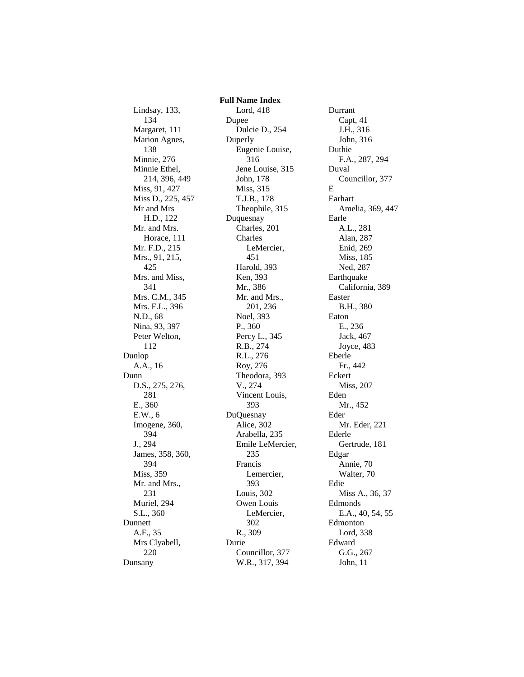Lindsay, 133, 134 Margaret, 111 Marion Agnes, 138 Minnie, 276 Minnie Ethel, 214, 396, 449 Miss, 91, 427 Miss D., 225, 457 Mr and Mrs H.D., 122 Mr. and Mrs. Horace, 111 Mr. F.D., 215 Mrs., 91, 215, 425 Mrs. and Miss, 341 Mrs. C.M., 345 Mrs. F.L., 396 N.D., 68 Nina, 93, 397 Peter Welton, 112 Dunlop A.A., 16 Dunn D.S., 275, 276, 281 E., 360 E.W., 6 Imogene, 360, 394 J., 294 James, 358, 360, 394 Miss, 359 Mr. and Mrs., 231 Muriel, 294 S.L., 360 Dunnett A.F., 35 Mrs Clyabell, 220 Dunsany

 **Full Name Index** Lord, 418 Dupee Dulcie D., 254 Duperly Eugenie Louise, 316 Jene Louise, 315 John, 178 Miss, 315 T.J.B., 178 Theophile, 315 Duquesnay Charles, 201 Charles LeMercier, 451 Harold, 393 Ken, 393 Mr., 386 Mr. and Mrs., 201, 236 Noel, 393 P., 360 Percy L., 345 R.B., 274 R.L., 276 Roy, 276 Theodora, 393 V., 274 Vincent Louis, 393 DuQuesnay Alice, 302 Arabella, 235 Emile LeMercier, 235 Francis Lemercier, 393 Louis, 302 Owen Louis LeMercier, 302 R., 309 Durie Councillor, 377 W.R., 317, 394

Durrant Capt, 41 J.H., 316 John, 316 Duthie F.A., 287, 294 Duval Councillor, 377 E Earhart Amelia, 369, 447 Earle A.L., 281 Alan, 287 Enid, 269 Miss, 185 Ned, 287 Earthquake California, 389 Easter B.H., 380 Eaton E., 236 Jack, 467 Joyce, 483 Eberle Fr., 442 Eckert Miss, 207 Eden Mr., 452 Eder Mr. Eder, 221 Ederle Gertrude, 181 Edgar Annie, 70 Walter, 70 Edie Miss A., 36, 37 Edmonds E.A., 40, 54, 55 Edmonton Lord, 338 Edward G.G., 267 John, 11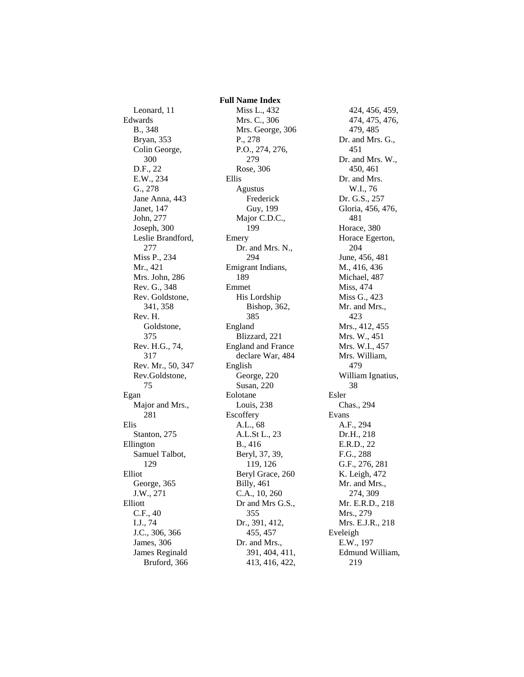Leonard, 11 Edwards B., 348 Bryan, 353 Colin George, 300 D.F., 22 E.W., 234 G., 278 Jane Anna, 443 Janet, 147 John, 277 Joseph, 300 Leslie Brandford, 277 Miss P., 234 Mr., 421 Mrs. John, 286 Rev. G., 348 Rev. Goldstone, 341, 358 Rev. H. Goldstone, 375 Rev. H.G., 74, 317 Rev. Mr., 50, 347 Rev.Goldstone, 75 Egan Major and Mrs., 281 Elis Stanton, 275 Ellington Samuel Talbot, 129 Elliot George, 365 J.W., 271 Elliott C.F., 40 I.J., 74 J.C., 306, 366 James, 306 James Reginald Bruford, 366

 **Full Name Index** Miss L., 432 Mrs. C., 306 Mrs. George, 306 P., 278 P.O., 274, 276, 279 Rose, 306 Ellis Agustus Frederick Guy, 199 Major C.D.C., 199 Emery Dr. and Mrs. N., 294 Emigrant Indians, 189 Emmet His Lordship Bishop, 362, 385 England Blizzard, 221 England and France declare War, 484 English George, 220 Susan, 220 Eolotane Louis, 238 **Escoffery** A.L., 68 A.L.St L., 23 B., 416 Beryl, 37, 39, 119, 126 Beryl Grace, 260 Billy, 461 C.A., 10, 260 Dr and Mrs G.S., 355 Dr., 391, 412, 455, 457 Dr. and Mrs., 391, 404, 411, 413, 416, 422,

424, 456, 459, 474, 475, 476, 479, 485 Dr. and Mrs. G., 451 Dr. and Mrs. W., 450, 461 Dr. and Mrs. W.I., 76 Dr. G.S., 257 Gloria, 456, 476, 481 Horace, 380 Horace Egerton, 204 June, 456, 481 M., 416, 436 Michael, 487 Miss, 474 Miss G., 423 Mr. and Mrs., 423 Mrs., 412, 455 Mrs. W., 451 Mrs. W.I., 457 Mrs. William, 479 William Ignatius, 38 Esler Chas., 294 Evans A.F., 294 Dr.H., 218 E.R.D., 22 F.G., 288 G.F., 276, 281 K. Leigh, 472 Mr. and Mrs., 274, 309 Mr. E.R.D., 218 Mrs., 279 Mrs. E.J.R., 218 Eveleigh E.W., 197 Edmund William, 219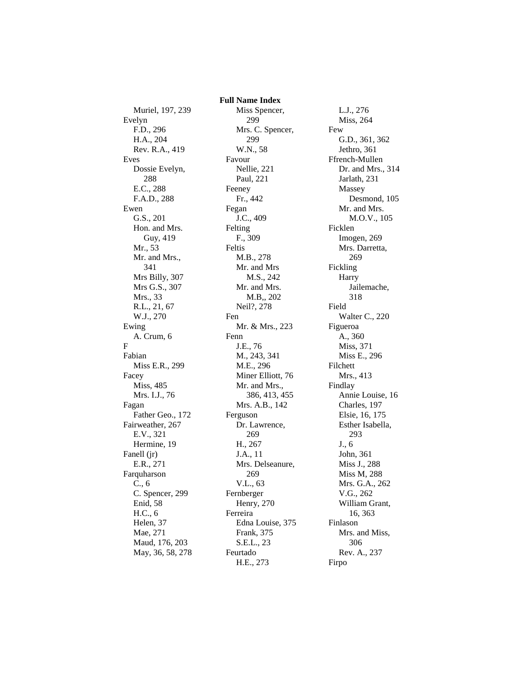Muriel, 197, 239 Evelyn F.D., 296 H.A., 204 Rev. R.A., 419 Eves Dossie Evelyn, 288 E.C., 288 F.A.D., 288 Ewen G.S., 201 Hon. and Mrs. Guy, 419 Mr., 53 Mr. and Mrs., 341 Mrs Billy, 307 Mrs G.S., 307 Mrs., 33 R.L., 21, 67 W.J., 270 Ewing A. Crum, 6 F Fabian Miss E.R., 299 Facey Miss, 485 Mrs. I.J., 76 Fagan Father Geo., 172 Fairweather, 267 E.V., 321 Hermine, 19 Fanell (jr) E.R., 271 Farquharson C., 6 C. Spencer, 299 Enid, 58 H.C., 6 Helen, 37 Mae, 271 Maud, 176, 203 May, 36, 58, 278  **Full Name Index** Miss Spencer, 299 Mrs. C. Spencer, 299 W.N., 58 Favour Nellie, 221 Paul, 221 Feeney Fr., 442 Fegan J.C., 409 Felting F., 309 Feltis M.B., 278 Mr. and Mrs M.S., 242 Mr. and Mrs. M.B,, 202 Neil?, 278 Fen Mr. & Mrs., 223 Fenn J.E., 76 M., 243, 341 M.E., 296 Miner Elliott, 76 Mr. and Mrs., 386, 413, 455 Mrs. A.B., 142 Ferguson Dr. Lawrence, 269 H., 267 J.A., 11 Mrs. Delseanure, 269 V.L., 63 Fernberger Henry, 270 Ferreira Edna Louise, 375 Frank, 375 S.E.L., 23 Feurtado H.E., 273

L.J., 276 Miss, 264 Few G.D., 361, 362 Jethro, 361 Ffrench-Mullen Dr. and Mrs., 314 Jarlath, 231 Massey Desmond, 105 Mr. and Mrs. M.O.V., 105 Ficklen Imogen, 269 Mrs. Darretta, 269 Fickling **Harry** Jailemache, 318 Field Walter C., 220 Figueroa A., 360 Miss, 371 Miss E., 296 Filchett Mrs., 413 Findlay Annie Louise, 16 Charles, 197 Elsie, 16, 175 Esther Isabella, 293 J., 6 John, 361 Miss J., 288 Miss M, 288 Mrs. G.A., 262 V.G., 262 William Grant, 16, 363 Finlason Mrs. and Miss, 306 Rev. A., 237 Firpo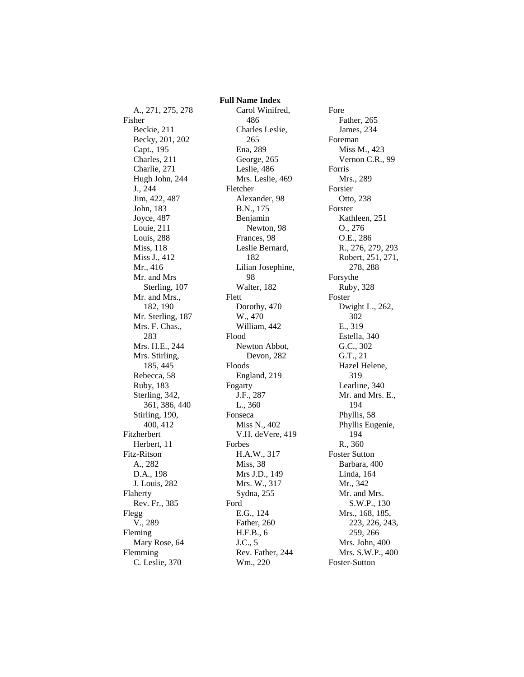A., 271, 275, 278 Fisher Beckie, 211 Becky, 201, 202 Capt., 195 Charles, 211 Charlie, 271 Hugh John, 244 J., 244 Jim, 422, 487 John, 183 Joyce, 487 Louie, 211 Louis, 288 Miss, 118 Miss J., 412 Mr., 416 Mr. and Mrs Sterling, 107 Mr. and Mrs., 182, 190 Mr. Sterling, 187 Mrs. F. Chas., 283 Mrs. H.E., 244 Mrs. Stirling, 185, 445 Rebecca, 58 Ruby, 183 Sterling, 342, 361, 386, 440 Stirling, 190, 400, 412 Fitzherbert Herbert, 11 Fitz-Ritson A., 282 D.A., 198 J. Louis, 282 Flaherty Rev. Fr., 385 Flegg V., 289 Fleming Mary Rose, 64 Flemming C. Leslie, 370

 **Full Name Index** Carol Winifred, 486 Charles Leslie, 265 Ena, 289 George, 265 Leslie, 486 Mrs. Leslie, 469 Fletcher Alexander, 98 B.N., 175 Benjamin Newton, 98 Frances, 98 Leslie Bernard, 182 Lilian Josephine, 98 Walter, 182 Flett Dorothy, 470 W., 470 William, 442 Flood Newton Abbot, Devon, 282 Floods England, 219 Fogarty J.F., 287 L., 360 Fonseca Miss N., 402 V.H. deVere, 419 Forbes H.A.W., 317 Miss, 38 Mrs J.D., 149 Mrs. W., 317 Sydna, 255 Ford E.G., 124 Father, 260 H.F.B., 6 J.C., 5 Rev. Father, 244 Wm., 220

Fore Father, 265 James, 234 Foreman Miss M., 423 Vernon C.R., 99 Forris Mrs., 289 Forsier Otto, 238 Forster Kathleen, 251 O., 276 O.E., 286 R., 276, 279, 293 Robert, 251, 271, 278, 288 Forsythe Ruby, 328 Foster Dwight L., 262, 302 E., 319 Estella, 340 G.C., 302 G.T., 21 Hazel Helene, 319 Learline, 340 Mr. and Mrs. E., 194 Phyllis, 58 Phyllis Eugenie, 194 R., 360 Foster Sutton Barbara, 400 Linda, 164 Mr., 342 Mr. and Mrs. S.W.P., 130 Mrs., 168, 185, 223, 226, 243, 259, 266 Mrs. John, 400 Mrs. S.W.P., 400 Foster-Sutton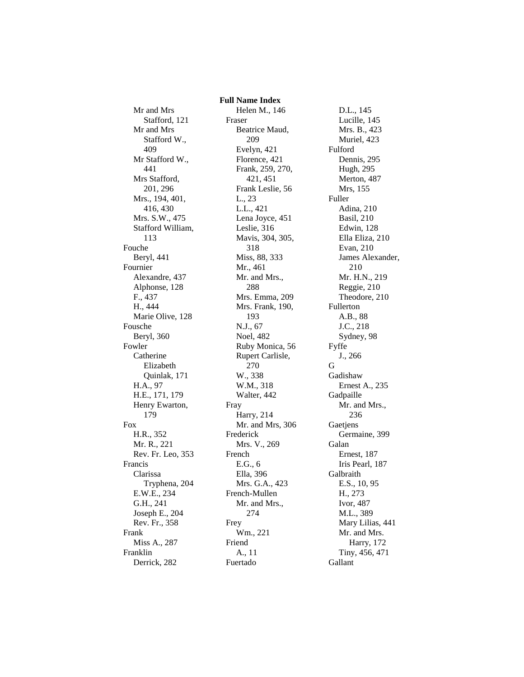Mr and Mrs Stafford, 121 Mr and Mrs Stafford W., 409 Mr Stafford W., 441 Mrs Stafford, 201, 296 Mrs., 194, 401, 416, 430 Mrs. S.W., 475 Stafford William, 113 Fouche Beryl, 441 Fournier Alexandre, 437 Alphonse, 128 F., 437 H., 444 Marie Olive, 128 Fousche Beryl, 360 Fowler Catherine Elizabeth Quinlak, 171 H.A., 97 H.E., 171, 179 Henry Ewarton, 179 Fox H.R., 352 Mr. R., 221 Rev. Fr. Leo, 353 Francis Clarissa Tryphena, 204 E.W.E., 234 G.H., 241 Joseph E., 204 Rev. Fr., 358 Frank Miss A., 287 Franklin Derrick, 282

 **Full Name Index** Helen M., 146 Fraser Beatrice Maud, 209 Evelyn, 421 Florence, 421 Frank, 259, 270, 421, 451 Frank Leslie, 56 L., 23 L.L., 421 Lena Joyce, 451 Leslie, 316 Mavis, 304, 305, 318 Miss, 88, 333 Mr., 461 Mr. and Mrs., 288 Mrs. Emma, 209 Mrs. Frank, 190, 193 N.J., 67 Noel, 482 Ruby Monica, 56 Rupert Carlisle, 270 W., 338 W.M., 318 Walter, 442 Fray Harry, 214 Mr. and Mrs, 306 Frederick Mrs. V., 269 French E.G., 6 Ella, 396 Mrs. G.A., 423 French-Mullen Mr. and Mrs., 274 Frey Wm., 221 Friend A., 11 Fuertado

D.L., 145 Lucille, 145 Mrs. B., 423 Muriel, 423 Fulford Dennis, 295 Hugh, 295 Merton, 487 Mrs, 155 Fuller Adina, 210 Basil, 210 Edwin, 128 Ella Eliza, 210 Evan, 210 James Alexander, 210 Mr. H.N., 219 Reggie, 210 Theodore, 210 Fullerton A.B., 88 J.C., 218 Sydney, 98 Fyffe J., 266 G Gadishaw Ernest A., 235 Gadpaille Mr. and Mrs., 236 Gaetjens Germaine, 399 Galan Ernest, 187 Iris Pearl, 187 Galbraith E.S., 10, 95 H., 273 Ivor, 487 M.L., 389 Mary Lilias, 441 Mr. and Mrs. Harry, 172 Tiny, 456, 471 Gallant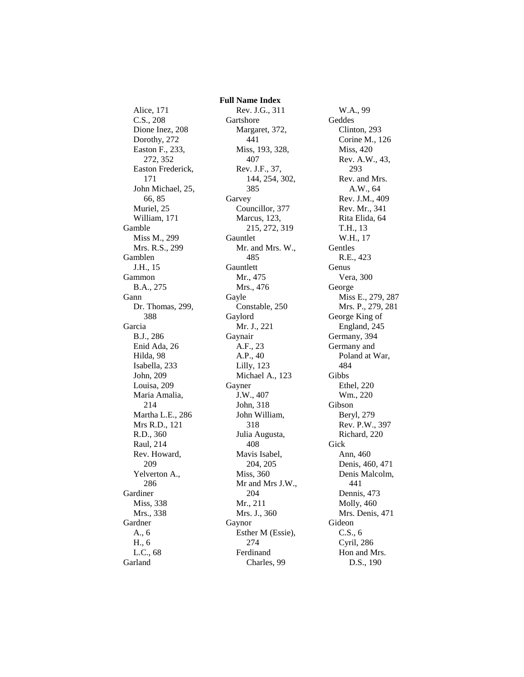Alice, 171 C.S., 208 Dione Inez, 208 Dorothy, 272 Easton F., 233, 272, 352 Easton Frederick, 171 John Michael, 25, 66, 85 Muriel, 25 William, 171 Gamble Miss M., 299 Mrs. R.S., 299 Gamblen J.H., 15 Gammon B.A., 275 Gann Dr. Thomas, 299, 388 Garcia B.J., 286 Enid Ada, 26 Hilda, 98 Isabella, 233 John, 209 Louisa, 209 Maria Amalia, 214 Martha L.E., 286 Mrs R.D., 121 R.D., 360 Raul, 214 Rev. Howard, 209 Yelverton A., 286 Gardiner Miss, 338 Mrs., 338 Gardner A., 6 H., 6 L.C., 68 Garland

 **Full Name Index** Rev. J.G., 311 Gartshore Margaret, 372, 441 Miss, 193, 328, 407 Rev. J.F., 37, 144, 254, 302, 385 Garvey Councillor, 377 Marcus, 123, 215, 272, 319 Gauntlet Mr. and Mrs. W., 485 Gauntlett Mr., 475 Mrs., 476 Gayle Constable, 250 Gaylord Mr. J., 221 Gaynair A.F., 23 A.P., 40 Lilly, 123 Michael A., 123 Gayner J.W., 407 John, 318 John William, 318 Julia Augusta, 408 Mavis Isabel, 204, 205 Miss, 360 Mr and Mrs J.W., 204 Mr., 211 Mrs. J., 360 Gaynor Esther M (Essie), 274 Ferdinand Charles, 99

W.A., 99 Geddes Clinton, 293 Corine M., 126 Miss, 420 Rev. A.W., 43, 293 Rev. and Mrs. A.W., 64 Rev. J.M., 409 Rev. Mr., 341 Rita Elida, 64 T.H., 13 W.H., 17 Gentles R.E., 423 Genus Vera, 300 George Miss E., 279, 287 Mrs. P., 279, 281 George King of England, 245 Germany, 394 Germany and Poland at War, 484 Gibbs Ethel, 220 Wm., 220 Gibson Beryl, 279 Rev. P.W., 397 Richard, 220 Gick Ann, 460 Denis, 460, 471 Denis Malcolm, 441 Dennis, 473 Molly, 460 Mrs. Denis, 471 Gideon C.S., 6 Cyril, 286 Hon and Mrs. D.S., 190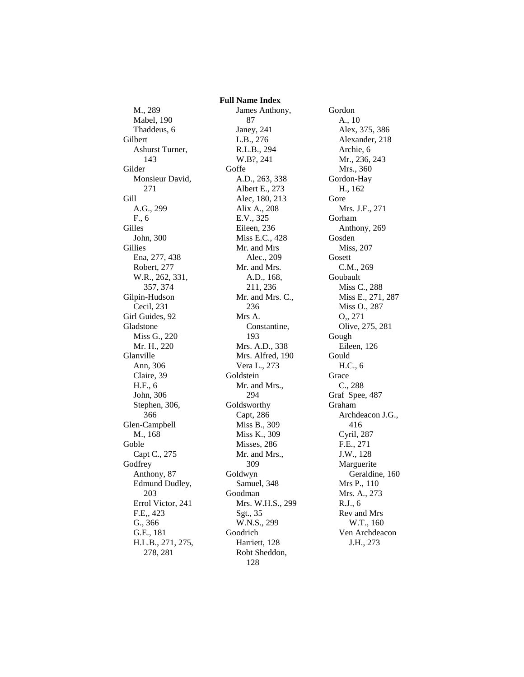M., 289 Mabel, 190 Thaddeus, 6 Gilbert Ashurst Turner, 143 Gilder Monsieur David, 271 Gill A.G., 299 F., 6 Gilles John, 300 Gillies Ena, 277, 438 Robert, 277 W.R., 262, 331, 357, 374 Gilpin-Hudson Cecil, 231 Girl Guides, 92 Gladstone Miss G., 220 Mr. H., 220 Glanville Ann, 306 Claire, 39 H.F., 6 John, 306 Stephen, 306, 366 Glen-Campbell M., 168 Goble Capt C., 275 **Godfrey** Anthony, 87 Edmund Dudley, 203 Errol Victor, 241 F.E,, 423 G., 366 G.E., 181 H.L.B., 271, 275, 278, 281

 **Full Name Index** James Anthony, 87 Janey, 241 L.B., 276 R.L.B., 294 W.B?, 241 **Goffe** A.D., 263, 338 Albert E., 273 Alec, 180, 213 Alix A., 208 E.V., 325 Eileen, 236 Miss E.C., 428 Mr. and Mrs Alec., 209 Mr. and Mrs. A.D., 168, 211, 236 Mr. and Mrs. C., 236 Mrs A. Constantine, 193 Mrs. A.D., 338 Mrs. Alfred, 190 Vera L., 273 Goldstein Mr. and Mrs., 294 Goldsworthy Capt, 286 Miss B., 309 Miss K., 309 Misses, 286 Mr. and Mrs., 309 Goldwyn Samuel, 348 Goodman Mrs. W.H.S., 299 Sgt., 35 W.N.S., 299 Goodrich Harriett, 128 Robt Sheddon, 128

Gordon A., 10 Alex, 375, 386 Alexander, 218 Archie, 6 Mr., 236, 243 Mrs., 360 Gordon-Hay H., 162 Gore Mrs. J.F., 271 Gorham Anthony, 269 Gosden Miss, 207 Gosett C.M., 269 Goubault Miss C., 288 Miss E., 271, 287 Miss O., 287 O,, 271 Olive, 275, 281 Gough Eileen, 126 Gould H.C., 6 Grace C., 288 Graf Spee, 487 Graham Archdeacon J.G., 416 Cyril, 287 F.E., 271 J.W., 128 Marguerite Geraldine, 160 Mrs P., 110 Mrs. A., 273 R.J., 6 Rev and Mrs W.T., 160 Ven Archdeacon J.H., 273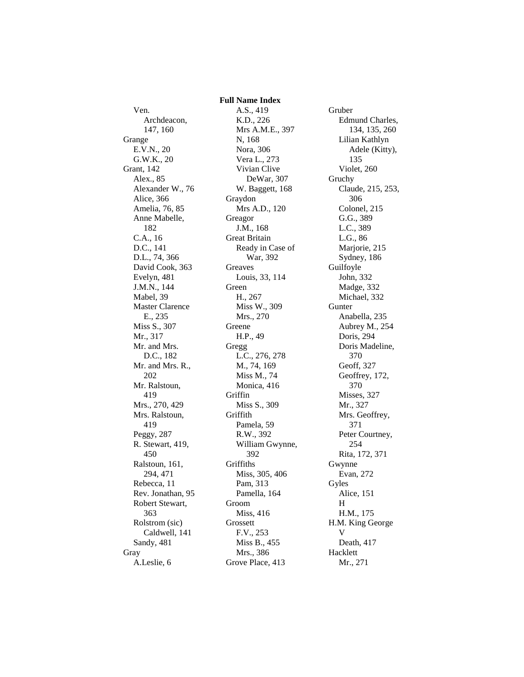Ven. Archdeacon, 147, 160 Grange E.V.N., 20 G.W.K., 20 Grant, 142 Alex., 85 Alexander W., 76 Alice, 366 Amelia, 76, 85 Anne Mabelle, 182 C.A., 16 D.C., 141 D.L., 74, 366 David Cook, 363 Evelyn, 481 J.M.N., 144 Mabel, 39 Master Clarence E., 235 Miss S., 307 Mr., 317 Mr. and Mrs. D.C., 182 Mr. and Mrs. R., 202 Mr. Ralstoun, 419 Mrs., 270, 429 Mrs. Ralstoun, 419 Peggy, 287 R. Stewart, 419, 450 Ralstoun, 161, 294, 471 Rebecca, 11 Rev. Jonathan, 95 Robert Stewart, 363 Rolstrom (sic) Caldwell, 141 Sandy, 481 Gray A.Leslie, 6

 **Full Name Index** A.S., 419 K.D., 226 Mrs A.M.E., 397 N, 168 Nora, 306 Vera L., 273 Vivian Clive DeWar, 307 W. Baggett, 168 Graydon Mrs A.D., 120 Greagor J.M., 168 Great Britain Ready in Case of War, 392 Greaves Louis, 33, 114 Green H., 267 Miss W., 309 Mrs., 270 Greene H.P., 49 Gregg L.C., 276, 278 M., 74, 169 Miss M., 74 Monica, 416 Griffin Miss S., 309 Griffith Pamela, 59 R.W., 392 William Gwynne, 392 **Griffiths** Miss, 305, 406 Pam, 313 Pamella, 164 Groom Miss, 416 Grossett F.V., 253 Miss B., 455 Mrs., 386 Grove Place, 413

Gruber Edmund Charles, 134, 135, 260 Lilian Kathlyn Adele (Kitty), 135 Violet, 260 Gruchy Claude, 215, 253, 306 Colonel, 215 G.G., 389 L.C., 389 L.G., 86 Marjorie, 215 Sydney, 186 Guilfoyle John, 332 Madge, 332 Michael, 332 **Gunter** Anabella, 235 Aubrey M., 254 Doris, 294 Doris Madeline, 370 Geoff, 327 Geoffrey, 172, 370 Misses, 327 Mr., 327 Mrs. Geoffrey, 371 Peter Courtney, 254 Rita, 172, 371 Gwynne Evan, 272 Gyles Alice, 151 H H.M., 175 H.M. King George V Death, 417 Hacklett Mr., 271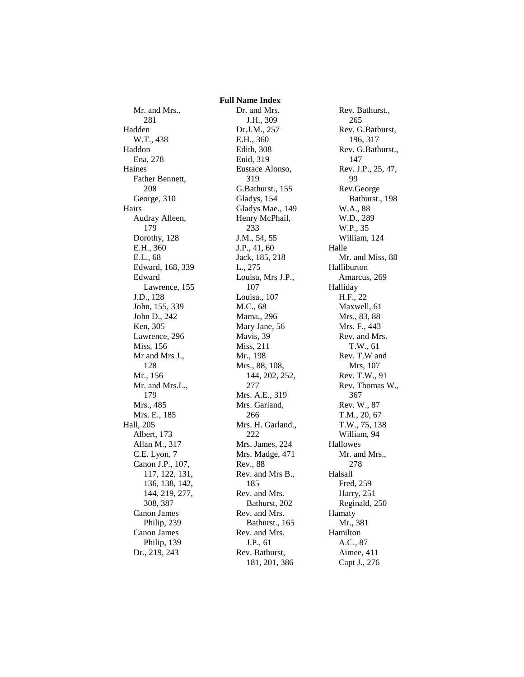Mr. and Mrs., 281 Hadden W.T., 438 Haddon Ena, 278 Haines Father Bennett, 208 George, 310 Hairs Audray Alleen, 179 Dorothy, 128 E.H., 360 E.L., 68 Edward, 168, 339 Edward Lawrence, 155 J.D., 128 John, 155, 339 John D., 242 Ken, 305 Lawrence, 296 Miss, 156 Mr and Mrs J., 128 Mr., 156 Mr. and Mrs.L., 179 Mrs., 485 Mrs. E., 185 Hall, 205 Albert, 173 Allan M., 317 C.E. Lyon, 7 Canon J.P., 107, 117, 122, 131, 136, 138, 142, 144, 219, 277, 308, 387 Canon James Philip, 239 Canon James Philip, 139 Dr., 219, 243

 **Full Name Index** Dr. and Mrs. J.H., 309 Dr.J.M., 257 E.H., 360 Edith, 308 Enid, 319 Eustace Alonso, 319 G.Bathurst., 155 Gladys, 154 Gladys Mae., 149 Henry McPhail, 233 J.M., 54, 55 J.P., 41, 60 Jack, 185, 218 L., 275 Louisa, Mrs J.P., 107 Louisa., 107 M.C., 68 Mama., 296 Mary Jane, 56 Mavis, 39 Miss, 211 Mr., 198 Mrs., 88, 108, 144, 202, 252, 277 Mrs. A.E., 319 Mrs. Garland, 266 Mrs. H. Garland., 222 Mrs. James, 224 Mrs. Madge, 471 Rev., 88 Rev. and Mrs B., 185 Rev. and Mrs. Bathurst, 202 Rev. and Mrs. Bathurst., 165 Rev. and Mrs. J.P., 61 Rev. Bathurst, 181, 201, 386

Rev. Bathurst., 265 Rev. G.Bathurst, 196, 317 Rev. G.Bathurst., 147 Rev. J.P., 25, 47, 99 Rev.George Bathurst., 198 W.A., 88 W.D., 289 W.P., 35 William, 124 Halle Mr. and Miss, 88 Halliburton Amarcus, 269 Halliday H.F., 22 Maxwell, 61 Mrs., 83, 88 Mrs. F., 443 Rev. and Mrs. T.W., 61 Rev. T.W and Mrs, 107 Rev. T.W., 91 Rev. Thomas W., 367 Rev. W., 87 T.M., 20, 67 T.W., 75, 138 William, 94 Hallowes Mr. and Mrs., 278 Halsall Fred, 259 Harry, 251 Reginald, 250 Hamaty Mr., 381 Hamilton A.C., 87 Aimee, 411 Capt J., 276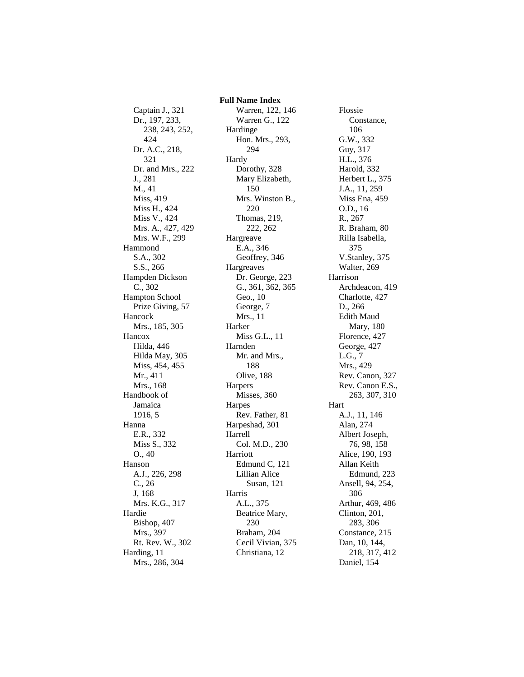Captain J., 321 Dr., 197, 233, 238, 243, 252, 424 Dr. A.C., 218, 321 Dr. and Mrs., 222 J., 281 M., 41 Miss, 419 Miss H., 424 Miss V., 424 Mrs. A., 427, 429 Mrs. W.F., 299 Hammond S.A., 302 S.S., 266 Hampden Dickson C., 302 Hampton School Prize Giving, 57 Hancock Mrs., 185, 305 Hancox Hilda, 446 Hilda May, 305 Miss, 454, 455 Mr., 411 Mrs., 168 Handbook of Jamaica 1916, 5 Hanna E.R., 332 Miss S., 332 O., 40 Hanson A.J., 226, 298 C., 26 J, 168 Mrs. K.G., 317 Hardie Bishop, 407 Mrs., 397 Rt. Rev. W., 302 Harding, 11 Mrs., 286, 304

 **Full Name Index** Warren, 122, 146 Warren G., 122 Hardinge Hon. Mrs., 293, 294 Hardy Dorothy, 328 Mary Elizabeth, 150 Mrs. Winston B., 220 Thomas, 219, 222, 262 Hargreave E.A., 346 Geoffrey, 346 Hargreaves Dr. George, 223 G., 361, 362, 365 Geo., 10 George, 7 Mrs., 11 Harker Miss G.L., 11 Harnden Mr. and Mrs., 188 Olive, 188 Harpers Misses, 360 Harpes Rev. Father, 81 Harpeshad, 301 Harrell Col. M.D., 230 Harriott Edmund C, 121 Lillian Alice Susan, 121 Harris A.L., 375 Beatrice Mary, 230 Braham, 204 Cecil Vivian, 375 Christiana, 12

Flossie Constance, 106 G.W., 332 Guy, 317 H.L., 376 Harold, 332 Herbert L., 375 J.A., 11, 259 Miss Ena, 459 O.D., 16 R., 267 R. Braham, 80 Rilla Isabella, 375 V.Stanley, 375 Walter, 269 Harrison Archdeacon, 419 Charlotte, 427 D., 266 Edith Maud Mary, 180 Florence, 427 George, 427 L.G., 7 Mrs., 429 Rev. Canon, 327 Rev. Canon E.S., 263, 307, 310 Hart A.J., 11, 146 Alan, 274 Albert Joseph, 76, 98, 158 Alice, 190, 193 Allan Keith Edmund, 223 Ansell, 94, 254, 306 Arthur, 469, 486 Clinton, 201, 283, 306 Constance, 215 Dan, 10, 144, 218, 317, 412 Daniel, 154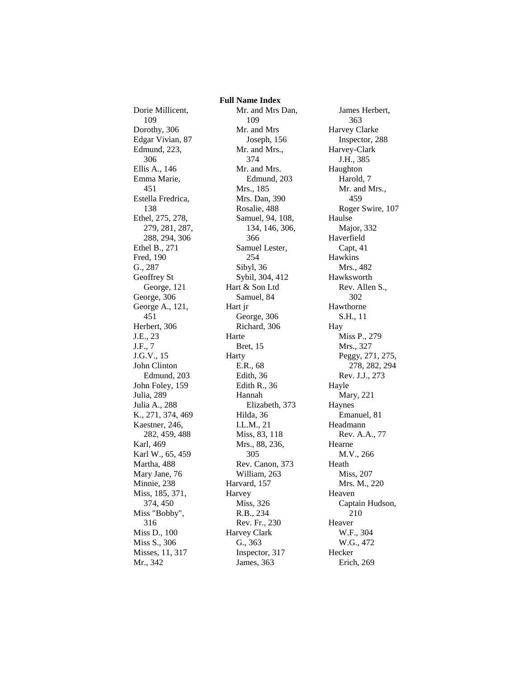Dorie Millicent, 109 Dorothy, 306 Edgar Vivian, 87 Edmund, 223, 306 Ellis A., 146 Emma Marie, 451 Estella Fredrica, 138 Ethel, 275, 278, 279, 281, 287, 288, 294, 306 Ethel B., 271 Fred, 190 G., 287 Geoffrey St George, 121 George, 306 George A., 121, 451 Herbert, 306 J.E., 23 J.F., 7 J.G.V., 15 John Clinton Edmund, 203 John Foley, 159 Julia, 289 Julia A., 288 K., 271, 374, 469 Kaestner, 246, 282, 459, 488 Karl, 469 Karl W., 65, 459 Martha, 488 Mary Jane, 76 Minnie, 238 Miss, 185, 371, 374, 450 Miss "Bobby", 316 Miss D., 100 Miss S., 306 Misses, 11, 317 Mr., 342

 **Full Name Index** Mr. and Mrs Dan, 109 Mr. and Mrs Joseph, 156 Mr. and Mrs., 374 Mr. and Mrs. Edmund, 203 Mrs., 185 Mrs. Dan, 390 Rosalie, 488 Samuel, 94, 108, 134, 146, 306, 366 Samuel Lester, 254 Sibyl, 36 Sybil, 304, 412 Hart & Son Ltd Samuel, 84 Hart jr George, 306 Richard, 306 Harte Bret, 15 Harty E.R., 68 Edith, 36 Edith R., 36 Hannah Elizabeth, 373 Hilda, 36 I.L.M., 21 Miss, 83, 118 Mrs., 88, 236, 305 Rev. Canon, 373 William, 263 Harvard, 157 Harvey Miss, 326 R.B., 234 Rev. Fr., 230 Harvey Clark G., 363 Inspector, 317 James, 363

James Herbert, 363 Harvey Clarke Inspector, 288 Harvey-Clark J.H., 385 Haughton Harold, 7 Mr. and Mrs., 459 Roger Swire, 107 Haulse Major, 332 Haverfield Capt, 41 Hawkins Mrs., 482 Hawksworth Rev. Allen S., 302 Hawthorne S.H., 11 Hay Miss P., 279 Mrs., 327 Peggy, 271, 275, 278, 282, 294 Rev. J.J., 273 Hayle Mary, 221 Haynes Emanuel, 81 Headmann Rev. A.A., 77 Hearne M.V., 266 Heath Miss, 207 Mrs. M., 220 Heaven Captain Hudson, 210 Heaver W.F., 304 W.G., 472 Hecker Erich, 269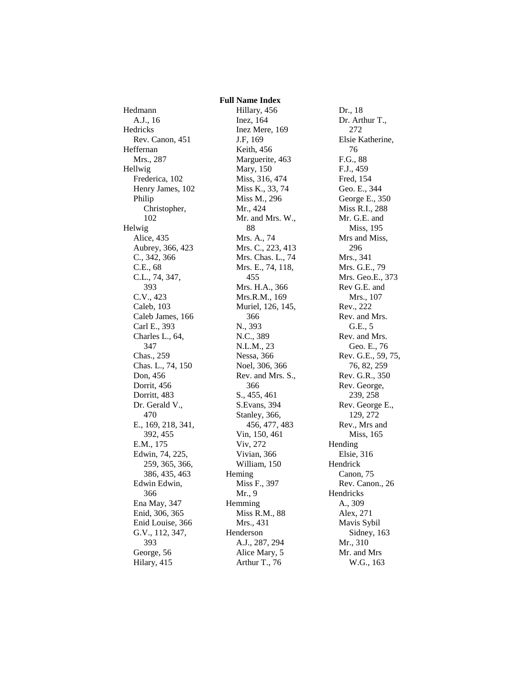## **Full Name Index**

Hedmann A.J., 16 Hedricks Rev. Canon, 451 Heffernan Mrs., 287 Hellwig Frederica, 102 Henry James, 102 Philip Christopher, 102 Helwig Alice, 435 Aubrey, 366, 423 C., 342, 366 C.E., 68 C.L., 74, 347, 393 C.V., 423 Caleb, 103 Caleb James, 166 Carl E., 393 Charles L., 64, 347 Chas., 259 Chas. L., 74, 150 Don, 456 Dorrit, 456 Dorritt, 483 Dr. Gerald V., 470 E., 169, 218, 341, 392, 455 E.M., 175 Edwin, 74, 225, 259, 365, 366, 386, 435, 463 Edwin Edwin, 366 Ena May, 347 Enid, 306, 365 Enid Louise, 366 G.V., 112, 347, 393 George, 56 Hilary, 415

Hillary, 456 Inez, 164 Inez Mere, 169 J.F, 169 Keith, 456 Marguerite, 463 Mary, 150 Miss, 316, 474 Miss K., 33, 74 Miss M., 296 Mr., 424 Mr. and Mrs. W., 88 Mrs. A., 74 Mrs. C., 223, 413 Mrs. Chas. L., 74 Mrs. E., 74, 118, 455 Mrs. H.A., 366 Mrs.R.M., 169 Muriel, 126, 145, 366 N., 393 N.C., 389 N.L.M., 23 Nessa, 366 Noel, 306, 366 Rev. and Mrs. S., 366 S., 455, 461 S.Evans, 394 Stanley, 366, 456, 477, 483 Vin, 150, 461 Viv, 272 Vivian, 366 William, 150 Heming Miss F., 397 Mr., 9 Hemming Miss R.M., 88 Mrs., 431 Henderson A.J., 287, 294 Alice Mary, 5 Arthur T., 76

Dr., 18 Dr. Arthur T., 272 Elsie Katherine, 76 F.G., 88 F.J., 459 Fred, 154 Geo. E., 344 George E., 350 Miss R.I., 288 Mr. G.E. and Miss, 195 Mrs and Miss, 296 Mrs., 341 Mrs. G.E., 79 Mrs. Geo.E., 373 Rev G.E. and Mrs., 107 Rev., 222 Rev. and Mrs. G.E., 5 Rev. and Mrs. Geo. E., 76 Rev. G.E., 59, 75, 76, 82, 259 Rev. G.R., 350 Rev. George, 239, 258 Rev. George E., 129, 272 Rev., Mrs and Miss, 165 Hending Elsie, 316 Hendrick Canon, 75 Rev. Canon., 26 Hendricks A., 309 Alex, 271 Mavis Sybil Sidney, 163 Mr., 310 Mr. and Mrs W.G., 163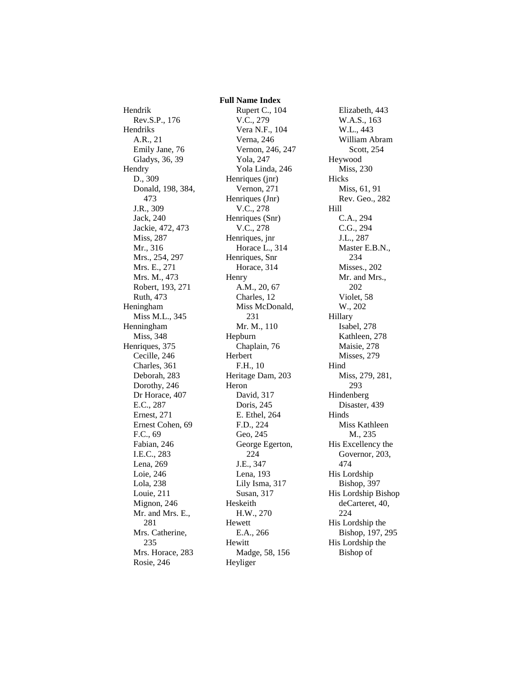Rev.S.P., 176 Hendriks A.R., 21 Emily Jane, 76 Gladys, 36, 39 **Hendry** D., 309 Donald, 198, 384, 473 J.R., 309 Jack, 240 Jackie, 472, 473 Miss, 287 Mr., 316 Mrs., 254, 297 Mrs. E., 271 Mrs. M., 473 Robert, 193, 271 Ruth, 473 Heningham Miss M.L., 345 Henningham Miss, 348 Henriques, 375 Cecille, 246 Charles, 361 Deborah, 283 Dorothy, 246 Dr Horace, 407 E.C., 287 Ernest, 271 Ernest Cohen, 69 F.C., 69 Fabian, 246 I.E.C., 283 Lena, 269 Loie, 246 Lola, 238 Louie, 211 Mignon, 246 Mr. and Mrs. E., 281 Mrs. Catherine, 235 Mrs. Horace, 283 Rosie, 246

Hendrik

## **Full Name Index** Rupert C., 104 V.C., 279 Vera N.F., 104 Verna, 246 Vernon, 246, 247 Yola, 247 Yola Linda, 246 Henriques (jnr) Vernon, 271 Henriques (Jnr) V.C., 278 Henriques (Snr) V.C., 278 Henriques, jnr Horace L., 314 Henriques, Snr Horace, 314 Henry A.M., 20, 67 Charles, 12 Miss McDonald, 231 Mr. M., 110 Hepburn Chaplain, 76 Herbert F.H., 10 Heritage Dam, 203 Heron David, 317 Doris, 245 E. Ethel, 264 F.D., 224 Geo, 245 George Egerton, 224 J.E., 347 Lena, 193 Lily Isma, 317 Susan, 317 Heskeith H.W., 270 Hewett E.A., 266 Hewitt Madge, 58, 156 Heyliger

Elizabeth, 443 W.A.S., 163 W.L., 443 William Abram Scott, 254 Heywood Miss, 230 Hicks Miss, 61, 91 Rev. Geo., 282 Hill C.A., 294 C.G., 294 J.L., 287 Master E.B.N., 234 Misses., 202 Mr. and Mrs., 202 Violet, 58 W., 202 Hillary Isabel, 278 Kathleen, 278 Maisie, 278 Misses, 279 Hind Miss, 279, 281, 293 Hindenberg Disaster, 439 Hinds Miss Kathleen M., 235 His Excellency the Governor, 203, 474 His Lordship Bishop, 397 His Lordship Bishop deCarteret, 40, 224 His Lordship the Bishop, 197, 295 His Lordship the Bishop of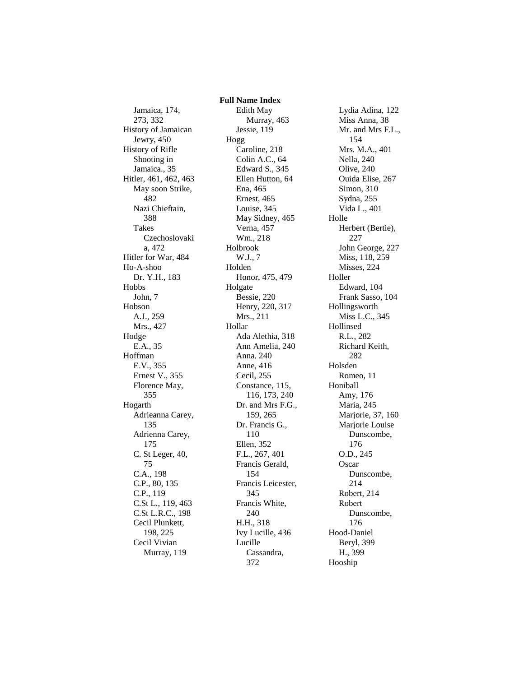Jamaica, 174, 273, 332 History of Jamaican Jewry, 450 History of Rifle Shooting in Jamaica., 35 Hitler, 461, 462, 463 May soon Strike, 482 Nazi Chieftain, 388 Takes Czechoslovaki a, 472 Hitler for War, 484 Ho-A-shoo Dr. Y.H., 183 Hobbs John, 7 Hobson A.J., 259 Mrs., 427 Hodge E.A., 35 Hoffman E.V., 355 Ernest V., 355 Florence May, 355 Hogarth Adrieanna Carey, 135 Adrienna Carey, 175 C. St Leger, 40, 75 C.A., 198 C.P., 80, 135 C.P., 119 C.St L., 119, 463 C.St L.R.C., 198 Cecil Plunkett, 198, 225 Cecil Vivian Murray, 119

 **Full Name Index** Edith May Murray, 463 Jessie, 119 Hogg Caroline, 218 Colin A.C., 64 Edward S., 345 Ellen Hutton, 64 Ena, 465 Ernest, 465 Louise, 345 May Sidney, 465 Verna, 457 Wm., 218 Holbrook W.J., 7 Holden Honor, 475, 479 Holgate Bessie, 220 Henry, 220, 317 Mrs., 211 Hollar Ada Alethia, 318 Ann Amelia, 240 Anna, 240 Anne, 416 Cecil, 255 Constance, 115, 116, 173, 240 Dr. and Mrs F.G., 159, 265 Dr. Francis G., 110 Ellen, 352 F.L., 267, 401 Francis Gerald, 154 Francis Leicester, 345 Francis White, 240 H.H., 318 Ivy Lucille, 436 Lucille Cassandra, 372

Lydia Adina, 122 Miss Anna, 38 Mr. and Mrs F.L., 154 Mrs. M.A., 401 Nella, 240 Olive, 240 Ouida Elise, 267 Simon, 310 Sydna, 255 Vida L., 401 Holle Herbert (Bertie), 227 John George, 227 Miss, 118, 259 Misses, 224 Holler Edward, 104 Frank Sasso, 104 Hollingsworth Miss L.C., 345 Hollinsed R.L., 282 Richard Keith, 282 Holsden Romeo, 11 Honiball Amy, 176 Maria, 245 Marjorie, 37, 160 Marjorie Louise Dunscombe, 176 O.D., 245 **Oscar** Dunscombe, 214 Robert, 214 Robert Dunscombe, 176 Hood-Daniel Beryl, 399 H., 399 Hooship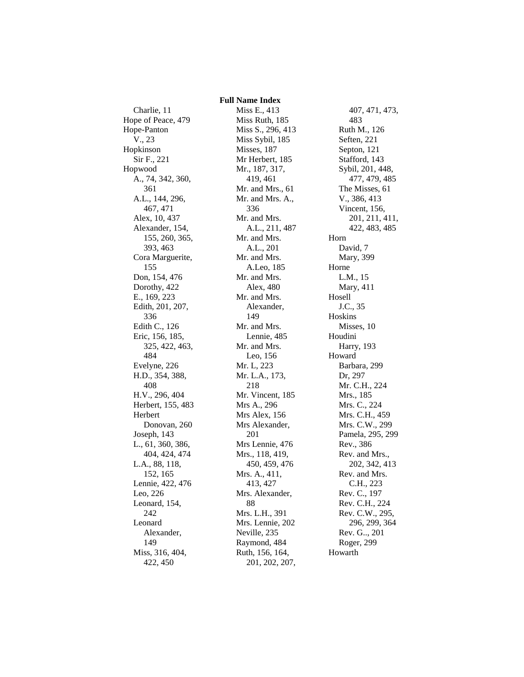Charlie, 11 Hope of Peace, 479 Hope-Panton V., 23 Hopkinson Sir F., 221 Hopwood A., 74, 342, 360, 361 A.L., 144, 296, 467, 471 Alex, 10, 437 Alexander, 154, 155, 260, 365, 393, 463 Cora Marguerite, 155 Don, 154, 476 Dorothy, 422 E., 169, 223 Edith, 201, 207, 336 Edith C., 126 Eric, 156, 185, 325, 422, 463, 484 Evelyne, 226 H.D., 354, 388, 408 H.V., 296, 404 Herbert, 155, 483 Herbert Donovan, 260 Joseph, 143 L., 61, 360, 386, 404, 424, 474 L.A., 88, 118, 152, 165 Lennie, 422, 476 Leo, 226 Leonard, 154, 242 Leonard Alexander, 149 Miss, 316, 404, 422, 450

 **Full Name Index** Miss E., 413 Miss Ruth, 185 Miss S., 296, 413 Miss Sybil, 185 Misses, 187 Mr Herbert, 185 Mr., 187, 317, 419, 461 Mr. and Mrs., 61 Mr. and Mrs. A., 336 Mr. and Mrs. A.L., 211, 487 Mr. and Mrs. A.L., 201 Mr. and Mrs. A.Leo, 185 Mr. and Mrs. Alex, 480 Mr. and Mrs. Alexander, 149 Mr. and Mrs. Lennie, 485 Mr. and Mrs. Leo, 156 Mr. L, 223 Mr. L.A., 173, 218 Mr. Vincent, 185 Mrs A., 296 Mrs Alex, 156 Mrs Alexander, 201 Mrs Lennie, 476 Mrs., 118, 419, 450, 459, 476 Mrs. A., 411, 413, 427 Mrs. Alexander, 88 Mrs. L.H., 391 Mrs. Lennie, 202 Neville, 235 Raymond, 484 Ruth, 156, 164, 201, 202, 207,

407, 471, 473, 483 Ruth M., 126 Seften, 221 Septon, 121 Stafford, 143 Sybil, 201, 448, 477, 479, 485 The Misses, 61 V., 386, 413 Vincent, 156, 201, 211, 411, 422, 483, 485 Horn David, 7 Mary, 399 Horne L.M., 15 Mary, 411 Hosell J.C., 35 Hoskins Misses, 10 Houdini Harry, 193 Howard Barbara, 299 Dr, 297 Mr. C.H., 224 Mrs., 185 Mrs. C., 224 Mrs. C.H., 459 Mrs. C.W., 299 Pamela, 295, 299 Rev., 386 Rev. and Mrs., 202, 342, 413 Rev. and Mrs. C.H., 223 Rev. C., 197 Rev. C.H., 224 Rev. C.W., 295, 296, 299, 364 Rev. G.., 201 Roger, 299 Howarth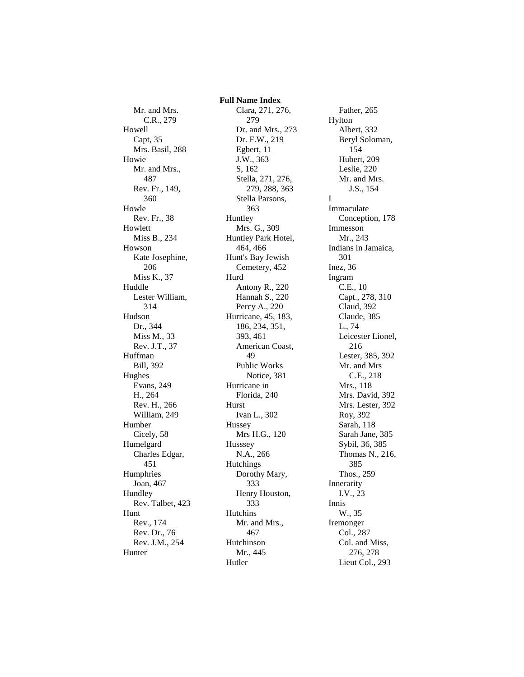Mr. and Mrs. C.R., 279 Howell Capt, 35 Mrs. Basil, 288 Howie Mr. and Mrs., 487 Rev. Fr., 149, 360 Howle Rev. Fr., 38 Howlett Miss B., 234 Howson Kate Josephine, 206 Miss K., 37 Huddle Lester William, 314 Hudson Dr., 344 Miss M., 33 Rev. J.T., 37 Huffman Bill, 392 Hughes Evans, 249 H., 264 Rev. H., 266 William, 249 Humber Cicely, 58 Humelgard Charles Edgar, 451 Humphries Joan, 467 Hundley Rev. Talbet, 423 Hunt Rev., 174 Rev. Dr., 76 Rev. J.M., 254 Hunter

 **Full Name Index** Clara, 271, 276, 279 Dr. and Mrs., 273 Dr. F.W., 219 Egbert, 11 J.W., 363 S, 162 Stella, 271, 276, 279, 288, 363 Stella Parsons, 363 Huntley Mrs. G., 309 Huntley Park Hotel, 464, 466 Hunt's Bay Jewish Cemetery, 452 Hurd Antony R., 220 Hannah S., 220 Percy A., 220 Hurricane, 45, 183, 186, 234, 351, 393, 461 American Coast, 49 Public Works Notice, 381 Hurricane in Florida, 240 Hurst Ivan L., 302 Hussey Mrs H.G., 120 Husssey N.A., 266 Hutchings Dorothy Mary, 333 Henry Houston, 333 Hutchins Mr. and Mrs., 467 Hutchinson Mr., 445 Hutler

Father, 265 Hylton Albert, 332 Beryl Soloman, 154 Hubert, 209 Leslie, 220 Mr. and Mrs. J.S., 154 I Immaculate Conception, 178 Immesson Mr., 243 Indians in Jamaica, 301 Inez, 36 Ingram C.E., 10 Capt., 278, 310 Claud, 392 Claude, 385 L., 74 Leicester Lionel, 216 Lester, 385, 392 Mr. and Mrs C.E., 218 Mrs., 118 Mrs. David, 392 Mrs. Lester, 392 Roy, 392 Sarah, 118 Sarah Jane, 385 Sybil, 36, 385 Thomas N., 216, 385 Thos., 259 Innerarity I.V., 23 Innis W., 35 Iremonger Col., 287 Col. and Miss, 276, 278 Lieut Col., 293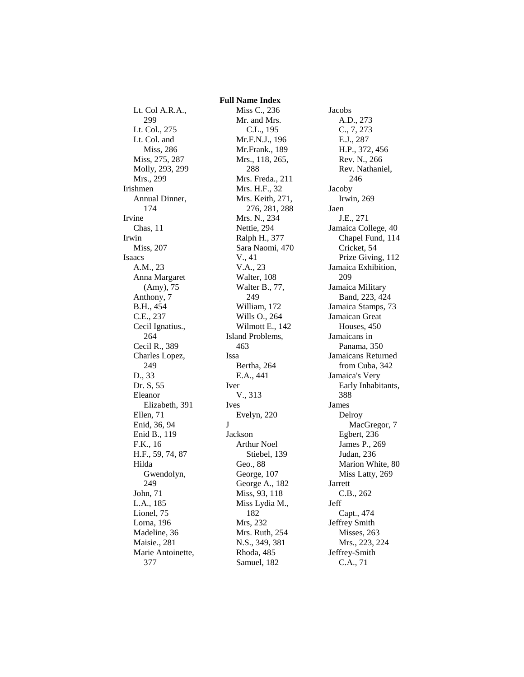Lt. Col A.R.A., 299 Lt. Col., 275 Lt. Col. and Miss, 286 Miss, 275, 287 Molly, 293, 299 Mrs., 299 Irishmen Annual Dinner, 174 Irvine Chas, 11 Irwin Miss, 207 Isaacs A.M., 23 Anna Margaret (Amy), 75 Anthony, 7 B.H., 454 C.E., 237 Cecil Ignatius., 264 Cecil R., 389 Charles Lopez, 249 D., 33 Dr. S, 55 Eleanor Elizabeth, 391 Ellen, 71 Enid, 36, 94 Enid B., 119 F.K., 16 H.F., 59, 74, 87 Hilda Gwendolyn, 249 John, 71 L.A., 185 Lionel, 75 Lorna, 196 Madeline, 36 Maisie., 281 Marie Antoinette, 377

Miss C., 236 Mr. and Mrs. C.L., 195 Mr.F.N.J., 196 Mr.Frank., 189 Mrs., 118, 265, 288 Mrs. Freda., 211 Mrs. H.F., 32 Mrs. Keith, 271, 276, 281, 288 Mrs. N., 234 Nettie, 294 Ralph H., 377 Sara Naomi, 470 V., 41 V.A., 23 Walter, 108 Walter B., 77, 249 William, 172 Wills O., 264 Wilmott E., 142 Island Problems, 463 Issa Bertha, 264 E.A., 441 Iver V., 313 Ives Evelyn, 220 J Jackson Arthur Noel Stiebel, 139 Geo., 88 George, 107 George A., 182 Miss, 93, 118 Miss Lydia M., 182 Mrs, 232 Mrs. Ruth, 254 N.S., 349, 381 Rhoda, 485 Samuel, 182

 **Full Name Index**

Jacobs A.D., 273 C., 7, 273 E.J., 287 H.P., 372, 456 Rev. N., 266 Rev. Nathaniel, 246 Jacoby Irwin, 269 Jaen J.E., 271 Jamaica College, 40 Chapel Fund, 114 Cricket, 54 Prize Giving, 112 Jamaica Exhibition, 209 Jamaica Military Band, 223, 424 Jamaica Stamps, 73 Jamaican Great Houses, 450 Jamaicans in Panama, 350 Jamaicans Returned from Cuba, 342 Jamaica's Very Early Inhabitants, 388 James Delroy MacGregor, 7 Egbert, 236 James P., 269 Judan, 236 Marion White, 80 Miss Latty, 269 Jarrett C.B., 262 Jeff Capt., 474 Jeffrey Smith Misses, 263 Mrs., 223, 224 Jeffrey-Smith C.A., 71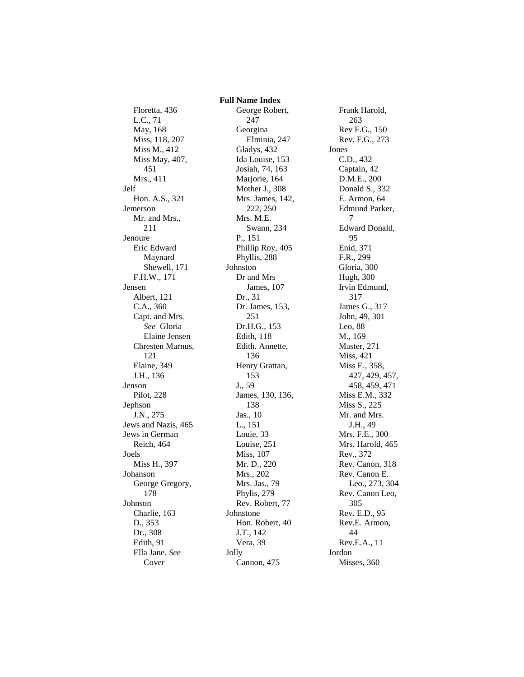Floretta, 436 L.C., 71 May, 168 Miss, 118, 207 Miss M., 412 Miss May, 407, 451 Mrs., 411 Jelf Hon. A.S., 321 Jemerson Mr. and Mrs., 211 Jenoure Eric Edward Maynard Shewell, 171 F.H.W., 171 Jensen Albert, 121 C.A., 360 Capt. and Mrs. *See* Gloria Elaine Jensen Chresten Marnus, 121 Elaine, 349 J.H., 136 Jenson Pilot, 228 Jephson J.N., 275 Jews and Nazis, 465 Jews in German Reich, 464 Joels Miss H., 397 Johanson George Gregory, 178 Johnson Charlie, 163 D., 353 Dr., 308 Edith, 91 Ella Jane. *See* Cover

 **Full Name Index** George Robert, 247 Georgina Elminia, 247 Gladys, 432 Ida Louise, 153 Josiah, 74, 163 Marjorie, 164 Mother J., 308 Mrs. James, 142, 222, 250 Mrs. M.E. Swann, 234 P., 151 Phillip Roy, 405 Phyllis, 288 Johnston Dr and Mrs James, 107 Dr., 31 Dr. James, 153, 251 Dr.H.G., 153 Edith, 118 Edith. Annette, 136 Henry Grattan, 153 J., 59 James, 130, 136, 138 Jas., 10 L., 151 Louie, 33 Louise, 251 Miss, 107 Mr. D., 220 Mrs., 202 Mrs. Jas., 79 Phylis, 279 Rev. Robert, 77 Johnstone Hon. Robert, 40 J.T., 142 Vera, 39 Jolly Cannon, 475

Frank Harold, 263 Rev F.G., 150 Rev. F.G., 273 Jones C.D., 432 Captain, 42 D.M.E., 200 Donald S., 332 E. Armon, 64 Edmund Parker, 7 Edward Donald, 95 Enid, 371 F.R., 299 Gloria, 300 Hugh, 300 Irvin Edmund, 317 James G., 317 John, 49, 301 Leo, 88 M., 169 Master, 271 Miss, 421 Miss E., 358, 427, 429, 457, 458, 459, 471 Miss E.M., 332 Miss S., 225 Mr. and Mrs. J.H., 49 Mrs. F.E., 300 Mrs. Harold, 465 Rev., 372 Rev. Canon, 318 Rev. Canon E. Leo., 273, 304 Rev. Canon Leo, 305 Rev. E.D., 95 Rev.E. Armon, 44 Rev.E.A., 11 Jordon Misses, 360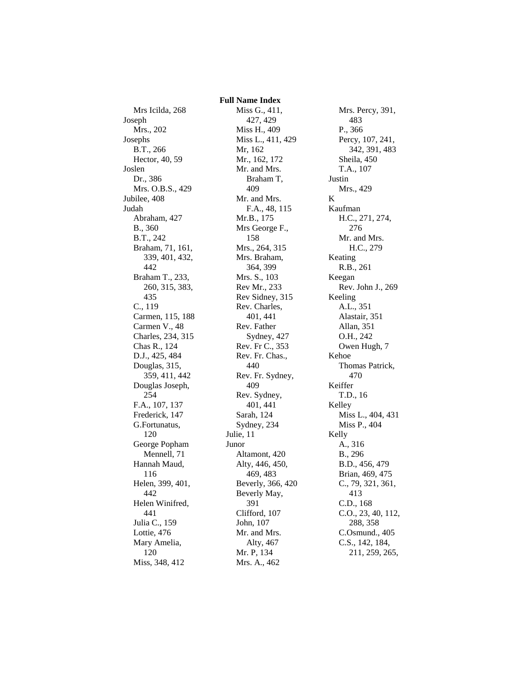Mrs Icilda, 268 Joseph Mrs., 202 Josephs B.T., 266 Hector, 40, 59 Joslen Dr., 386 Mrs. O.B.S., 429 Jubilee, 408 Judah Abraham, 427 B., 360 B.T., 242 Braham, 71, 161, 339, 401, 432, 442 Braham T., 233, 260, 315, 383, 435 C., 119 Carmen, 115, 188 Carmen V., 48 Charles, 234, 315 Chas R., 124 D.J., 425, 484 Douglas, 315, 359, 411, 442 Douglas Joseph, 254 F.A., 107, 137 Frederick, 147 G.Fortunatus, 120 George Popham Mennell, 71 Hannah Maud, 116 Helen, 399, 401, 442 Helen Winifred, 441 Julia C., 159 Lottie, 476 Mary Amelia, 120 Miss, 348, 412

 **Full Name Index** Miss G., 411, 427, 429 Miss H., 409 Miss L., 411, 429 Mr, 162 Mr., 162, 172 Mr. and Mrs. Braham T, 409 Mr. and Mrs. F.A., 48, 115 Mr.B., 175 Mrs George F., 158 Mrs., 264, 315 Mrs. Braham, 364, 399 Mrs. S., 103 Rev Mr., 233 Rev Sidney, 315 Rev. Charles, 401, 441 Rev. Father Sydney, 427 Rev. Fr C., 353 Rev. Fr. Chas., 440 Rev. Fr. Sydney, 409 Rev. Sydney, 401, 441 Sarah, 124 Sydney, 234 Julie, 11 Junor Altamont, 420 Alty, 446, 450, 469, 483 Beverly, 366, 420 Beverly May, 391 Clifford, 107 John, 107 Mr. and Mrs. Alty, 467 Mr. P, 134 Mrs. A., 462

Mrs. Percy, 391, 483 P., 366 Percy, 107, 241, 342, 391, 483 Sheila, 450 T.A., 107 Justin Mrs., 429 K Kaufman H.C., 271, 274, 276 Mr. and Mrs. H.C., 279 Keating R.B., 261 Keegan Rev. John J., 269 Keeling A.L., 351 Alastair, 351 Allan, 351 O.H., 242 Owen Hugh, 7 Kehoe Thomas Patrick, 470 Keiffer T.D., 16 Kelley Miss L., 404, 431 Miss P., 404 Kelly A., 316 B., 296 B.D., 456, 479 Brian, 469, 475 C., 79, 321, 361, 413 C.D., 168 C.O., 23, 40, 112, 288, 358 C.Osmund., 405 C.S., 142, 184, 211, 259, 265,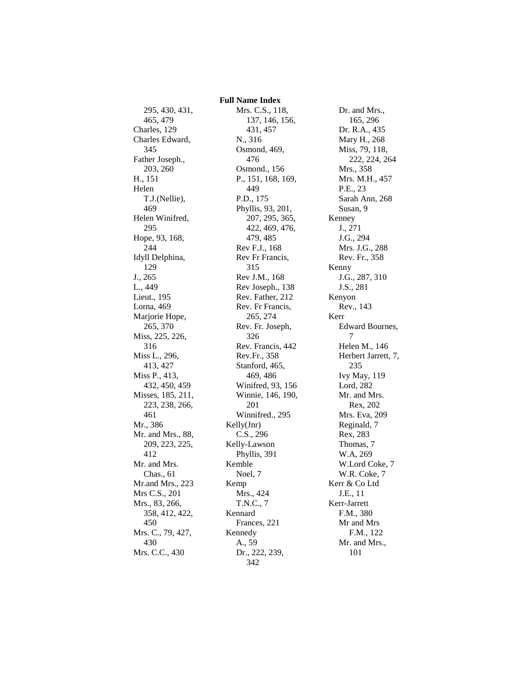295, 430, 431, 465, 479 Charles, 129 Charles Edward, 345 Father Joseph., 203, 260 H., 151 Helen T.J.(Nellie), 469 Helen Winifred, 295 Hope, 93, 168, 244 Idyll Delphina, 129 J., 265 L., 449 Lieut., 195 Lorna, 469 Marjorie Hope, 265, 370 Miss, 225, 226, 316 Miss L., 296, 413, 427 Miss P., 413, 432, 450, 459 Misses, 185, 211, 223, 238, 266, 461 Mr., 386 Mr. and Mrs., 88, 209, 223, 225, 412 Mr. and Mrs. Chas., 61 Mr.and Mrs., 223 Mrs C.S., 201 Mrs., 83, 266, 358, 412, 422, 450 Mrs. C., 79, 427, 430 Mrs. C.C., 430

 **Full Name Index** Mrs. C.S., 118, 137, 146, 156, 431, 457 N., 316 Osmond, 469, 476 Osmond., 156 P., 151, 168, 169, 449 P.D., 175 Phyllis, 93, 201, 207, 295, 365, 422, 469, 476, 479, 485 Rev F.J., 168 Rev Fr Francis, 315 Rev J.M., 168 Rev Joseph., 138 Rev. Father, 212 Rev. Fr Francis, 265, 274 Rev. Fr. Joseph, 326 Rev. Francis, 442 Rev.Fr., 358 Stanford, 465, 469, 486 Winifred, 93, 156 Winnie, 146, 190, 201 Winnifred., 295 Kelly(Jnr) C.S., 296 Kelly-Lawson Phyllis, 391 Kemble Noel, 7 Kemp Mrs., 424 T.N.C., 7 Kennard Frances, 221 Kennedy A., 59 Dr., 222, 239, 342

Dr. and Mrs., 165, 296 Dr. R.A., 435 Mary H., 268 Miss, 79, 118, 222, 224, 264 Mrs., 358 Mrs. M.H., 457 P.E., 23 Sarah Ann, 268 Susan, 9 Kenney J., 271 J.G., 294 Mrs. J.G., 288 Rev. Fr., 358 Kenny J.G., 287, 310 J.S., 281 Kenyon Rev., 143 Kerr Edward Bournes, 7 Helen M., 146 Herbert Jarrett, 7, 235 Ivy May, 119 Lord, 282 Mr. and Mrs. Rex, 202 Mrs. Eva, 209 Reginald, 7 Rex, 283 Thomas, 7 W.A, 269 W.Lord Coke, 7 W.R. Coke, 7 Kerr & Co Ltd J.E., 11 Kerr-Jarrett F.M., 380 Mr and Mrs F.M., 122 Mr. and Mrs., 101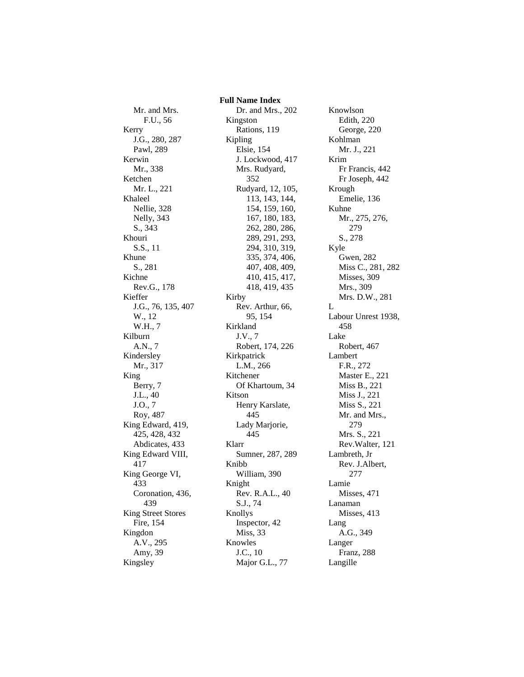Mr. and Mrs. F.U., 56 Kerry J.G., 280, 287 Pawl, 289 Kerwin Mr., 338 Ketchen Mr. L., 221 Khaleel Nellie, 328 Nelly, 343 S., 343 Khouri S.S., 11 Khune S., 281 Kichne Rev.G., 178 Kieffer J.G., 76, 135, 407 W., 12 W.H., 7 Kilburn A.N., 7 Kindersley Mr., 317 King Berry, 7 J.L., 40 J.O., 7 Roy, 487 King Edward, 419, 425, 428, 432 Abdicates, 433 King Edward VIII, 417 King George VI, 433 Coronation, 436, 439 King Street Stores Fire, 154 Kingdon A.V., 295 Amy, 39 Kingsley

 **Full Name Index** Dr. and Mrs., 202 Kingston Rations, 119 Kipling Elsie, 154 J. Lockwood, 417 Mrs. Rudyard, 352 Rudyard, 12, 105, 113, 143, 144, 154, 159, 160, 167, 180, 183, 262, 280, 286, 289, 291, 293, 294, 310, 319, 335, 374, 406, 407, 408, 409, 410, 415, 417, 418, 419, 435 Kirby Rev. Arthur, 66, 95, 154 Kirkland J.V., 7 Robert, 174, 226 Kirkpatrick L.M., 266 Kitchener Of Khartoum, 34 Kitson Henry Karslate, 445 Lady Marjorie, 445 Klarr Sumner, 287, 289 Knibb William, 390 Knight Rev. R.A.L., 40 S.J., 74 Knollys Inspector, 42 Miss, 33 Knowles J.C., 10 Major G.L., 77

Knowlson Edith, 220 George, 220 Kohlman Mr. J., 221 Krim Fr Francis, 442 Fr Joseph, 442 Krough Emelie, 136 Kuhne Mr., 275, 276, 279 S., 278 Kyle Gwen, 282 Miss C., 281, 282 Misses, 309 Mrs., 309 Mrs. D.W., 281 L Labour Unrest 1938, 458 Lake Robert, 467 Lambert F.R., 272 Master E., 221 Miss B., 221 Miss J., 221 Miss S., 221 Mr. and Mrs., 279 Mrs. S., 221 Rev.Walter, 121 Lambreth, Jr Rev. J.Albert, 277 Lamie Misses, 471 Lanaman Misses, 413 Lang A.G., 349 Langer Franz, 288 Langille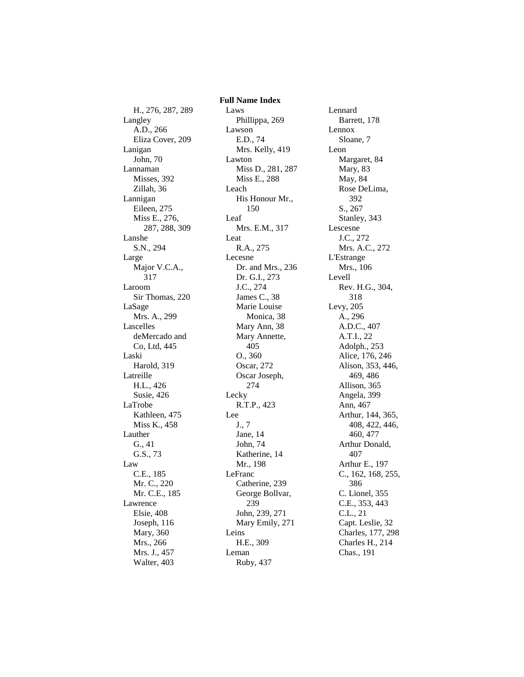H., 276, 287, 289 Langley A.D., 266 Eliza Cover, 209 Lanigan John, 70 Lannaman Misses, 392 Zillah, 36 Lannigan Eileen, 275 Miss E., 276, 287, 288, 309 Lanshe S.N., 294 Large Major V.C.A., 317 Laroom Sir Thomas, 220 LaSage Mrs. A., 299 Lascelles deMercado and Co, Ltd, 445 Laski Harold, 319 Latreille H.L., 426 Susie, 426 LaTrobe Kathleen, 475 Miss K., 458 Lauther G., 41 G.S., 73 Law C.E., 185 Mr. C., 220 Mr. C.E., 185 Lawrence Elsie, 408 Joseph, 116 Mary, 360 Mrs., 266 Mrs. J., 457 Walter, 403

 **Full Name Index** Laws Phillippa, 269 Lawson E.D., 74 Mrs. Kelly, 419 Lawton Miss D., 281, 287 Miss E., 288 Leach His Honour Mr., 150 Leaf Mrs. E.M., 317 Leat R.A., 275 Lecesne Dr. and Mrs., 236 Dr. G.I., 273 J.C., 274 James C., 38 Marie Louise Monica, 38 Mary Ann, 38 Mary Annette, 405 O., 360 Oscar, 272 Oscar Joseph, 274 Lecky R.T.P., 423 Lee J., 7 Jane, 14 John, 74 Katherine, 14 Mr., 198 LeFranc Catherine, 239 George Bollvar, 239 John, 239, 271 Mary Emily, 271 Leins H.E., 309 Leman Ruby, 437

Lennard Barrett, 178 Lennox Sloane, 7 Leon Margaret, 84 Mary, 83 May, 84 Rose DeLima, 392 S., 267 Stanley, 343 Lescesne J.C., 272 Mrs. A.C., 272 L'Estrange Mrs., 106 Levell Rev. H.G., 304, 318 Levy, 205 A., 296 A.D.C., 407 A.T.I., 22 Adolph., 253 Alice, 176, 246 Alison, 353, 446, 469, 486 Allison, 365 Angela, 399 Ann, 467 Arthur, 144, 365, 408, 422, 446, 460, 477 Arthur Donald, 407 Arthur E., 197 C., 162, 168, 255, 386 C. Lionel, 355 C.E., 353, 443 C.L., 21 Capt. Leslie, 32 Charles, 177, 298 Charles H., 214 Chas., 191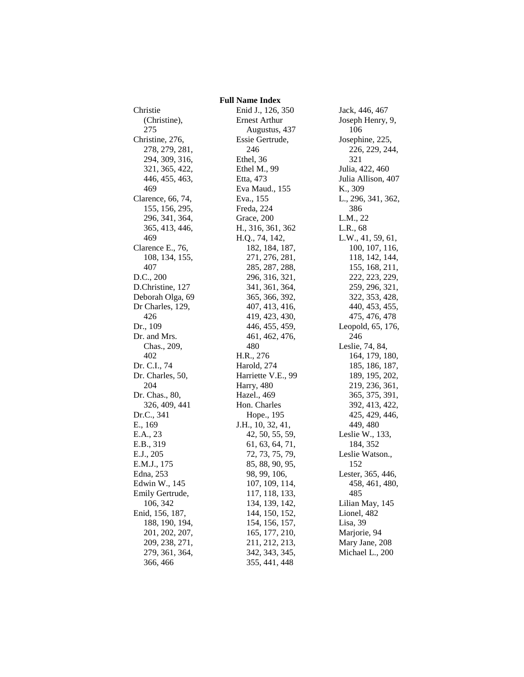Christie (Christine), 275 Christine, 276, 278, 279, 281, 294, 309, 316, 321, 365, 422, 446, 455, 463, 469 Clarence, 66, 74, 155, 156, 295, 296, 341, 364, 365, 413, 446, 469 Clarence E., 76, 108, 134, 155, 407 D.C., 200 D.Christine, 127 Deborah Olga, 69 Dr Charles, 129, 426 Dr., 109 Dr. and Mrs. Chas., 209, 402 Dr. C.I., 74 Dr. Charles, 50, 204 Dr. Chas., 80, 326, 409, 441 Dr.C., 341 E., 169 E.A., 23 E.B., 319 E.J., 205 E.M.J., 175 Edna, 253 Edwin W., 145 Emily Gertrude, 106, 342 Enid, 156, 187, 188, 190, 194, 201, 202, 207, 209, 238, 271, 279, 361, 364, 366, 466

 **Full Name Index** Enid J., 126, 350 Ernest Arthur Augustus, 437 Essie Gertrude, 246 Ethel, 36 Ethel M., 99 Etta, 473 Eva Maud., 155 Eva., 155 Freda, 224 Grace, 200 H., 316, 361, 362 H.Q., 74, 142, 182, 184, 187, 271, 276, 281, 285, 287, 288, 296, 316, 321, 341, 361, 364, 365, 366, 392, 407, 413, 416, 419, 423, 430, 446, 455, 459, 461, 462, 476, 480 H.R., 276 Harold, 274 Harriette V.E., 99 Harry, 480 Hazel., 469 Hon. Charles Hope., 195 J.H., 10, 32, 41, 42, 50, 55, 59, 61, 63, 64, 71, 72, 73, 75, 79, 85, 88, 90, 95, 98, 99, 106, 107, 109, 114, 117, 118, 133, 134, 139, 142, 144, 150, 152, 154, 156, 157, 165, 177, 210, 211, 212, 213, 342, 343, 345, 355, 441, 448

Jack, 446, 467 Joseph Henry, 9, 106 Josephine, 225, 226, 229, 244, 321 Julia, 422, 460 Julia Allison, 407 K., 309 L., 296, 341, 362, 386 L.M., 22 L.R., 68 L.W., 41, 59, 61, 100, 107, 116, 118, 142, 144, 155, 168, 211, 222, 223, 229, 259, 296, 321, 322, 353, 428, 440, 453, 455, 475, 476, 478 Leopold, 65, 176, 246 Leslie, 74, 84, 164, 179, 180, 185, 186, 187, 189, 195, 202, 219, 236, 361, 365, 375, 391, 392, 413, 422, 425, 429, 446, 449, 480 Leslie W., 133, 184, 352 Leslie Watson., 152 Lester, 365, 446, 458, 461, 480, 485 Lilian May, 145 Lionel, 482 Lisa, 39 Marjorie, 94 Mary Jane, 208 Michael L., 200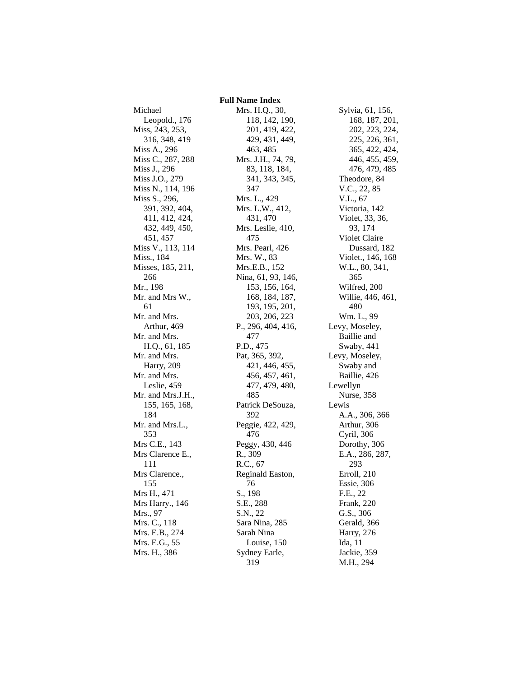## **Full Name Index** Leopold., 176

Miss, 243, 253, 316, 348, 419 Miss A., 296 Miss C., 287, 288 Miss J., 296 Miss J.O., 279 Miss N., 114, 196 Miss S., 296, 391, 392, 404, 411, 412, 424, 432, 449, 450, 451, 457 Miss V., 113, 114 Miss., 184 Misses, 185, 211, 266 Mr., 198 Mr. and Mrs W., 61 Mr. and Mrs. Arthur, 469 Mr. and Mrs. H.Q., 61, 185 Mr. and Mrs. Harry, 209 Mr. and Mrs. Leslie, 459 Mr. and Mrs.J.H., 155, 165, 168, 184 Mr. and Mrs.L., 353 Mrs C.E., 143 Mrs Clarence E., 111 Mrs Clarence., 155 Mrs H., 471 Mrs Harry., 146 Mrs., 97 Mrs. C., 118 Mrs. E.B., 274 Mrs. E.G., 55 Mrs. H., 386

Michael

Mrs. H.Q., 30, 118, 142, 190, 201, 419, 422, 429, 431, 449, 463, 485 Mrs. J.H., 74, 79, 83, 118, 184, 341, 343, 345, 347 Mrs. L., 429 Mrs. L.W., 412, 431, 470 Mrs. Leslie, 410, 475 Mrs. Pearl, 426 Mrs. W., 83 Mrs.E.B., 152 Nina, 61, 93, 146, 153, 156, 164, 168, 184, 187, 193, 195, 201, 203, 206, 223 P., 296, 404, 416, 477 P.D., 475 Pat, 365, 392, 421, 446, 455, 456, 457, 461, 477, 479, 480, 485 Patrick DeSouza, 392 Peggie, 422, 429, 476 Peggy, 430, 446 R., 309 R.C., 67 Reginald Easton, 76 S., 198 S.E., 288 S.N., 22 Sara Nina, 285 Sarah Nina Louise, 150 Sydney Earle, 319

Sylvia, 61, 156, 168, 187, 201, 202, 223, 224, 225, 226, 361, 365, 422, 424, 446, 455, 459, 476, 479, 485 Theodore, 84 V.C., 22, 85 V.L., 67 Victoria, 142 Violet, 33, 36, 93, 174 Violet Claire Dussard, 182 Violet., 146, 168 W.L., 80, 341, 365 Wilfred, 200 Willie, 446, 461, 480 Wm. L., 99 Levy, Moseley, Baillie and Swaby, 441 Levy, Moseley, Swaby and Baillie, 426 Lewellyn Nurse, 358 Lewis A.A., 306, 366 Arthur, 306 Cyril, 306 Dorothy, 306 E.A., 286, 287, 293 Erroll, 210 Essie, 306 F.E., 22 Frank, 220 G.S., 306 Gerald, 366 Harry, 276 Ida, 11 Jackie, 359 M.H., 294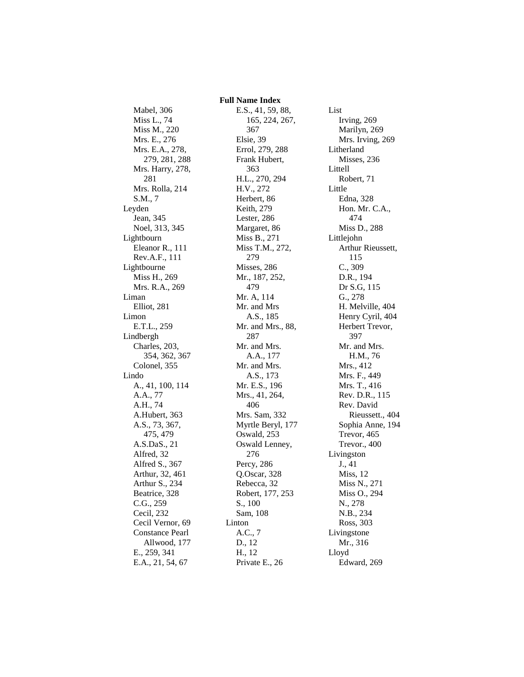Mabel, 306 Miss L., 74 Miss M., 220 Mrs. E., 276 Mrs. E.A., 278, 279, 281, 288 Mrs. Harry, 278, 281 Mrs. Rolla, 214 S.M., 7 Leyden Jean, 345 Noel, 313, 345 Lightbourn Eleanor R., 111 Rev.A.F., 111 Lightbourne Miss H., 269 Mrs. R.A., 269 Liman Elliot, 281 Limon E.T.L., 259 Lindbergh Charles, 203, 354, 362, 367 Colonel, 355 Lindo A., 41, 100, 114 A.A., 77 A.H., 74 A.Hubert, 363 A.S., 73, 367, 475, 479 A.S.DaS., 21 Alfred, 32 Alfred S., 367 Arthur, 32, 461 Arthur S., 234 Beatrice, 328 C.G., 259 Cecil, 232 Cecil Vernor, 69 Constance Pearl Allwood, 177 E., 259, 341 E.A., 21, 54, 67

 **Full Name Index** E.S., 41, 59, 88, 165, 224, 267, 367 Elsie, 39 Errol, 279, 288 Frank Hubert, 363 H.L., 270, 294 H.V., 272 Herbert, 86 Keith, 279 Lester, 286 Margaret, 86 Miss B., 271 Miss T.M., 272, 279 Misses, 286 Mr., 187, 252, 479 Mr. A, 114 Mr. and Mrs A.S., 185 Mr. and Mrs., 88, 287 Mr. and Mrs. A.A., 177 Mr. and Mrs. A.S., 173 Mr. E.S., 196 Mrs., 41, 264, 406 Mrs. Sam, 332 Myrtle Beryl, 177 Oswald, 253 Oswald Lenney, 276 Percy, 286 Q.Oscar, 328 Rebecca, 32 Robert, 177, 253 S., 100 Sam, 108 Linton A.C., 7 D., 12 H., 12 Private E., 26

List Irving, 269 Marilyn, 269 Mrs. Irving, 269 Litherland Misses, 236 Littell Robert, 71 Little Edna, 328 Hon. Mr. C.A., 474 Miss D., 288 Littlejohn Arthur Rieussett, 115 C., 309 D.R., 194 Dr S.G, 115 G., 278 H. Melville, 404 Henry Cyril, 404 Herbert Trevor, 397 Mr. and Mrs. H.M., 76 Mrs., 412 Mrs. F., 449 Mrs. T., 416 Rev. D.R., 115 Rev. David Rieussett., 404 Sophia Anne, 194 Trevor, 465 Trevor., 400 Livingston J., 41 Miss, 12 Miss N., 271 Miss O., 294 N., 278 N.B., 234 Ross, 303 Livingstone Mr., 316 Lloyd Edward, 269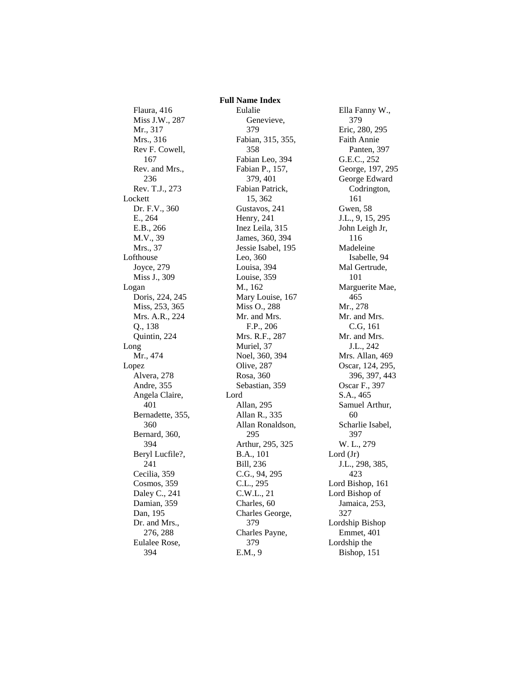## **Full Name Index**

Flaura, 416 Miss J.W., 287 Mr., 317 Mrs., 316 Rev F. Cowell, 167 Rev. and Mrs., 236 Rev. T.J., 273 Lockett Dr. F.V., 360 E., 264 E.B., 266 M.V., 39 Mrs., 37 Lofthouse Joyce, 279 Miss J., 309 Logan Doris, 224, 245 Miss, 253, 365 Mrs. A.R., 224 Q., 138 Quintin, 224 Long Mr., 474 Lopez Alvera, 278 Andre, 355 Angela Claire, 401 Bernadette, 355, 360 Bernard, 360, 394 Beryl Lucfile?, 241 Cecilia, 359 Cosmos, 359 Daley C., 241 Damian, 359 Dan, 195 Dr. and Mrs., 276, 288 Eulalee Rose, 394

Eulalie Genevieve, 379 Fabian, 315, 355, 358 Fabian Leo, 394 Fabian P., 157, 379, 401 Fabian Patrick, 15, 362 Gustavos, 241 Henry, 241 Inez Leila, 315 James, 360, 394 Jessie Isabel, 195 Leo, 360 Louisa, 394 Louise, 359 M., 162 Mary Louise, 167 Miss O., 288 Mr. and Mrs. F.P., 206 Mrs. R.F., 287 Muriel, 37 Noel, 360, 394 Olive, 287 Rosa, 360 Sebastian, 359 Lord Allan, 295 Allan R., 335 Allan Ronaldson, 295 Arthur, 295, 325 B.A., 101 Bill, 236 C.G., 94, 295 C.L., 295 C.W.L., 21 Charles, 60 Charles George, 379 Charles Payne, 379 E.M., 9

Ella Fanny W., 379 Eric, 280, 295 Faith Annie Panten, 397 G.E.C., 252 George, 197, 295 George Edward Codrington, 161 Gwen, 58 J.L., 9, 15, 295 John Leigh Jr, 116 Madeleine Isabelle, 94 Mal Gertrude, 101 Marguerite Mae, 465 Mr., 278 Mr. and Mrs. C.G, 161 Mr. and Mrs. J.L., 242 Mrs. Allan, 469 Oscar, 124, 295, 396, 397, 443 Oscar F., 397 S.A., 465 Samuel Arthur, 60 Scharlie Isabel, 397 W. L., 279 Lord (Jr) J.L., 298, 385, 423 Lord Bishop, 161 Lord Bishop of Jamaica, 253, 327 Lordship Bishop Emmet, 401 Lordship the Bishop, 151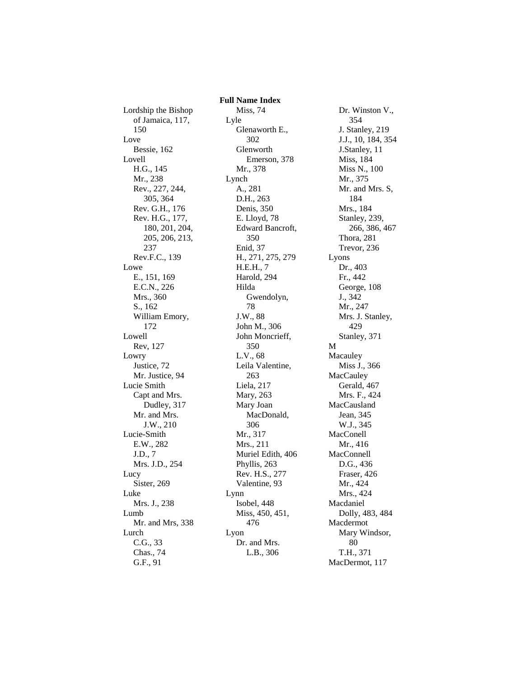Lordship the Bishop of Jamaica, 117, 150 Love Bessie, 162 Lovell H.G., 145 Mr., 238 Rev., 227, 244, 305, 364 Rev. G.H., 176 Rev. H.G., 177, 180, 201, 204, 205, 206, 213, 237 Rev.F.C., 139 Lowe E., 151, 169 E.C.N., 226 Mrs., 360 S., 162 William Emory, 172 Lowell Rev, 127 Lowry Justice, 72 Mr. Justice, 94 Lucie Smith Capt and Mrs. Dudley, 317 Mr. and Mrs. J.W., 210 Lucie-Smith E.W., 282 J.D., 7 Mrs. J.D., 254 Lucy Sister, 269 Luke Mrs. J., 238 Lumb Mr. and Mrs, 338 Lurch C.G., 33 Chas., 74 G.F., 91

 **Full Name Index** Miss, 74 Lyle Glenaworth E., 302 Glenworth Emerson, 378 Mr., 378 Lynch A., 281 D.H., 263 Denis, 350 E. Lloyd, 78 Edward Bancroft, 350 Enid, 37 H., 271, 275, 279 H.E.H., 7 Harold, 294 Hilda Gwendolyn, 78 J.W., 88 John M., 306 John Moncrieff, 350 L.V., 68 Leila Valentine, 263 Liela, 217 Mary, 263 Mary Joan MacDonald, 306 Mr., 317 Mrs., 211 Muriel Edith, 406 Phyllis, 263 Rev. H.S., 277 Valentine, 93 Lynn Isobel, 448 Miss, 450, 451, 476 Lyon Dr. and Mrs. L.B., 306

Dr. Winston V., 354 J. Stanley, 219 J.J., 10, 184, 354 J.Stanley, 11 Miss, 184 Miss N., 100 Mr., 375 Mr. and Mrs. S, 184 Mrs., 184 Stanley, 239, 266, 386, 467 Thora, 281 Trevor, 236 Lyons Dr., 403 Fr., 442 George, 108 J., 342 Mr., 247 Mrs. J. Stanley, 429 Stanley, 371 M Macauley Miss J., 366 MacCauley Gerald, 467 Mrs. F., 424 MacCausland Jean, 345 W.J., 345 MacConell Mr., 416 MacConnell D.G., 436 Fraser, 426 Mr., 424 Mrs., 424 Macdaniel Dolly, 483, 484 Macdermot Mary Windsor, 80 T.H., 371 MacDermot, 117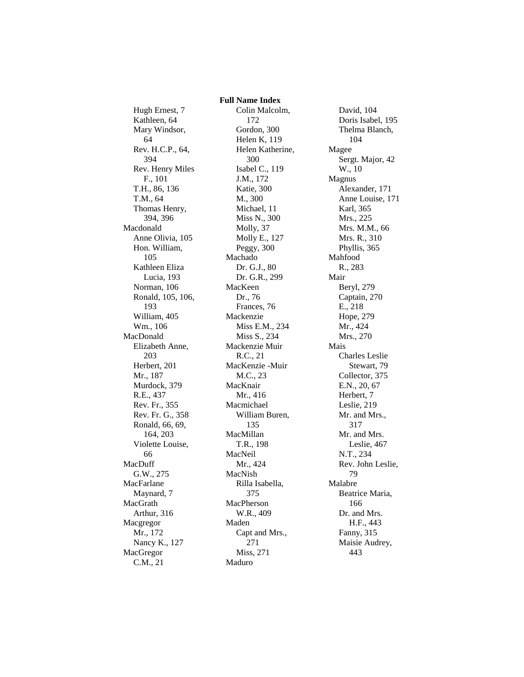Hugh Ernest, 7 Kathleen, 64 Mary Windsor, 64 Rev. H.C.P., 64, 394 Rev. Henry Miles F., 101 T.H., 86, 136 T.M., 64 Thomas Henry, 394, 396 Macdonald Anne Olivia, 105 Hon. William, 105 Kathleen Eliza Lucia, 193 Norman, 106 Ronald, 105, 106, 193 William, 405 Wm., 106 MacDonald Elizabeth Anne, 203 Herbert, 201 Mr., 187 Murdock, 379 R.E., 437 Rev. Fr., 355 Rev. Fr. G., 358 Ronald, 66, 69, 164, 203 Violette Louise, 66 MacDuff G.W., 275 MacFarlane Maynard, 7 MacGrath Arthur, 316 Macgregor Mr., 172 Nancy K., 127 MacGregor C.M., 21

 **Full Name Index** Colin Malcolm, 172 Gordon, 300 Helen K, 119 Helen Katherine, 300 Isabel C., 119 J.M., 172 Katie, 300 M., 300 Michael, 11 Miss N., 300 Molly, 37 Molly E., 127 Peggy, 300 Machado Dr. G.J., 80 Dr. G.R., 299 MacKeen Dr., 76 Frances, 76 Mackenzie Miss E.M., 234 Miss S., 234 Mackenzie Muir R.C., 21 MacKenzie -Muir M.C., 23 MacKnair Mr., 416 Macmichael William Buren, 135 MacMillan T.R., 198 MacNeil Mr., 424 MacNish Rilla Isabella, 375 MacPherson W.R., 409 Maden Capt and Mrs., 271 Miss, 271 Maduro

David, 104 Doris Isabel, 195 Thelma Blanch, 104 Magee Sergt. Major, 42 W., 10 Magnus Alexander, 171 Anne Louise, 171 Karl, 365 Mrs., 225 Mrs. M.M., 66 Mrs. R., 310 Phyllis, 365 Mahfood R., 283 Mair Beryl, 279 Captain, 270 E., 218 Hope, 279 Mr., 424 Mrs., 270 Mais Charles Leslie Stewart, 79 Collector, 375 E.N., 20, 67 Herbert, 7 Leslie, 219 Mr. and Mrs., 317 Mr. and Mrs. Leslie, 467 N.T., 234 Rev. John Leslie, 79 Malabre Beatrice Maria, 166 Dr. and Mrs. H.F., 443 Fanny, 315 Maisie Audrey, 443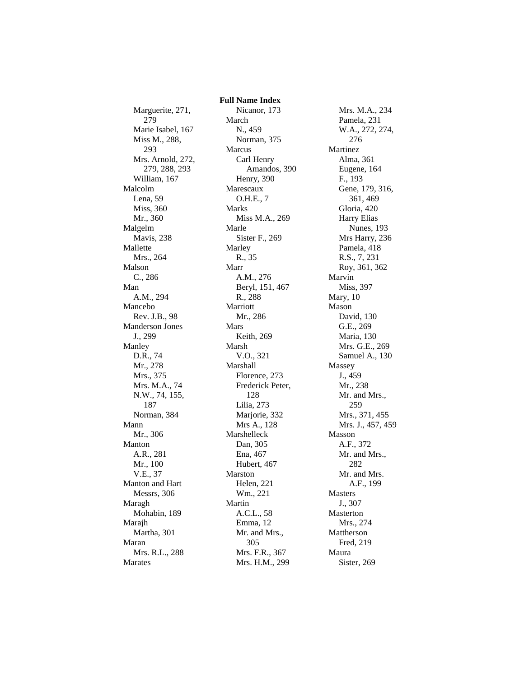Marguerite, 271, 279 Marie Isabel, 167 Miss M., 288, 293 Mrs. Arnold, 272, 279, 288, 293 William, 167 Malcolm Lena, 59 Miss, 360 Mr., 360 Malgelm Mavis, 238 Mallette Mrs., 264 Malson C., 286 Man A.M., 294 Mancebo Rev. J.B., 98 Manderson Jones J., 299 Manley D.R., 74 Mr., 278 Mrs., 375 Mrs. M.A., 74 N.W., 74, 155, 187 Norman, 384 Mann Mr., 306 Manton A.R., 281 Mr., 100 V.E., 37 Manton and Hart Messrs, 306 Maragh Mohabin, 189 Marajh Martha, 301 Maran Mrs. R.L., 288 Marates

 **Full Name Index** Nicanor, 173 March N., 459 Norman, 375 Marcus Carl Henry Amandos, 390 Henry, 390 Marescaux O.H.E., 7 Marks Miss M.A., 269 Marle Sister F., 269 Marley R., 35 Marr A.M., 276 Beryl, 151, 467 R., 288 Marriott Mr., 286 Mars Keith, 269 Marsh V.O., 321 Marshall Florence, 273 Frederick Peter, 128 Lilia, 273 Marjorie, 332 Mrs A., 128 Marshelleck Dan, 305 Ena, 467 Hubert, 467 Marston Helen, 221 Wm., 221 Martin A.C.L., 58 Emma, 12 Mr. and Mrs., 305 Mrs. F.R., 367 Mrs. H.M., 299

Mrs. M.A., 234 Pamela, 231 W.A., 272, 274, 276 Martinez Alma, 361 Eugene, 164 F., 193 Gene, 179, 316, 361, 469 Gloria, 420 Harry Elias Nunes, 193 Mrs Harry, 236 Pamela, 418 R.S., 7, 231 Roy, 361, 362 Marvin Miss, 397 Mary, 10 Mason David, 130 G.E., 269 Maria, 130 Mrs. G.E., 269 Samuel A., 130 Massey J., 459 Mr., 238 Mr. and Mrs., 259 Mrs., 371, 455 Mrs. J., 457, 459 Masson A.F., 372 Mr. and Mrs., 282 Mr. and Mrs. A.F., 199 Masters J., 307 Masterton Mrs., 274 Mattherson Fred, 219 Maura Sister, 269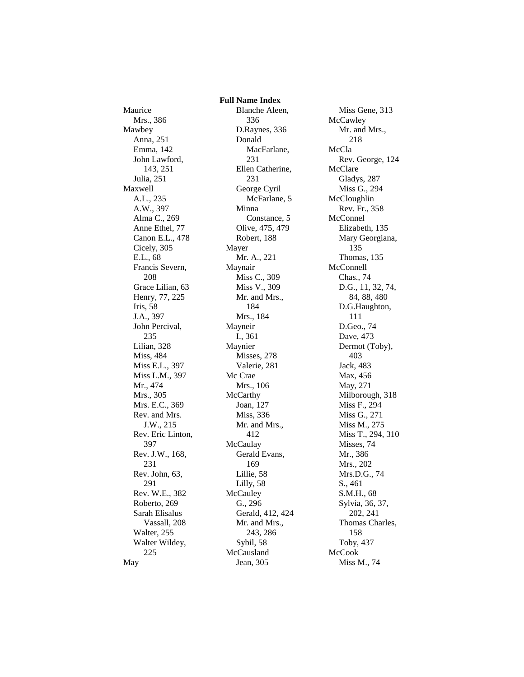Maurice Mrs., 386 Mawbey Anna, 251 Emma, 142 John Lawford, 143, 251 Julia, 251 Maxwell A.L., 235 A.W., 397 Alma C., 269 Anne Ethel, 77 Canon E.L., 478 Cicely, 305 E.L., 68 Francis Severn, 208 Grace Lilian, 63 Henry, 77, 225 Iris, 58 J.A., 397 John Percival, 235 Lilian, 328 Miss, 484 Miss E.L., 397 Miss L.M., 397 Mr., 474 Mrs., 305 Mrs. E.C., 369 Rev. and Mrs. J.W., 215 Rev. Eric Linton, 397 Rev. J.W., 168, 231 Rev. John, 63, 291 Rev. W.E., 382 Roberto, 269 Sarah Elisalus Vassall, 208 Walter, 255 Walter Wildey, 225 May

 **Full Name Index** Blanche Aleen, 336 D.Raynes, 336 Donald MacFarlane, 231 Ellen Catherine, 231 George Cyril McFarlane, 5 Minna Constance, 5 Olive, 475, 479 Robert, 188 Mayer Mr. A., 221 Maynair Miss C., 309 Miss V., 309 Mr. and Mrs., 184 Mrs., 184 Mayneir I., 361 Maynier Misses, 278 Valerie, 281 Mc Crae Mrs., 106 **McCarthy** Joan, 127 Miss, 336 Mr. and Mrs., 412 **McCaulay** Gerald Evans, 169 Lillie, 58 Lilly, 58 **McCauley** G., 296 Gerald, 412, 424 Mr. and Mrs., 243, 286 Sybil, 58 McCausland Jean, 305

Miss Gene, 313 **McCawley** Mr. and Mrs., 218 McCla Rev. George, 124 McClare Gladys, 287 Miss G., 294 McCloughlin Rev. Fr., 358 McConnel Elizabeth, 135 Mary Georgiana, 135 Thomas, 135 McConnell Chas., 74 D.G., 11, 32, 74, 84, 88, 480 D.G.Haughton, 111 D.Geo., 74 Dave, 473 Dermot (Toby), 403 Jack, 483 Max, 456 May, 271 Milborough, 318 Miss F., 294 Miss G., 271 Miss M., 275 Miss T., 294, 310 Misses, 74 Mr., 386 Mrs., 202 Mrs.D.G., 74 S., 461 S.M.H., 68 Sylvia, 36, 37, 202, 241 Thomas Charles, 158 Toby, 437 McCook Miss M., 74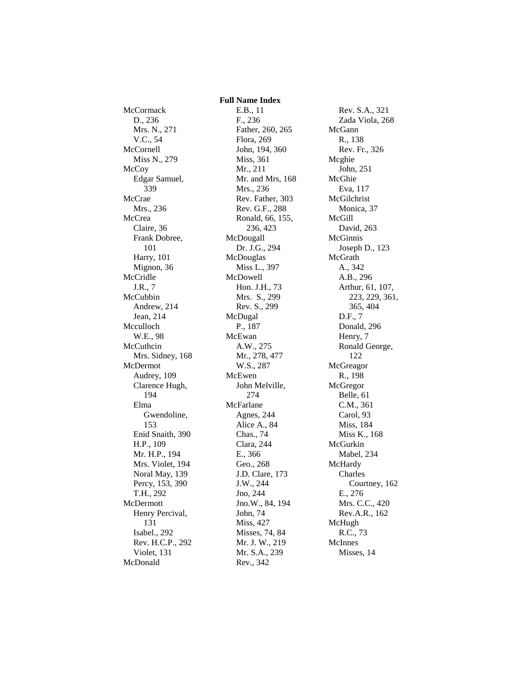**McCormack** D., 236 Mrs. N., 271 V.C., 54 McCornell Miss N., 279 **McCoy** Edgar Samuel, 339 McCrae Mrs., 236 McCrea Claire, 36 Frank Dobree, 101 Harry, 101 Mignon, 36 McCridle J.R., 7 McCubbin Andrew, 214 Jean, 214 Mcculloch W.E., 98 McCuthcin Mrs. Sidney, 168 McDermot Audrey, 109 Clarence Hugh, 194 Elma Gwendoline, 153 Enid Snaith, 390 H.P., 109 Mr. H.P., 194 Mrs. Violet, 194 Noral May, 139 Percy, 153, 390 T.H., 292 McDermott Henry Percival, 131 Isabel., 292 Rev. H.C.P., 292 Violet, 131 McDonald

 **Full Name Index** E.B., 11 F., 236 Father, 260, 265 Flora, 269 John, 194, 360 Miss, 361 Mr., 211 Mr. and Mrs, 168 Mrs., 236 Rev. Father, 303 Rev. G.F., 288 Ronald, 66, 155, 236, 423 McDougall Dr. J.G., 294 McDouglas Miss L., 397 McDowell Hon. J.H., 73 Mrs. S., 299 Rev. S., 299 McDugal P., 187 McEwan A.W., 275 Mr., 278, 477 W.S., 287 McEwen John Melville, 274 McFarlane Agnes, 244 Alice A., 84 Chas., 74 Clara, 244 E., 366 Geo., 268 J.D. Clare, 173 J.W., 244 Jno, 244 Jno.W., 84, 194 John, 74 Miss, 427 Misses, 74, 84 Mr. J. W., 219 Mr. S.A., 239 Rev., 342

Rev. S.A., 321 Zada Viola, 268 McGann R., 138 Rev. Fr., 326 Mcghie John, 251 McGhie Eva, 117 McGilchrist Monica, 37 McGill David, 263 McGinnis Joseph D., 123 McGrath A., 342 A.B., 296 Arthur, 61, 107, 223, 229, 361, 365, 404 D.F., 7 Donald, 296 Henry, 7 Ronald George, 122 McGreagor R., 198 McGregor Belle, 61 C.M., 361 Carol, 93 Miss, 184 Miss K., 168 McGurkin Mabel, 234 McHardy Charles Courtney, 162 E., 276 Mrs. C.C., 420 Rev.A.R., 162 McHugh R.C., 73 McInnes Misses, 14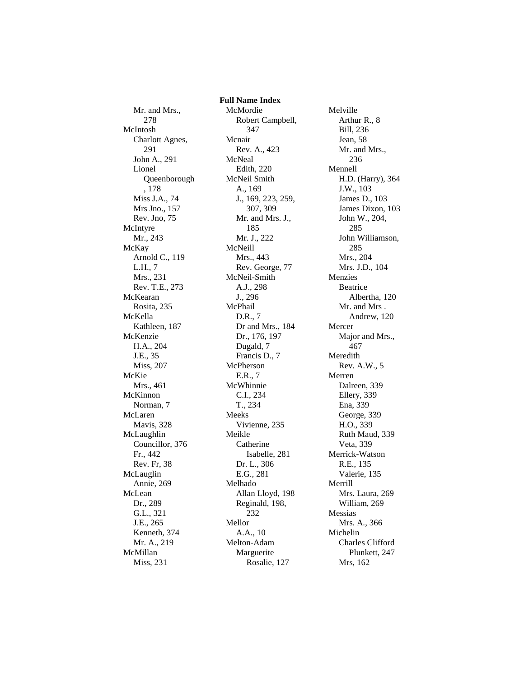Mr. and Mrs., 278 McIntosh Charlott Agnes, 291 John A., 291 Lionel Queenborough , 178 Miss J.A., 74 Mrs Jno., 157 Rev. Jno, 75 McIntyre Mr., 243 McKay Arnold C., 119 L.H., 7 Mrs., 231 Rev. T.E., 273 McKearan Rosita, 235 McKella Kathleen, 187 McKenzie H.A., 204 J.E., 35 Miss, 207 McKie Mrs., 461 McKinnon Norman, 7 McLaren Mavis, 328 McLaughlin Councillor, 376 Fr., 442 Rev. Fr, 38 McLauglin Annie, 269 McLean Dr., 289 G.L., 321 J.E., 265 Kenneth, 374 Mr. A., 219 McMillan Miss, 231

 **Full Name Index** McMordie Robert Campbell, 347 Mcnair Rev. A., 423 McNeal Edith, 220 McNeil Smith A., 169 J., 169, 223, 259, 307, 309 Mr. and Mrs. J., 185 Mr. J., 222 McNeill Mrs., 443 Rev. George, 77 McNeil-Smith A.J., 298 J., 296 McPhail D.R., 7 Dr and Mrs., 184 Dr., 176, 197 Dugald, 7 Francis D., 7 McPherson E.R., 7 McWhinnie C.I., 234 T., 234 Meeks Vivienne, 235 Meikle Catherine Isabelle, 281 Dr. L., 306 E.G., 281 Melhado Allan Lloyd, 198 Reginald, 198, 232 Mellor A.A., 10 Melton-Adam Marguerite Rosalie, 127

Melville Arthur R., 8 Bill, 236 Jean, 58 Mr. and Mrs., 236 Mennell H.D. (Harry), 364 J.W., 103 James D., 103 James Dixon, 103 John W., 204, 285 John Williamson, 285 Mrs., 204 Mrs. J.D., 104 Menzies Beatrice Albertha, 120 Mr. and Mrs . Andrew, 120 Mercer Major and Mrs., 467 Meredith Rev. A.W., 5 Merren Dalreen, 339 Ellery, 339 Ena, 339 George, 339 H.O., 339 Ruth Maud, 339 Veta, 339 Merrick-Watson R.E., 135 Valerie, 135 Merrill Mrs. Laura, 269 William, 269 Messias Mrs. A., 366 Michelin Charles Clifford Plunkett, 247 Mrs, 162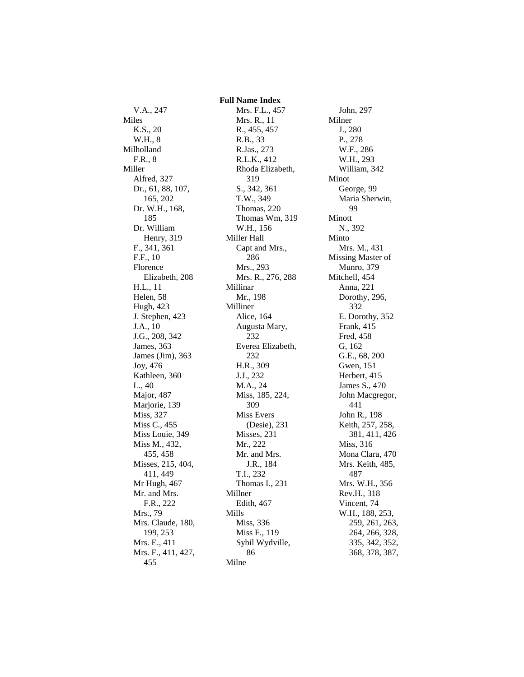V.A., 247 Miles K.S., 20 W.H., 8 Milholland F.R., 8 Miller Alfred, 327 Dr., 61, 88, 107, 165, 202 Dr. W.H., 168, 185 Dr. William Henry, 319 F., 341, 361 F.F., 10 Florence Elizabeth, 208 H.L., 11 Helen, 58 Hugh, 423 J. Stephen, 423 J.A., 10 J.G., 208, 342 James, 363 James (Jim), 363 Joy, 476 Kathleen, 360 L., 40 Major, 487 Marjorie, 139 Miss, 327 Miss C., 455 Miss Louie, 349 Miss M., 432, 455, 458 Misses, 215, 404, 411, 449 Mr Hugh, 467 Mr. and Mrs. F.R., 222 Mrs., 79 Mrs. Claude, 180, 199, 253 Mrs. E., 411 Mrs. F., 411, 427, 455

 **Full Name Index** Mrs. F.L., 457 Mrs. R., 11 R., 455, 457 R.B., 33 R.Jas., 273 R.L.K., 412 Rhoda Elizabeth, 319 S., 342, 361 T.W., 349 Thomas, 220 Thomas Wm, 319 W.H., 156 Miller Hall Capt and Mrs., 286 Mrs., 293 Mrs. R., 276, 288 Millinar Mr., 198 Milliner Alice, 164 Augusta Mary, 232 Everea Elizabeth, 232 H.R., 309 J.J., 232 M.A., 24 Miss, 185, 224, 309 Miss Evers (Desie), 231 Misses, 231 Mr., 222 Mr. and Mrs. J.R., 184 T.I., 232 Thomas I., 231 Millner Edith, 467 Mills Miss, 336 Miss F., 119 Sybil Wydville, 86 Milne

John, 297 Milner J., 280 P., 278 W.F., 286 W.H., 293 William, 342 Minot George, 99 Maria Sherwin, 99 Minott N., 392 Minto Mrs. M., 431 Missing Master of Munro, 379 Mitchell, 454 Anna, 221 Dorothy, 296, 332 E. Dorothy, 352 Frank, 415 Fred, 458 G, 162 G.E., 68, 200 Gwen, 151 Herbert, 415 James S., 470 John Macgregor, 441 John R., 198 Keith, 257, 258, 381, 411, 426 Miss, 316 Mona Clara, 470 Mrs. Keith, 485, 487 Mrs. W.H., 356 Rev.H., 318 Vincent, 74 W.H., 188, 253, 259, 261, 263, 264, 266, 328, 335, 342, 352, 368, 378, 387,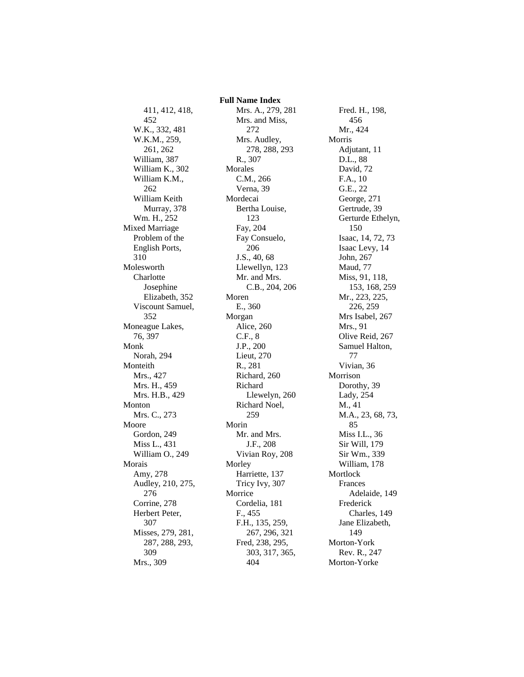411, 412, 418, 452 W.K., 332, 481 W.K.M., 259, 261, 262 William, 387 William K., 302 William K.M., 262 William Keith Murray, 378 Wm. H., 252 Mixed Marriage Problem of the English Ports, 310 Molesworth **Charlotte** Josephine Elizabeth, 352 Viscount Samuel, 352 Moneague Lakes, 76, 397 Monk Norah, 294 Monteith Mrs., 427 Mrs. H., 459 Mrs. H.B., 429 Monton Mrs. C., 273 Moore Gordon, 249 Miss L., 431 William O., 249 Morais Amy, 278 Audley, 210, 275, 276 Corrine, 278 Herbert Peter, 307 Misses, 279, 281, 287, 288, 293, 309 Mrs., 309

 **Full Name Index** Mrs. A., 279, 281 Mrs. and Miss, 272 Mrs. Audley, 278, 288, 293 R., 307 Morales C.M., 266 Verna, 39 Mordecai Bertha Louise, 123 Fay, 204 Fay Consuelo, 206 J.S., 40, 68 Llewellyn, 123 Mr. and Mrs. C.B., 204, 206 Moren E., 360 Morgan Alice, 260 C.F., 8 J.P., 200 Lieut, 270 R., 281 Richard, 260 Richard Llewelyn, 260 Richard Noel, 259 Morin Mr. and Mrs. J.F., 208 Vivian Roy, 208 Morley Harriette, 137 Tricy Ivy, 307 Morrice Cordelia, 181 F., 455 F.H., 135, 259, 267, 296, 321 Fred, 238, 295, 303, 317, 365, 404

Fred. H., 198, 456 Mr., 424 Morris Adjutant, 11 D.L., 88 David, 72 F.A., 10 G.E., 22 George, 271 Gertrude, 39 Gerturde Ethelyn, 150 Isaac, 14, 72, 73 Isaac Levy, 14 John, 267 Maud, 77 Miss, 91, 118, 153, 168, 259 Mr., 223, 225, 226, 259 Mrs Isabel, 267 Mrs., 91 Olive Reid, 267 Samuel Halton, 77 Vivian, 36 Morrison Dorothy, 39 Lady, 254 M., 41 M.A., 23, 68, 73, 85 Miss I.L., 36 Sir Will, 179 Sir Wm., 339 William, 178 Mortlock Frances Adelaide, 149 Frederick Charles, 149 Jane Elizabeth, 149 Morton-York Rev. R., 247 Morton-Yorke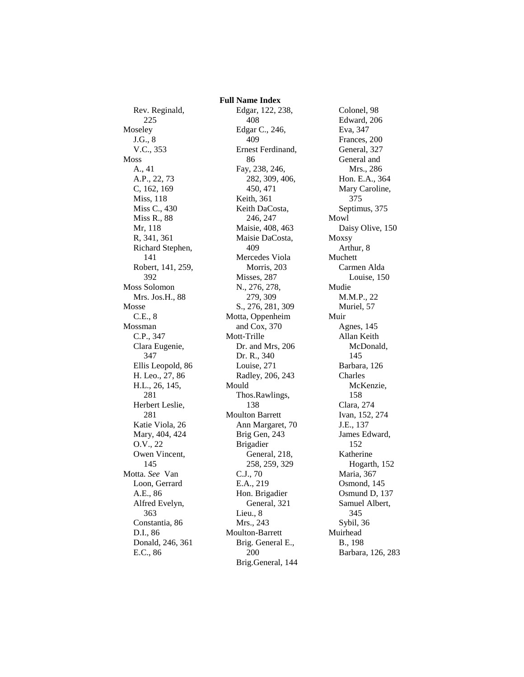Rev. Reginald, 225 Moseley J.G., 8 V.C., 353 Moss A., 41 A.P., 22, 73 C, 162, 169 Miss, 118 Miss C., 430 Miss R., 88 Mr, 118 R, 341, 361 Richard Stephen, 141 Robert, 141, 259, 392 Moss Solomon Mrs. Jos.H., 88 Mosse C.E., 8 Mossman C.P., 347 Clara Eugenie, 347 Ellis Leopold, 86 H. Leo., 27, 86 H.L., 26, 145, 281 Herbert Leslie, 281 Katie Viola, 26 Mary, 404, 424 O.V., 22 Owen Vincent, 145 Motta. *See* Van Loon, Gerrard A.E., 86 Alfred Evelyn, 363 Constantia, 86 D.I., 86 Donald, 246, 361 E.C., 86

 **Full Name Index** Edgar, 122, 238, 408 Edgar C., 246, 409 Ernest Ferdinand, 86 Fay, 238, 246, 282, 309, 406, 450, 471 Keith, 361 Keith DaCosta, 246, 247 Maisie, 408, 463 Maisie DaCosta, 409 Mercedes Viola Morris, 203 Misses, 287 N., 276, 278, 279, 309 S., 276, 281, 309 Motta, Oppenheim and Cox, 370 Mott-Trille Dr. and Mrs, 206 Dr. R., 340 Louise, 271 Radley, 206, 243 Mould Thos.Rawlings, 138 Moulton Barrett Ann Margaret, 70 Brig Gen, 243 Brigadier General, 218, 258, 259, 329 C.J., 70 E.A., 219 Hon. Brigadier General, 321 Lieu., 8 Mrs., 243 Moulton-Barrett Brig. General E., 200 Brig.General, 144

Colonel, 98 Edward, 206 Eva, 347 Frances, 200 General, 327 General and Mrs., 286 Hon. E.A., 364 Mary Caroline, 375 Septimus, 375 Mowl Daisy Olive, 150 Moxsy Arthur, 8 Muchett Carmen Alda Louise, 150 Mudie M.M.P., 22 Muriel, 57 Muir Agnes, 145 Allan Keith McDonald, 145 Barbara, 126 Charles McKenzie, 158 Clara, 274 Ivan, 152, 274 J.E., 137 James Edward, 152 Katherine Hogarth, 152 Maria, 367 Osmond, 145 Osmund D, 137 Samuel Albert, 345 Sybil, 36 Muirhead B., 198 Barbara, 126, 283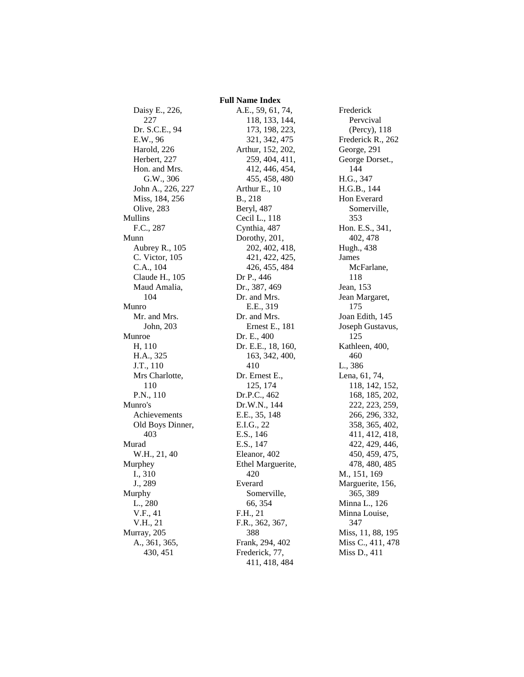Daisy E., 226, 227 Dr. S.C.E., 94 E.W., 96 Harold, 226 Herbert, 227 Hon. and Mrs. G.W., 306 John A., 226, 227 Miss, 184, 256 Olive, 283 Mullins F.C., 287 Munn Aubrey R., 105 C. Victor, 105 C.A., 104 Claude H., 105 Maud Amalia, 104 Munro Mr. and Mrs. John, 203 Munroe H, 110 H.A., 325 J.T., 110 Mrs Charlotte, 110 P.N., 110 Munro's Achievements Old Boys Dinner, 403 Murad W.H., 21, 40 Murphey I., 310 J., 289 Murphy L., 280 V.F., 41 V.H., 21 Murray, 205 A., 361, 365, 430, 451

 **Full Name Index** A.E., 59, 61, 74, 118, 133, 144, 173, 198, 223, 321, 342, 475 Arthur, 152, 202, 259, 404, 411, 412, 446, 454, 455, 458, 480 Arthur E., 10 B., 218 Beryl, 487 Cecil L., 118 Cynthia, 487 Dorothy, 201, 202, 402, 418, 421, 422, 425, 426, 455, 484 Dr P., 446 Dr., 387, 469 Dr. and Mrs. E.E., 319 Dr. and Mrs. Ernest E., 181 Dr. E., 400 Dr. E.E., 18, 160, 163, 342, 400, 410 Dr. Ernest E., 125, 174 Dr.P.C., 462 Dr.W.N., 144 E.E., 35, 148 E.I.G., 22 E.S., 146 E.S., 147 Eleanor, 402 Ethel Marguerite, 420 Everard Somerville, 66, 354 F.H., 21 F.R., 362, 367, 388 Frank, 294, 402 Frederick, 77, 411, 418, 484

Frederick Pervcival (Percy), 118 Frederick R., 262 George, 291 George Dorset., 144 H.G., 347 H.G.B., 144 Hon Everard Somerville, 353 Hon. E.S., 341, 402, 478 Hugh., 438 James McFarlane, 118 Jean, 153 Jean Margaret, 175 Joan Edith, 145 Joseph Gustavus, 125 Kathleen, 400, 460 L., 386 Lena, 61, 74, 118, 142, 152, 168, 185, 202, 222, 223, 259, 266, 296, 332, 358, 365, 402, 411, 412, 418, 422, 429, 446, 450, 459, 475, 478, 480, 485 M., 151, 169 Marguerite, 156, 365, 389 Minna L., 126 Minna Louise, 347 Miss, 11, 88, 195 Miss C., 411, 478 Miss D., 411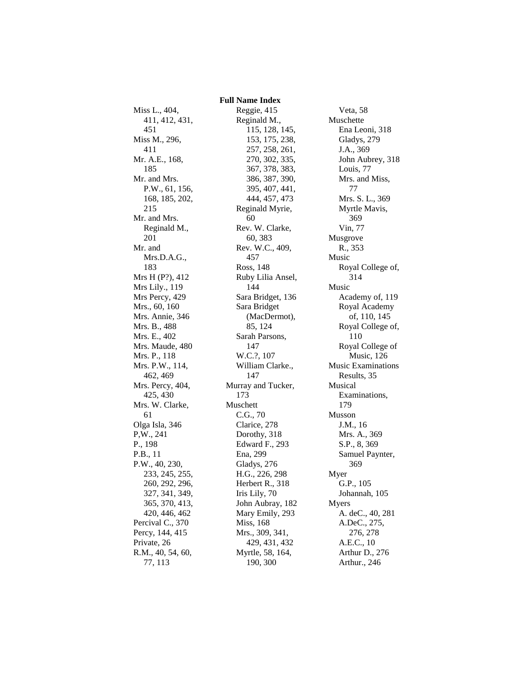Miss L., 404, 411, 412, 431, 451 Miss M., 296, 411 Mr. A.E., 168, 185 Mr. and Mrs. P.W., 61, 156, 168, 185, 202, 215 Mr. and Mrs. Reginald M., 201 Mr. and Mrs.D.A.G., 183 Mrs H (P?), 412 Mrs Lily., 119 Mrs Percy, 429 Mrs., 60, 160 Mrs. Annie, 346 Mrs. B., 488 Mrs. E., 402 Mrs. Maude, 480 Mrs. P., 118 Mrs. P.W., 114, 462, 469 Mrs. Percy, 404, 425, 430 Mrs. W. Clarke, 61 Olga Isla, 346 P,W., 241 P., 198 P.B., 11 P.W., 40, 230, 233, 245, 255, 260, 292, 296, 327, 341, 349, 365, 370, 413, 420, 446, 462 Percival C., 370 Percy, 144, 415 Private, 26 R.M., 40, 54, 60, 77, 113

 **Full Name Index** Reggie, 415 Reginald M., 115, 128, 145, 153, 175, 238, 257, 258, 261, 270, 302, 335, 367, 378, 383, 386, 387, 390, 395, 407, 441, 444, 457, 473 Reginald Myrie, 60 Rev. W. Clarke, 60, 383 Rev. W.C., 409, 457 Ross, 148 Ruby Lilia Ansel, 144 Sara Bridget, 136 Sara Bridget (MacDermot), 85, 124 Sarah Parsons, 147 W.C.?, 107 William Clarke., 147 Murray and Tucker, 173 Muschett C.G., 70 Clarice, 278 Dorothy, 318 Edward F., 293 Ena, 299 Gladys, 276 H.G., 226, 298 Herbert R., 318 Iris Lily, 70 John Aubray, 182 Mary Emily, 293 Miss, 168 Mrs., 309, 341, 429, 431, 432 Myrtle, 58, 164, 190, 300

Veta, 58 Muschette Ena Leoni, 318 Gladys, 279 J.A., 369 John Aubrey, 318 Louis, 77 Mrs. and Miss, 77 Mrs. S. L., 369 Myrtle Mavis, 369 Vin, 77 Musgrove R., 353 Music Royal College of, 314 Music Academy of, 119 Royal Academy of, 110, 145 Royal College of, 110 Royal College of Music, 126 Music Examinations Results, 35 Musical Examinations, 179 Musson J.M., 16 Mrs. A., 369 S.P., 8, 369 Samuel Paynter, 369 Myer G.P., 105 Johannah, 105 Myers A. deC., 40, 281 A.DeC., 275, 276, 278 A.E.C., 10 Arthur D., 276 Arthur., 246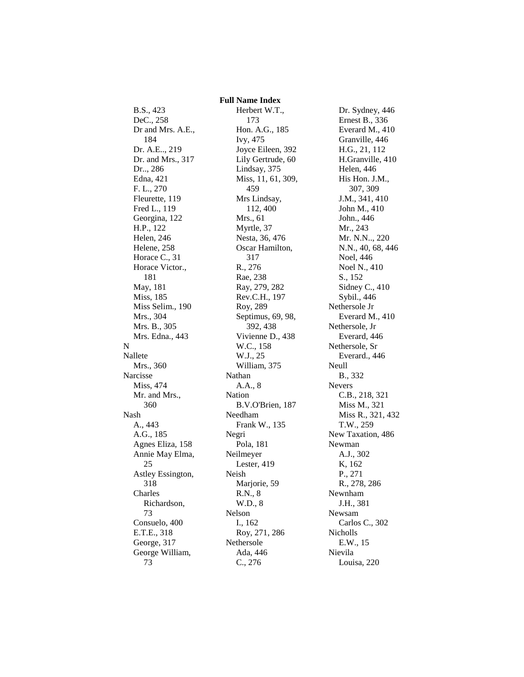## B.S., 423 DeC., 258 Dr and Mrs. A.E., 184 Dr. A.E.., 219 Dr. and Mrs., 317 Dr.., 286 Edna, 421 F. L., 270 Fleurette, 119 Fred L., 119 Georgina, 122 H.P., 122 Helen, 246 Helene, 258 Horace C., 31 Horace Victor., 181 May, 181 Miss, 185 Miss Selim., 190 Mrs., 304 Mrs. B., 305 Mrs. Edna., 443 N Nallete Mrs., 360 Narcisse Miss, 474 Mr. and Mrs., 360 Nash A., 443 A.G., 185 Agnes Eliza, 158 Annie May Elma, 25 Astley Essington, 318 Charles Richardson, 73 Consuelo, 400 E.T.E., 318 George, 317 George William, 73

 **Full Name Index** Herbert W.T., 173 Hon. A.G., 185 Ivy, 475 Joyce Eileen, 392 Lily Gertrude, 60 Lindsay, 375 Miss, 11, 61, 309, 459 Mrs Lindsay, 112, 400 Mrs., 61 Myrtle, 37 Nesta, 36, 476 Oscar Hamilton, 317 R., 276 Rae, 238 Ray, 279, 282 Rev.C.H., 197 Roy, 289 Septimus, 69, 98, 392, 438 Vivienne D., 438 W.C., 158 W.J., 25 William, 375 Nathan A.A., 8 Nation B.V.O'Brien, 187 Needham Frank W., 135 Negri Pola, 181 Neilmeyer Lester, 419 Neish Marjorie, 59 R.N., 8 W.D., 8 Nelson I., 162 Roy, 271, 286 Nethersole Ada, 446 C., 276

Dr. Sydney, 446 Ernest B., 336 Everard M., 410 Granville, 446 H.G., 21, 112 H.Granville, 410 Helen, 446 His Hon. J.M., 307, 309 J.M., 341, 410 John M., 410 John., 446 Mr., 243 Mr. N.N.., 220 N.N., 40, 68, 446 Noel, 446 Noel N., 410 S., 152 Sidney C., 410 Sybil., 446 Nethersole Jr Everard M., 410 Nethersole, Jr Everard, 446 Nethersole, Sr Everard., 446 Neull B., 332 Nevers C.B., 218, 321 Miss M., 321 Miss R., 321, 432 T.W., 259 New Taxation, 486 Newman A.J., 302 K, 162 P., 271 R., 278, 286 Newnham J.H., 381 Newsam Carlos C., 302 Nicholls E.W., 15 Nievila Louisa, 220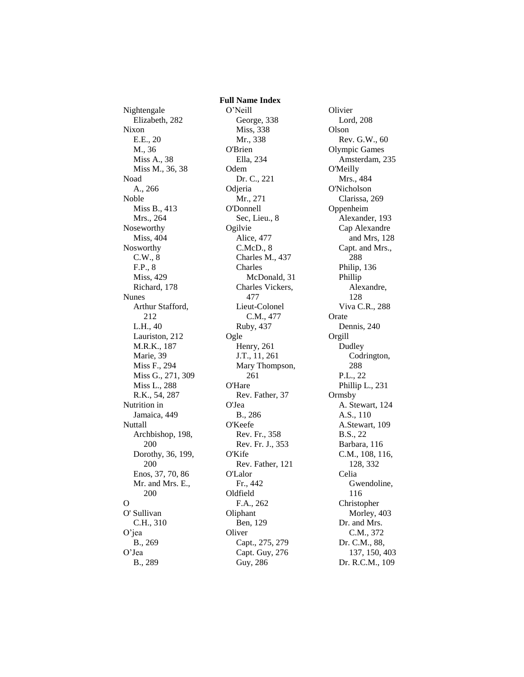Nightengale Elizabeth, 282 Nixon E.E., 20 M., 36 Miss A., 38 Miss M., 36, 38 Noad A., 266 Noble Miss B., 413 Mrs., 264 Noseworthy Miss, 404 Nosworthy C.W., 8 F.P., 8 Miss, 429 Richard, 178 Nunes Arthur Stafford, 212 L.H., 40 Lauriston, 212 M.R.K., 187 Marie, 39 Miss F., 294 Miss G., 271, 309 Miss L., 288 R.K., 54, 287 Nutrition in Jamaica, 449 **Nuttall** Archbishop, 198, 200 Dorothy, 36, 199, 200 Enos, 37, 70, 86 Mr. and Mrs. E., 200 O O' Sullivan C.H., 310 O'jea B., 269 O'Jea B., 289

 **Full Name Index** O'Neill George, 338 Miss, 338 Mr., 338 O'Brien Ella, 234 Odem Dr. C., 221 Odjeria Mr., 271 O'Donnell Sec, Lieu., 8 **Ogilvie** Alice, 477 C.McD., 8 Charles M., 437 Charles McDonald, 31 Charles Vickers, 477 Lieut-Colonel C.M., 477 Ruby, 437 Ogle Henry, 261 J.T., 11, 261 Mary Thompson, 261 O'Hare Rev. Father, 37 O'Jea B., 286 O'Keefe Rev. Fr., 358 Rev. Fr. J., 353 O'Kife Rev. Father, 121 O'Lalor Fr., 442 Oldfield F.A., 262 Oliphant Ben, 129 **Oliver** Capt., 275, 279 Capt. Guy, 276 Guy, 286

**Olivier** Lord, 208 Olson Rev. G.W., 60 Olympic Games Amsterdam, 235 O'Meilly Mrs., 484 O'Nicholson Clarissa, 269 Oppenheim Alexander, 193 Cap Alexandre and Mrs, 128 Capt. and Mrs., 288 Philip, 136 Phillip Alexandre, 128 Viva C.R., 288 Orate Dennis, 240 Orgill Dudley Codrington, 288 P.L., 22 Phillip L., 231 Ormsby A. Stewart, 124 A.S., 110 A.Stewart, 109 B.S., 22 Barbara, 116 C.M., 108, 116, 128, 332 Celia Gwendoline, 116 Christopher Morley, 403 Dr. and Mrs. C.M., 372 Dr. C.M., 88, 137, 150, 403 Dr. R.C.M., 109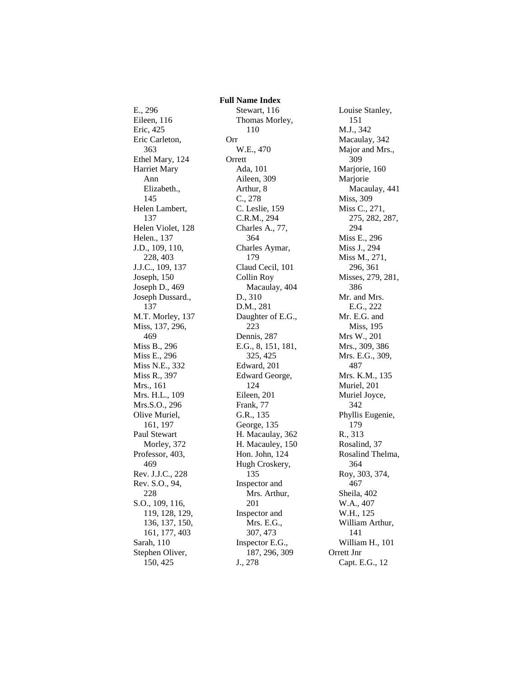E., 296 Eileen, 116 Eric, 425 Eric Carleton, 363 Ethel Mary, 124 Harriet Mary Ann Elizabeth., 145 Helen Lambert, 137 Helen Violet, 128 Helen., 137 J.D., 109, 110, 228, 403 J.J.C., 109, 137 Joseph, 150 Joseph D., 469 Joseph Dussard., 137 M.T. Morley, 137 Miss, 137, 296, 469 Miss B., 296 Miss E., 296 Miss N.E., 332 Miss R., 397 Mrs., 161 Mrs. H.L., 109 Mrs.S.O., 296 Olive Muriel, 161, 197 Paul Stewart Morley, 372 Professor, 403, 469 Rev. J.J.C., 228 Rev. S.O., 94, 228 S.O., 109, 116, 119, 128, 129, 136, 137, 150, 161, 177, 403 Sarah, 110 Stephen Oliver, 150, 425

 **Full Name Index** Stewart, 116 Thomas Morley, 110 Orr W.E., 470 Orrett Ada, 101 Aileen, 309 Arthur, 8 C., 278 C. Leslie, 159 C.R.M., 294 Charles A., 77, 364 Charles Aymar, 179 Claud Cecil, 101 Collin Roy Macaulay, 404 D., 310 D.M., 281 Daughter of E.G., 223 Dennis, 287 E.G., 8, 151, 181, 325, 425 Edward, 201 Edward George, 124 Eileen, 201 Frank, 77 G.R., 135 George, 135 H. Macaulay, 362 H. Macauley, 150 Hon. John, 124 Hugh Croskery, 135 Inspector and Mrs. Arthur, 201 Inspector and Mrs. E.G., 307, 473 Inspector E.G., 187, 296, 309 J., 278

Louise Stanley, 151 M.J., 342 Macaulay, 342 Major and Mrs., 309 Marjorie, 160 Marjorie Macaulay, 441 Miss, 309 Miss C., 271, 275, 282, 287, 294 Miss E., 296 Miss J., 294 Miss M., 271, 296, 361 Misses, 279, 281, 386 Mr. and Mrs. E.G., 222 Mr. E.G. and Miss, 195 Mrs W., 201 Mrs., 309, 386 Mrs. E.G., 309, 487 Mrs. K.M., 135 Muriel, 201 Muriel Joyce, 342 Phyllis Eugenie, 179 R., 313 Rosalind, 37 Rosalind Thelma, 364 Roy, 303, 374, 467 Sheila, 402 W.A., 407 W.H., 125 William Arthur, 141 William H., 101 Orrett Jnr Capt. E.G., 12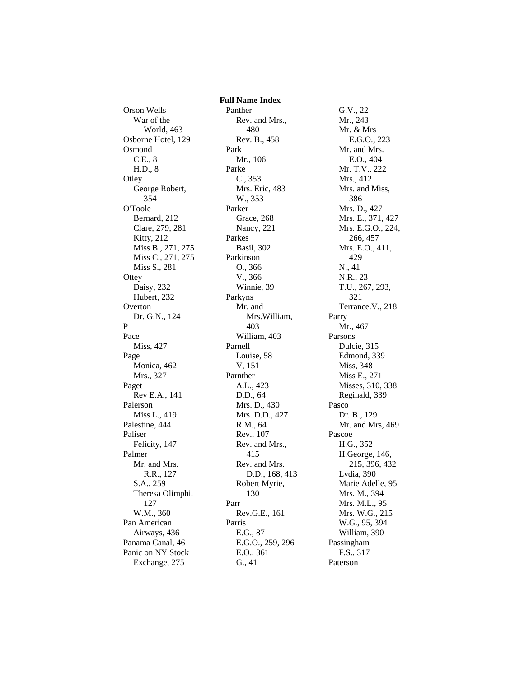Orson Wells War of the World, 463 Osborne Hotel, 129 Osmond C.E., 8 H.D., 8 **Otley** George Robert, 354 O'Toole Bernard, 212 Clare, 279, 281 Kitty, 212 Miss B., 271, 275 Miss C., 271, 275 Miss S., 281 **Ottey** Daisy, 232 Hubert, 232 Overton Dr. G.N., 124 P Pace Miss, 427 Page Monica, 462 Mrs., 327 Paget Rev E.A., 141 Palerson Miss L., 419 Palestine, 444 Paliser Felicity, 147 Palmer Mr. and Mrs. R.R., 127 S.A., 259 Theresa Olimphi, 127 W.M., 360 Pan American Airways, 436 Panama Canal, 46 Panic on NY Stock Exchange, 275

 **Full Name Index** Panther Rev. and Mrs., 480 Rev. B., 458 Park Mr., 106 Parke C., 353 Mrs. Eric, 483 W., 353 Parker Grace, 268 Nancy, 221 Parkes Basil, 302 Parkinson O., 366 V., 366 Winnie, 39 Parkyns Mr. and Mrs.William, 403 William, 403 Parnell Louise, 58 V, 151 Parnther A.L., 423 D.D., 64 Mrs. D., 430 Mrs. D.D., 427 R.M., 64 Rev., 107 Rev. and Mrs., 415 Rev. and Mrs. D.D., 168, 413 Robert Myrie, 130 Parr Rev.G.E., 161 Parris E.G., 87 E.G.O., 259, 296 E.O., 361 G., 41

G.V., 22 Mr., 243 Mr. & Mrs E.G.O., 223 Mr. and Mrs. E.O., 404 Mr. T.V., 222 Mrs., 412 Mrs. and Miss, 386 Mrs. D., 427 Mrs. E., 371, 427 Mrs. E.G.O., 224, 266, 457 Mrs. E.O., 411, 429 N., 41 N.R., 23 T.U., 267, 293, 321 Terrance.V., 218 Parry Mr., 467 Parsons Dulcie, 315 Edmond, 339 Miss, 348 Miss E., 271 Misses, 310, 338 Reginald, 339 Pasco Dr. B., 129 Mr. and Mrs, 469 Pascoe H.G., 352 H.George, 146, 215, 396, 432 Lydia, 390 Marie Adelle, 95 Mrs. M., 394 Mrs. M.L., 95 Mrs. W.G., 215 W.G., 95, 394 William, 390 Passingham F.S., 317 Paterson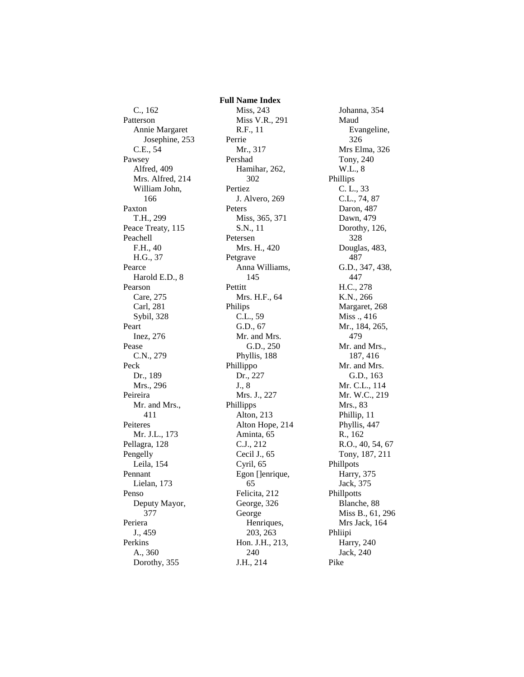C., 162 Patterson Annie Margaret Josephine, 253 C.E., 54 Pawsey Alfred, 409 Mrs. Alfred, 214 William John, 166 Paxton T.H., 299 Peace Treaty, 115 Peachell F.H., 40 H.G., 37 Pearce Harold E.D., 8 Pearson Care, 275 Carl, 281 Sybil, 328 Peart Inez, 276 Pease C.N., 279 Peck Dr., 189 Mrs., 296 Peireira Mr. and Mrs., 411 Peiteres Mr. J.L., 173 Pellagra, 128 Pengelly Leila, 154 Pennant Lielan, 173 Penso Deputy Mayor, 377 Periera J., 459 Perkins A., 360 Dorothy, 355

 **Full Name Index** Miss, 243 Miss V.R., 291 R.F., 11 Perrie Mr., 317 Pershad Hamihar, 262, 302 Pertiez J. Alvero, 269 Peters Miss, 365, 371 S.N., 11 Petersen Mrs. H., 420 Petgrave Anna Williams, 145 Pettitt Mrs. H.F., 64 Philips C.L., 59 G.D., 67 Mr. and Mrs. G.D., 250 Phyllis, 188 Phillippo Dr., 227 J., 8 Mrs. J., 227 Phillipps Alton, 213 Alton Hope, 214 Aminta, 65 C.J., 212 Cecil J., 65 Cyril, 65 Egon []enrique, 65 Felicita, 212 George, 326 George Henriques, 203, 263 Hon. J.H., 213, 240 J.H., 214

Johanna, 354 Maud Evangeline, 326 Mrs Elma, 326 Tony, 240 W.L., 8 Phillips C. L., 33 C.L., 74, 87 Daron, 487 Dawn, 479 Dorothy, 126, 328 Douglas, 483, 487 G.D., 347, 438, 447 H.C., 278 K.N., 266 Margaret, 268 Miss ., 416 Mr., 184, 265, 479 Mr. and Mrs., 187, 416 Mr. and Mrs. G.D., 163 Mr. C.L., 114 Mr. W.C., 219 Mrs., 83 Phillip, 11 Phyllis, 447 R., 162 R.O., 40, 54, 67 Tony, 187, 211 Phillpots Harry, 375 Jack, 375 Phillpotts Blanche, 88 Miss B., 61, 296 Mrs Jack, 164 Phliipi Harry, 240 Jack, 240 Pike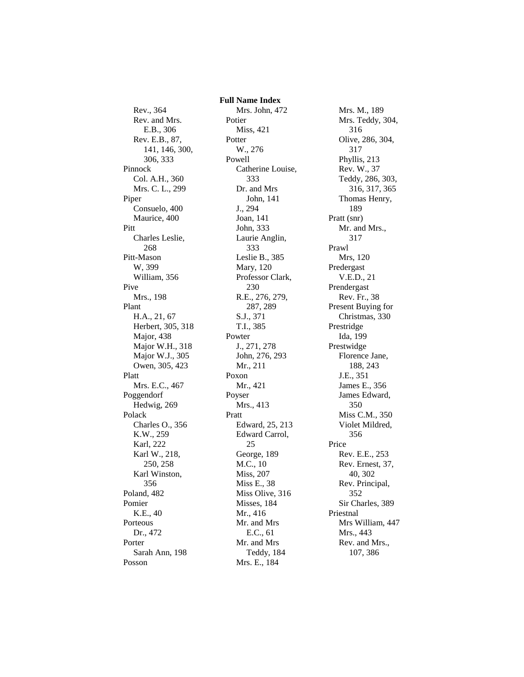Rev., 364 Rev. and Mrs. E.B., 306 Rev. E.B., 87, 141, 146, 300, 306, 333 Pinnock Col. A.H., 360 Mrs. C. L., 299 Piper Consuelo, 400 Maurice, 400 Pitt Charles Leslie, 268 Pitt-Mason W, 399 William, 356 Pive Mrs., 198 Plant H.A., 21, 67 Herbert, 305, 318 Major, 438 Major W.H., 318 Major W.J., 305 Owen, 305, 423 Platt Mrs. E.C., 467 Poggendorf Hedwig, 269 Polack Charles O., 356 K.W., 259 Karl, 222 Karl W., 218, 250, 258 Karl Winston, 356 Poland, 482 Pomier K.E., 40 Porteous Dr., 472 Porter Sarah Ann, 198 Posson

 **Full Name Index** Mrs. John, 472 Potier Miss, 421 Potter W., 276 Powell Catherine Louise, 333 Dr. and Mrs John, 141 J., 294 Joan, 141 John, 333 Laurie Anglin, 333 Leslie B., 385 Mary, 120 Professor Clark, 230 R.E., 276, 279, 287, 289 S.J., 371 T.I., 385 Powter J., 271, 278 John, 276, 293 Mr., 211 Poxon Mr., 421 Poyser Mrs., 413 Pratt Edward, 25, 213 Edward Carrol, 25 George, 189 M.C., 10 Miss, 207 Miss E., 38 Miss Olive, 316 Misses, 184 Mr., 416 Mr. and Mrs E.C., 61 Mr. and Mrs Teddy, 184 Mrs. E., 184

Mrs. M., 189 Mrs. Teddy, 304, 316 Olive, 286, 304, 317 Phyllis, 213 Rev. W., 37 Teddy, 286, 303, 316, 317, 365 Thomas Henry, 189 Pratt (snr) Mr. and Mrs., 317 Prawl Mrs, 120 Predergast V.E.D., 21 Prendergast Rev. Fr., 38 Present Buying for Christmas, 330 Prestridge Ida, 199 Prestwidge Florence Jane, 188, 243 J.E., 351 James E., 356 James Edward, 350 Miss C.M., 350 Violet Mildred, 356 Price Rev. E.E., 253 Rev. Ernest, 37, 40, 302 Rev. Principal, 352 Sir Charles, 389 Priestnal Mrs William, 447 Mrs., 443 Rev. and Mrs., 107, 386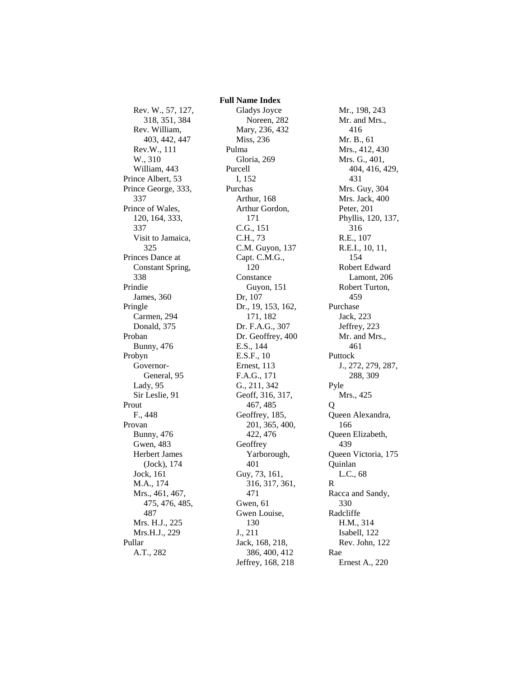Rev. W., 57, 127, 318, 351, 384 Rev. William, 403, 442, 447 Rev.W., 111 W., 310 William, 443 Prince Albert, 53 Prince George, 333, 337 Prince of Wales, 120, 164, 333, 337 Visit to Jamaica, 325 Princes Dance at Constant Spring, 338 Prindie James, 360 Pringle Carmen, 294 Donald, 375 Proban Bunny, 476 Probyn Governor-General, 95 Lady, 95 Sir Leslie, 91 Prout F., 448 Provan Bunny, 476 Gwen, 483 Herbert James (Jock), 174 Jock, 161 M.A., 174 Mrs., 461, 467, 475, 476, 485, 487 Mrs. H.J., 225 Mrs.H.J., 229 Pullar A.T., 282

 **Full Name Index** Gladys Joyce Noreen, 282 Mary, 236, 432 Miss, 236 Pulma Gloria, 269 Purcell I, 152 Purchas Arthur, 168 Arthur Gordon, 171 C.G., 151 C.H., 73 C.M. Guyon, 137 Capt. C.M.G., 120 Constance Guyon, 151 Dr, 107 Dr., 19, 153, 162, 171, 182 Dr. F.A.G., 307 Dr. Geoffrey, 400 E.S., 144 E.S.F., 10 Ernest, 113 F.A.G., 171 G., 211, 342 Geoff, 316, 317, 467, 485 Geoffrey, 185, 201, 365, 400, 422, 476 **Geoffrey** Yarborough, 401 Guy, 73, 161, 316, 317, 361, 471 Gwen, 61 Gwen Louise, 130 J., 211 Jack, 168, 218, 386, 400, 412 Jeffrey, 168, 218

Mr., 198, 243 Mr. and Mrs., 416 Mr. B., 61 Mrs., 412, 430 Mrs. G., 401, 404, 416, 429, 431 Mrs. Guy, 304 Mrs. Jack, 400 Peter, 201 Phyllis, 120, 137, 316 R.E., 107 R.E.I., 10, 11, 154 Robert Edward Lamont, 206 Robert Turton, 459 Purchase Jack, 223 Jeffrey, 223 Mr. and Mrs., 461 Puttock J., 272, 279, 287, 288, 309 Pyle Mrs., 425  $\overline{O}$ Queen Alexandra, 166 Queen Elizabeth, 439 Queen Victoria, 175 Quinlan L.C., 68 R Racca and Sandy, 330 Radcliffe H.M., 314 Isabell, 122 Rev. John, 122 Rae Ernest A., 220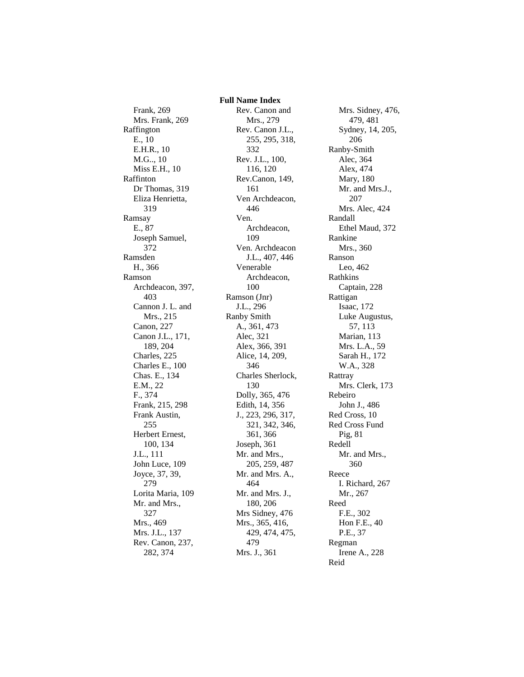Frank, 269 Mrs. Frank, 269 Raffington E., 10 E.H.R., 10 M.G.., 10 Miss E.H., 10 Raffinton Dr Thomas, 319 Eliza Henrietta, 319 Ramsay E., 87 Joseph Samuel, 372 Ramsden H., 366 Ramson Archdeacon, 397, 403 Cannon J. L. and Mrs., 215 Canon, 227 Canon J.L., 171, 189, 204 Charles, 225 Charles E., 100 Chas. E., 134 E.M., 22 F., 374 Frank, 215, 298 Frank Austin, 255 Herbert Ernest, 100, 134 J.L., 111 John Luce, 109 Joyce, 37, 39, 279 Lorita Maria, 109 Mr. and Mrs., 327 Mrs., 469 Mrs. J.L., 137 Rev. Canon, 237, 282, 374

 **Full Name Index** Rev. Canon and Mrs., 279 Rev. Canon J.L., 255, 295, 318, 332 Rev. J.L., 100, 116, 120 Rev.Canon, 149, 161 Ven Archdeacon, 446 Ven. Archdeacon, 109 Ven. Archdeacon J.L., 407, 446 Venerable Archdeacon, 100 Ramson (Jnr) J.L., 296 Ranby Smith A., 361, 473 Alec, 321 Alex, 366, 391 Alice, 14, 209, 346 Charles Sherlock, 130 Dolly, 365, 476 Edith, 14, 356 J., 223, 296, 317, 321, 342, 346, 361, 366 Joseph, 361 Mr. and Mrs., 205, 259, 487 Mr. and Mrs. A., 464 Mr. and Mrs. J., 180, 206 Mrs Sidney, 476 Mrs., 365, 416, 429, 474, 475, 479 Mrs. J., 361

Mrs. Sidney, 476, 479, 481 Sydney, 14, 205, 206 Ranby-Smith Alec, 364 Alex, 474 Mary, 180 Mr. and Mrs.J., 207 Mrs. Alec, 424 Randall Ethel Maud, 372 Rankine Mrs., 360 Ranson Leo, 462 Rathkins Captain, 228 Rattigan Isaac, 172 Luke Augustus, 57, 113 Marian, 113 Mrs. L.A., 59 Sarah H., 172 W.A., 328 Rattray Mrs. Clerk, 173 Rebeiro John J., 486 Red Cross, 10 Red Cross Fund Pig, 81 Redell Mr. and Mrs., 360 Reece I. Richard, 267 Mr., 267 Reed F.E., 302 Hon F.E., 40 P.E., 37 Regman Irene A., 228 Reid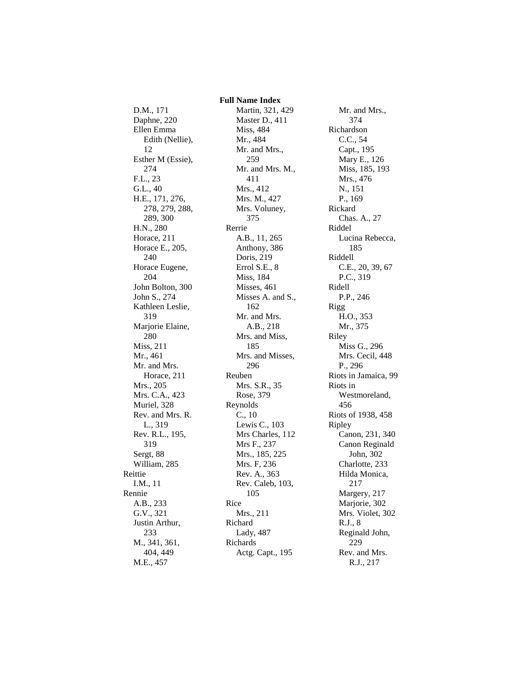D.M., 171 Daphne, 220 Ellen Emma Edith (Nellie), 12 Esther M (Essie), 274 F.L., 23 G.L., 40 H.E., 171, 276, 278, 279, 288, 289, 300 H.N., 280 Horace, 211 Horace E., 205, 240 Horace Eugene, 204 John Bolton, 300 John S., 274 Kathleen Leslie, 319 Marjorie Elaine, 280 Miss, 211 Mr., 461 Mr. and Mrs. Horace, 211 Mrs., 205 Mrs. C.A., 423 Muriel, 328 Rev. and Mrs. R. L., 319 Rev. R.L., 195, 319 Sergt, 88 William, 285 Reittie I.M., 11 Rennie A.B., 233 G.V., 321 Justin Arthur, 233 M., 341, 361, 404, 449 M.E., 457

 **Full Name Index** Martin, 321, 429 Master D., 411 Miss, 484 Mr., 484 Mr. and Mrs., 259 Mr. and Mrs. M., 411 Mrs., 412 Mrs. M., 427 Mrs. Voluney, 375 Rerrie A.B., 11, 265 Anthony, 386 Doris, 219 Errol S.E., 8 Miss, 184 Misses, 461 Misses A. and S., 162 Mr. and Mrs. A.B., 218 Mrs. and Miss, 185 Mrs. and Misses, 296 Reuben Mrs. S.R., 35 Rose, 379 Reynolds C., 10 Lewis C., 103 Mrs Charles, 112 Mrs F., 237 Mrs., 185, 225 Mrs. F, 236 Rev. A., 363 Rev. Caleb, 103, 105 Rice Mrs., 211 Richard Lady, 487 Richards Actg. Capt., 195

Mr. and Mrs., 374 Richardson C.C., 54 Capt., 195 Mary E., 126 Miss, 185, 193 Mrs., 476 N., 151 P., 169 Rickard Chas. A., 27 Riddel Lucina Rebecca, 185 Riddell C.E., 20, 39, 67 P.C., 319 Ridell P.P., 246 Rigg H.O., 353 Mr., 375 Riley Miss G., 296 Mrs. Cecil, 448 P., 296 Riots in Jamaica, 99 Riots in Westmoreland, 456 Riots of 1938, 458 Ripley Canon, 231, 340 Canon Reginald John, 302 Charlotte, 233 Hilda Monica, 217 Margery, 217 Marjorie, 302 Mrs. Violet, 302 R.J., 8 Reginald John, 229 Rev. and Mrs. R.J., 217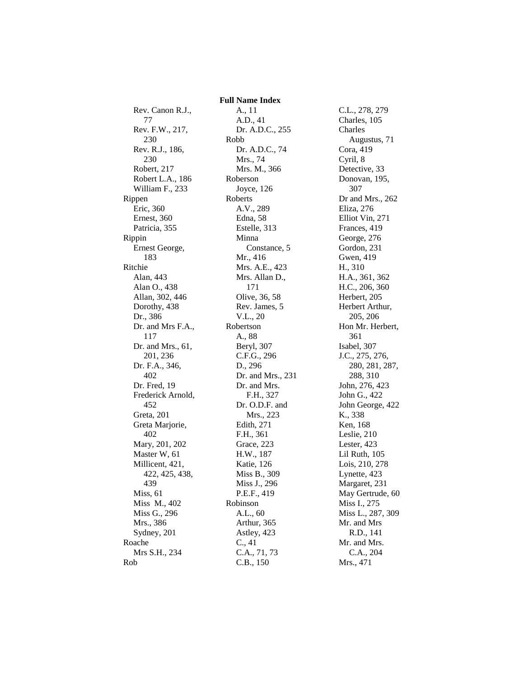Rev. Canon R.J., 77 Rev. F.W., 217, 230 Rev. R.J., 186, 230 Robert, 217 Robert L.A., 186 William F., 233 Rippen Eric, 360 Ernest, 360 Patricia, 355 Rippin Ernest George, 183 Ritchie Alan, 443 Alan O., 438 Allan, 302, 446 Dorothy, 438 Dr., 386 Dr. and Mrs F.A., 117 Dr. and Mrs., 61, 201, 236 Dr. F.A., 346, 402 Dr. Fred, 19 Frederick Arnold, 452 Greta, 201 Greta Marjorie, 402 Mary, 201, 202 Master W, 61 Millicent, 421, 422, 425, 438, 439 Miss, 61 Miss M., 402 Miss G., 296 Mrs., 386 Sydney, 201 Roache Mrs S.H., 234 Rob

A., 11 A.D., 41 Dr. A.D.C., 255 Robb Dr. A.D.C., 74 Mrs., 74 Mrs. M., 366 Roberson Joyce, 126 Roberts A.V., 289 Edna, 58 Estelle, 313 Minna Constance, 5 Mr., 416 Mrs. A.E., 423 Mrs. Allan D., 171 Olive, 36, 58 Rev. James, 5 V.L., 20 Robertson A., 88 Beryl, 307 C.F.G., 296 D., 296 Dr. and Mrs., 231 Dr. and Mrs. F.H., 327 Dr. O.D.F. and Mrs., 223 Edith, 271 F.H., 361 Grace, 223 H.W., 187 Katie, 126 Miss B., 309 Miss J., 296 P.E.F., 419 Robinson A.L., 60 Arthur, 365 Astley, 423 C., 41 C.A., 71, 73 C.B., 150

 **Full Name Index**

C.L., 278, 279 Charles, 105 Charles Augustus, 71 Cora, 419 Cyril, 8 Detective, 33 Donovan, 195, 307 Dr and Mrs., 262 Eliza, 276 Elliot Vin, 271 Frances, 419 George, 276 Gordon, 231 Gwen, 419 H., 310 H.A., 361, 362 H.C., 206, 360 Herbert, 205 Herbert Arthur, 205, 206 Hon Mr. Herbert, 361 Isabel, 307 J.C., 275, 276, 280, 281, 287, 288, 310 John, 276, 423 John G., 422 John George, 422 K., 338 Ken, 168 Leslie, 210 Lester, 423 Lil Ruth, 105 Lois, 210, 278 Lynette, 423 Margaret, 231 May Gertrude, 60 Miss I., 275 Miss L., 287, 309 Mr. and Mrs R.D., 141 Mr. and Mrs. C.A., 204 Mrs., 471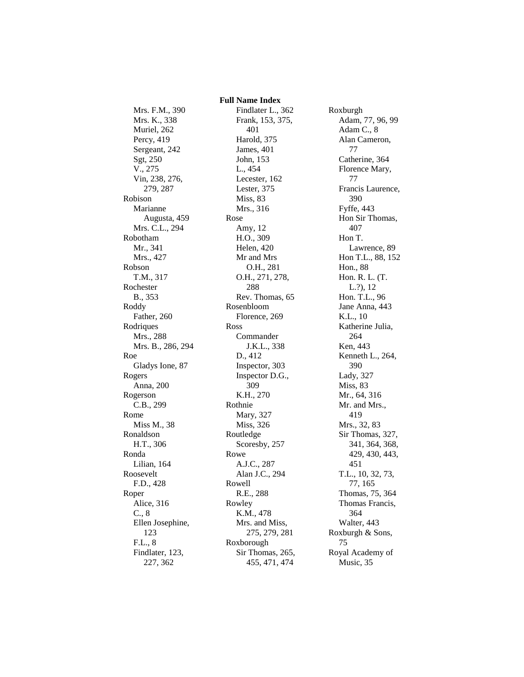Mrs. F.M., 390 Mrs. K., 338 Muriel, 262 Percy, 419 Sergeant, 242 Sgt, 250 V., 275 Vin, 238, 276, 279, 287 Robison Marianne Augusta, 459 Mrs. C.L., 294 Robotham Mr., 341 Mrs., 427 Robson T.M., 317 Rochester B., 353 Roddy Father, 260 Rodriques Mrs., 288 Mrs. B., 286, 294 Roe Gladys Ione, 87 Rogers Anna, 200 Rogerson C.B., 299 Rome Miss M., 38 Ronaldson H.T., 306 Ronda Lilian, 164 Roosevelt F.D., 428 Roper Alice, 316 C., 8 Ellen Josephine, 123 F.L., 8 Findlater, 123, 227, 362

 **Full Name Index** Findlater L., 362 Frank, 153, 375, 401 Harold, 375 James, 401 John, 153 L., 454 Lecester, 162 Lester, 375 Miss, 83 Mrs., 316 Rose Amy, 12 H.O., 309 Helen, 420 Mr and Mrs O.H., 281 O.H., 271, 278, 288 Rev. Thomas, 65 Rosenbloom Florence, 269 Ross Commander J.K.L., 338 D., 412 Inspector, 303 Inspector D.G., 309 K.H., 270 Rothnie Mary, 327 Miss, 326 Routledge Scoresby, 257 Rowe A.J.C., 287 Alan J.C., 294 Rowell R.E., 288 Rowley K.M., 478 Mrs. and Miss, 275, 279, 281 Roxborough Sir Thomas, 265, 455, 471, 474

Roxburgh Adam, 77, 96, 99 Adam C., 8 Alan Cameron, 77 Catherine, 364 Florence Mary, 77 Francis Laurence, 390 Fyffe, 443 Hon Sir Thomas, 407 Hon T. Lawrence, 89 Hon T.L., 88, 152 Hon., 88 Hon. R. L. (T. L.?), 12 Hon. T.L., 96 Jane Anna, 443 K.L., 10 Katherine Julia, 264 Ken, 443 Kenneth L., 264, 390 Lady, 327 Miss, 83 Mr., 64, 316 Mr. and Mrs., 419 Mrs., 32, 83 Sir Thomas, 327, 341, 364, 368, 429, 430, 443, 451 T.L., 10, 32, 73, 77, 165 Thomas, 75, 364 Thomas Francis, 364 Walter, 443 Roxburgh & Sons, 75 Royal Academy of Music, 35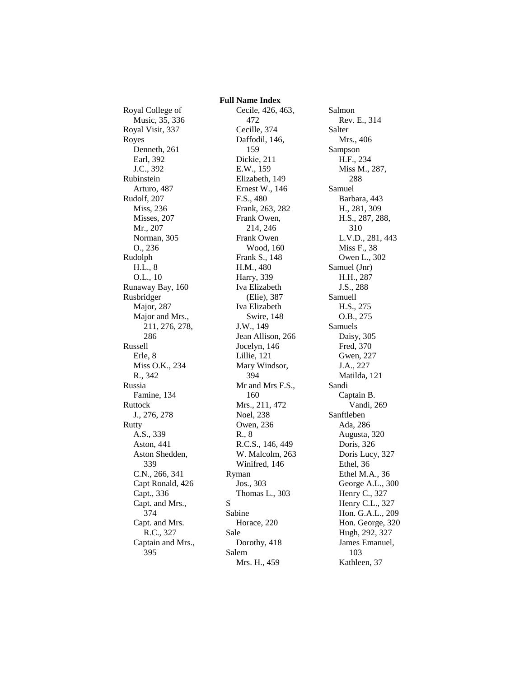Royal College of Music, 35, 336 Royal Visit, 337 Royes Denneth, 261 Earl, 392 J.C., 392 Rubinstein Arturo, 487 Rudolf, 207 Miss, 236 Misses, 207 Mr., 207 Norman, 305 O., 236 Rudolph H.L., 8 O.L., 10 Runaway Bay, 160 Rusbridger Major, 287 Major and Mrs., 211, 276, 278, 286 Russell Erle, 8 Miss O.K., 234 R., 342 Russia Famine, 134 Ruttock J., 276, 278 Rutty A.S., 339 Aston, 441 Aston Shedden, 339 C.N., 266, 341 Capt Ronald, 426 Capt., 336 Capt. and Mrs., 374 Capt. and Mrs. R.C., 327 Captain and Mrs., 395

 **Full Name Index** Cecile, 426, 463, 472 Cecille, 374 Daffodil, 146, 159 Dickie, 211 E.W., 159 Elizabeth, 149 Ernest W., 146 F.S., 480 Frank, 263, 282 Frank Owen, 214, 246 Frank Owen Wood, 160 Frank S., 148 H.M., 480 Harry, 339 Iva Elizabeth (Elie), 387 Iva Elizabeth Swire, 148 J.W., 149 Jean Allison, 266 Jocelyn, 146 Lillie, 121 Mary Windsor, 394 Mr and Mrs F.S., 160 Mrs., 211, 472 Noel, 238 Owen, 236 R., 8 R.C.S., 146, 449 W. Malcolm, 263 Winifred, 146 Ryman Jos., 303 Thomas L., 303 S Sabine Horace, 220 Sale Dorothy, 418 Salem Mrs. H., 459

Salmon Rev. E., 314 Salter Mrs., 406 Sampson H.F., 234 Miss M., 287, 288 Samuel Barbara, 443 H., 281, 309 H.S., 287, 288, 310 L.V.D., 281, 443 Miss F., 38 Owen L., 302 Samuel (Jnr) H.H., 287 J.S., 288 Samuell H.S., 275 O.B., 275 Samuels Daisy, 305 Fred, 370 Gwen, 227 J.A., 227 Matilda, 121 Sandi Captain B. Vandi, 269 Sanftleben Ada, 286 Augusta, 320 Doris, 326 Doris Lucy, 327 Ethel, 36 Ethel M.A., 36 George A.L., 300 Henry C., 327 Henry C.L., 327 Hon. G.A.L., 209 Hon. George, 320 Hugh, 292, 327 James Emanuel, 103 Kathleen, 37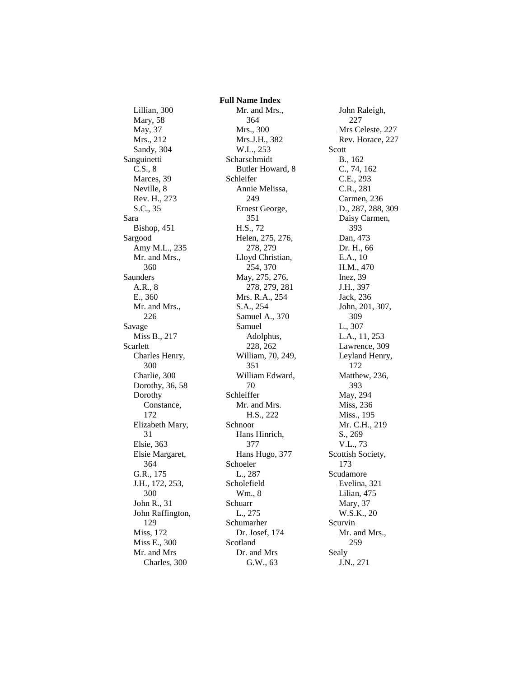Lillian, 300 Mary, 58 May, 37 Mrs., 212 Sandy, 304 Sanguinetti C.S., 8 Marces, 39 Neville, 8 Rev. H., 273 S.C., 35 Sara Bishop, 451 Sargood Amy M.L., 235 Mr. and Mrs., 360 Saunders A.R., 8 E., 360 Mr. and Mrs., 226 Savage Miss B., 217 Scarlett Charles Henry, 300 Charlie, 300 Dorothy, 36, 58 Dorothy Constance, 172 Elizabeth Mary, 31 Elsie, 363 Elsie Margaret, 364 G.R., 175 J.H., 172, 253, 300 John R., 31 John Raffington, 129 Miss, 172 Miss E., 300 Mr. and Mrs Charles, 300

 **Full Name Index** Mr. and Mrs., 364 Mrs., 300 Mrs.J.H., 382 W.L., 253 Scharschmidt Butler Howard, 8 Schleifer Annie Melissa, 249 Ernest George, 351 H.S., 72 Helen, 275, 276, 278, 279 Lloyd Christian, 254, 370 May, 275, 276, 278, 279, 281 Mrs. R.A., 254 S.A., 254 Samuel A., 370 Samuel Adolphus, 228, 262 William, 70, 249, 351 William Edward, 70 Schleiffer Mr. and Mrs. H.S., 222 Schnoor Hans Hinrich, 377 Hans Hugo, 377 Schoeler L., 287 Scholefield Wm., 8 Schuarr L., 275 Schumarher Dr. Josef, 174 Scotland Dr. and Mrs G.W., 63

John Raleigh, 227 Mrs Celeste, 227 Rev. Horace, 227 Scott B., 162 C., 74, 162 C.E., 293 C.R., 281 Carmen, 236 D., 287, 288, 309 Daisy Carmen, 393 Dan, 473 Dr. H., 66 E.A., 10 H.M., 470 Inez, 39 J.H., 397 Jack, 236 John, 201, 307, 309 L., 307 L.A., 11, 253 Lawrence, 309 Leyland Henry, 172 Matthew, 236, 393 May, 294 Miss, 236 Miss., 195 Mr. C.H., 219 S., 269 V.L., 73 Scottish Society, 173 Scudamore Evelina, 321 Lilian, 475 Mary, 37 W.S.K., 20 Scurvin Mr. and Mrs., 259 Sealy J.N., 271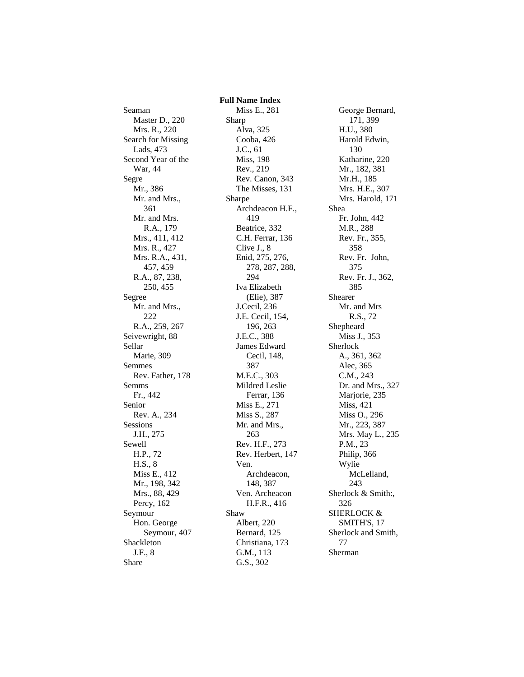Seaman Master D., 220 Mrs. R., 220 Search for Missing Lads, 473 Second Year of the War, 44 Segre Mr., 386 Mr. and Mrs., 361 Mr. and Mrs. R.A., 179 Mrs., 411, 412 Mrs. R., 427 Mrs. R.A., 431, 457, 459 R.A., 87, 238, 250, 455 Segree Mr. and Mrs., 222 R.A., 259, 267 Seivewright, 88 Sellar Marie, 309 Semmes Rev. Father, 178 Semms Fr., 442 Senior Rev. A., 234 Sessions J.H., 275 Sewell H.P., 72 H.S., 8 Miss E., 412 Mr., 198, 342 Mrs., 88, 429 Percy, 162 Seymour Hon. George Seymour, 407 Shackleton J.F., 8 Share

 **Full Name Index** Miss E., 281 Sharp Alva, 325 Cooba, 426 J.C., 61 Miss, 198 Rev., 219 Rev. Canon, 343 The Misses, 131 Sharpe Archdeacon H.F., 419 Beatrice, 332 C.H. Ferrar, 136 Clive J., 8 Enid, 275, 276, 278, 287, 288, 294 Iva Elizabeth (Elie), 387 J.Cecil, 236 J.E. Cecil, 154, 196, 263 J.E.C., 388 James Edward Cecil, 148, 387 M.E.C., 303 Mildred Leslie Ferrar, 136 Miss E., 271 Miss S., 287 Mr. and Mrs., 263 Rev. H.F., 273 Rev. Herbert, 147 Ven. Archdeacon, 148, 387 Ven. Archeacon H.F.R., 416 Shaw Albert, 220 Bernard, 125 Christiana, 173 G.M., 113 G.S., 302

George Bernard, 171, 399 H.U., 380 Harold Edwin, 130 Katharine, 220 Mr., 182, 381 Mr.H., 185 Mrs. H.E., 307 Mrs. Harold, 171 Shea Fr. John, 442 M.R., 288 Rev. Fr., 355, 358 Rev. Fr. John, 375 Rev. Fr. J., 362, 385 Shearer Mr. and Mrs R.S., 72 Shepheard Miss J., 353 Sherlock A., 361, 362 Alec, 365 C.M., 243 Dr. and Mrs., 327 Marjorie, 235 Miss, 421 Miss O., 296 Mr., 223, 387 Mrs. May L., 235 P.M., 23 Philip, 366 Wylie McLelland, 243 Sherlock & Smith:, 326 SHERLOCK & SMITH'S, 17 Sherlock and Smith, 77 Sherman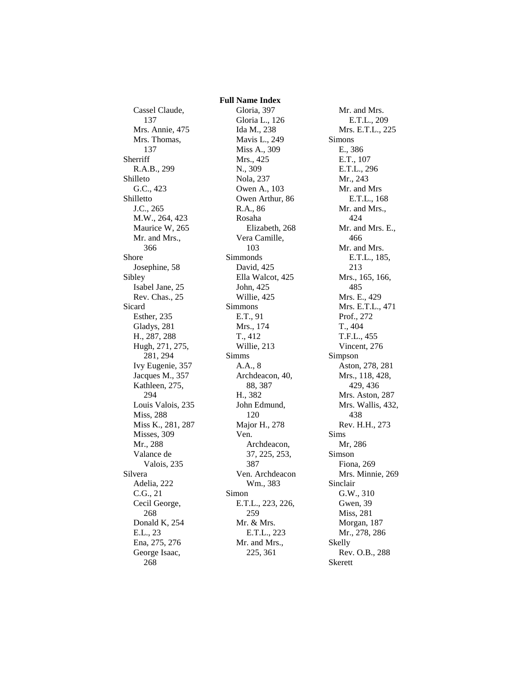Cassel Claude, 137 Mrs. Annie, 475 Mrs. Thomas, 137 Sherriff R.A.B., 299 Shilleto G.C., 423 Shilletto J.C., 265 M.W., 264, 423 Maurice W, 265 Mr. and Mrs., 366 Shore Josephine, 58 Sibley Isabel Jane, 25 Rev. Chas., 25 Sicard Esther, 235 Gladys, 281 H., 287, 288 Hugh, 271, 275, 281, 294 Ivy Eugenie, 357 Jacques M., 357 Kathleen, 275, 294 Louis Valois, 235 Miss, 288 Miss K., 281, 287 Misses, 309 Mr., 288 Valance de Valois, 235 Silvera Adelia, 222 C.G., 21 Cecil George, 268 Donald K, 254 E.L., 23 Ena, 275, 276 George Isaac, 268

 **Full Name Index** Gloria, 397 Gloria L., 126 Ida M., 238 Mavis L., 249 Miss A., 309 Mrs., 425 N., 309 Nola, 237 Owen A., 103 Owen Arthur, 86 R.A., 86 Rosaha Elizabeth, 268 Vera Camille, 103 Simmonds David, 425 Ella Walcot, 425 John, 425 Willie, 425 Simmons E.T., 91 Mrs., 174 T., 412 Willie, 213 Simms A.A., 8 Archdeacon, 40, 88, 387 H., 382 John Edmund, 120 Major H., 278 Ven. Archdeacon, 37, 225, 253, 387 Ven. Archdeacon Wm., 383 Simon E.T.L., 223, 226, 259 Mr. & Mrs. E.T.L., 223 Mr. and Mrs., 225, 361

Mr. and Mrs. E.T.L., 209 Mrs. E.T.L., 225 Simons E., 386 E.T., 107 E.T.L., 296 Mr., 243 Mr. and Mrs E.T.L., 168 Mr. and Mrs., 424 Mr. and Mrs. E., 466 Mr. and Mrs. E.T.L., 185, 213 Mrs., 165, 166, 485 Mrs. E., 429 Mrs. E.T.L., 471 Prof., 272 T., 404 T.F.L., 455 Vincent, 276 Simpson Aston, 278, 281 Mrs., 118, 428, 429, 436 Mrs. Aston, 287 Mrs. Wallis, 432, 438 Rev. H.H., 273 Sims Mr, 286 Simson Fiona, 269 Mrs. Minnie, 269 Sinclair G.W., 310 Gwen, 39 Miss, 281 Morgan, 187 Mr., 278, 286 Skelly Rev. O.B., 288 Skerett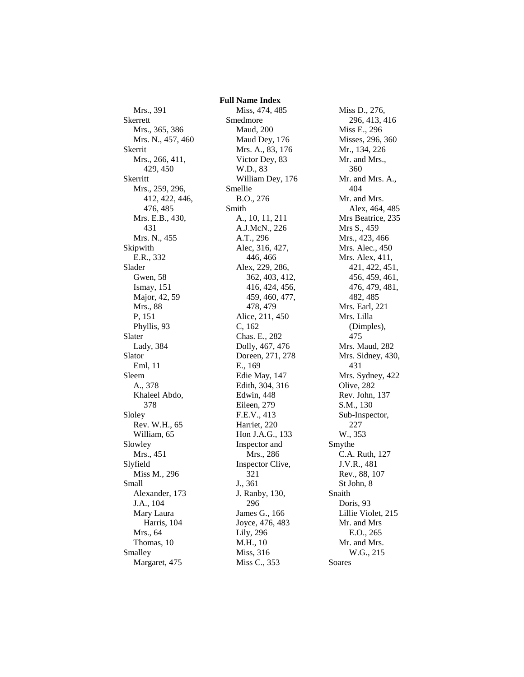Mrs., 391 Skerrett Mrs., 365, 386 Mrs. N., 457, 460 Skerrit Mrs., 266, 411, 429, 450 Skerritt Mrs., 259, 296, 412, 422, 446, 476, 485 Mrs. E.B., 430, 431 Mrs. N., 455 Skipwith E.R., 332 Slader Gwen, 58 Ismay, 151 Major, 42, 59 Mrs., 88 P, 151 Phyllis, 93 Slater Lady, 384 Slator Eml, 11 Sleem A., 378 Khaleel Abdo, 378 Sloley Rev. W.H., 65 William, 65 Slowley Mrs., 451 Slyfield Miss M., 296 Small Alexander, 173 J.A., 104 Mary Laura Harris, 104 Mrs., 64 Thomas, 10 Smalley Margaret, 475

 **Full Name Index** Miss, 474, 485 Smedmore Maud, 200 Maud Dey, 176 Mrs. A., 83, 176 Victor Dey, 83 W.D., 83 William Dey, 176 Smellie B.O., 276 Smith A., 10, 11, 211 A.J.McN., 226 A.T., 296 Alec, 316, 427, 446, 466 Alex, 229, 286, 362, 403, 412, 416, 424, 456, 459, 460, 477, 478, 479 Alice, 211, 450 C, 162 Chas. E., 282 Dolly, 467, 476 Doreen, 271, 278 E., 169 Edie May, 147 Edith, 304, 316 Edwin, 448 Eileen, 279 F.E.V., 413 Harriet, 220 Hon J.A.G., 133 Inspector and Mrs., 286 Inspector Clive, 321 J., 361 J. Ranby, 130, 296 James G., 166 Joyce, 476, 483 Lily, 296 M.H., 10 Miss, 316 Miss C., 353

Miss D., 276, 296, 413, 416 Miss E., 296 Misses, 296, 360 Mr., 134, 226 Mr. and Mrs., 360 Mr. and Mrs. A., 404 Mr. and Mrs. Alex, 464, 485 Mrs Beatrice, 235 Mrs S., 459 Mrs., 423, 466 Mrs. Alec., 450 Mrs. Alex, 411, 421, 422, 451, 456, 459, 461, 476, 479, 481, 482, 485 Mrs. Earl, 221 Mrs. Lilla (Dimples), 475 Mrs. Maud, 282 Mrs. Sidney, 430, 431 Mrs. Sydney, 422 Olive, 282 Rev. John, 137 S.M., 130 Sub-Inspector, 227 W., 353 Smythe C.A. Ruth, 127 J.V.R., 481 Rev., 88, 107 St John, 8 Snaith Doris, 93 Lillie Violet, 215 Mr. and Mrs E.O., 265 Mr. and Mrs. W.G., 215 Soares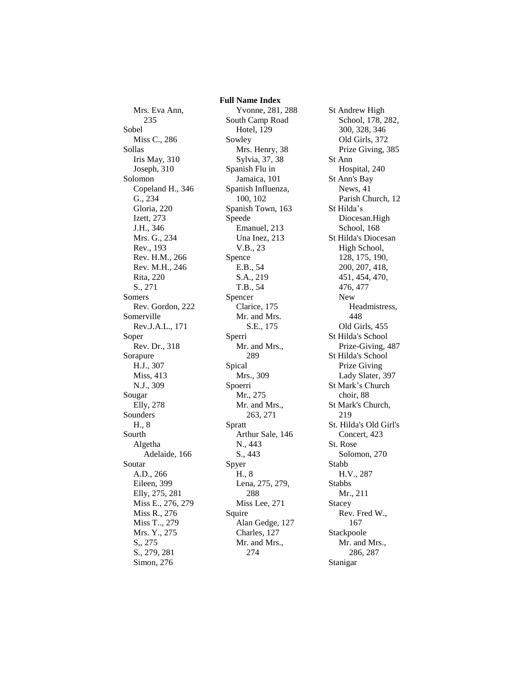Mrs. Eva Ann, 235 Sobel Miss C., 286 Sollas Iris May, 310 Joseph, 310 Solomon Copeland H., 346 G., 234 Gloria, 220 Izett, 273 J.H., 346 Mrs. G., 234 Rev., 193 Rev. H.M., 266 Rev. M.H., 246 Rita, 220 S., 271 Somers Rev. Gordon, 222 Somerville Rev.J.A.L., 171 Soper Rev. Dr., 318 Sorapure H.J., 307 Miss, 413 N.J., 309 Sougar Elly, 278 Sounders H., 8 Sourth Algetha Adelaide, 166 Soutar A.D., 266 Eileen, 399 Elly, 275, 281 Miss E., 276, 279 Miss R., 276 Miss T.., 279 Mrs. Y., 275 S,, 275 S., 279, 281 Simon, 276

 **Full Name Index** Yvonne, 281, 288 South Camp Road Hotel, 129 Sowley Mrs. Henry, 38 Sylvia, 37, 38 Spanish Flu in Jamaica, 101 Spanish Influenza, 100, 102 Spanish Town, 163 Speede Emanuel, 213 Una Inez, 213 V.B., 23 Spence E.B., 54 S.A., 219 T.B., 54 Spencer Clarice, 175 Mr. and Mrs. S.E., 175 Sperri Mr. and Mrs., 289 Spical Mrs., 309 Spoerri Mr., 275 Mr. and Mrs., 263, 271 Spratt Arthur Sale, 146 N., 443 S., 443 Spyer H., 8 Lena, 275, 279, 288 Miss Lee, 271 Squire Alan Gedge, 127 Charles, 127 Mr. and Mrs., 274

St Andrew High School, 178, 282, 300, 328, 346 Old Girls, 372 Prize Giving, 385 St Ann Hospital, 240 St Ann's Bay News, 41 Parish Church, 12 St Hilda's Diocesan.High School, 168 St Hilda's Diocesan High School, 128, 175, 190, 200, 207, 418, 451, 454, 470, 476, 477 New Headmistress, 448 Old Girls, 455 St Hilda's School Prize-Giving, 487 St Hilda's School Prize Giving Lady Slater, 397 St Mark's Church choir, 88 St Mark's Church, 219 St. Hilda's Old Girl's Concert, 423 St. Rose Solomon, 270 Stabb H.V., 287 Stabbs Mr., 211 Stacey Rev. Fred W., 167 Stackpoole Mr. and Mrs., 286, 287 Stanigar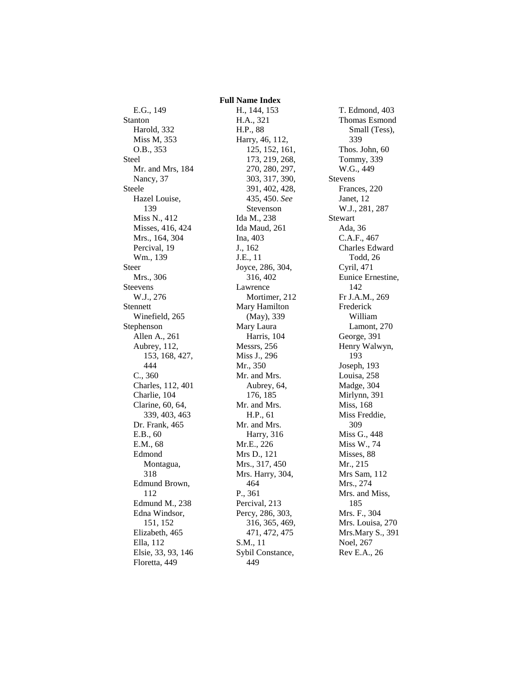E.G., 149 Stanton Harold, 332 Miss M, 353 O.B., 353 Steel Mr. and Mrs, 184 Nancy, 37 Steele Hazel Louise, 139 Miss N., 412 Misses, 416, 424 Mrs., 164, 304 Percival, 19 Wm., 139 Steer Mrs., 306 Steevens W.J., 276 Stennett Winefield, 265 Stephenson Allen A., 261 Aubrey, 112, 153, 168, 427, 444 C., 360 Charles, 112, 401 Charlie, 104 Clarine, 60, 64, 339, 403, 463 Dr. Frank, 465 E.B., 60 E.M., 68 Edmond Montagua, 318 Edmund Brown, 112 Edmund M., 238 Edna Windsor, 151, 152 Elizabeth, 465 Ella, 112 Elsie, 33, 93, 146 Floretta, 449

H., 144, 153 H.A., 321 H.P., 88 Harry, 46, 112, 125, 152, 161, 173, 219, 268, 270, 280, 297, 303, 317, 390, 391, 402, 428, 435, 450. *See* Stevenson Ida M., 238 Ida Maud, 261 Ina, 403 J., 162 J.E., 11 Joyce, 286, 304, 316, 402 Lawrence Mortimer, 212 Mary Hamilton (May), 339 Mary Laura Harris, 104 Messrs, 256 Miss J., 296 Mr., 350 Mr. and Mrs. Aubrey, 64, 176, 185 Mr. and Mrs. H.P., 61 Mr. and Mrs. Harry, 316 Mr.E., 226 Mrs D., 121 Mrs., 317, 450 Mrs. Harry, 304, 464 P., 361 Percival, 213 Percy, 286, 303, 316, 365, 469, 471, 472, 475 S.M., 11 Sybil Constance, 449

 **Full Name Index**

T. Edmond, 403 Thomas Esmond Small (Tess), 339 Thos. John, 60 Tommy, 339 W.G., 449 Stevens Frances, 220 Janet, 12 W.J., 281, 287 Stewart Ada, 36 C.A.F., 467 Charles Edward Todd, 26 Cyril, 471 Eunice Ernestine, 142 Fr J.A.M., 269 Frederick William Lamont, 270 George, 391 Henry Walwyn, 193 Joseph, 193 Louisa, 258 Madge, 304 Mirlynn, 391 Miss, 168 Miss Freddie, 309 Miss G., 448 Miss W., 74 Misses, 88 Mr., 215 Mrs Sam, 112 Mrs., 274 Mrs. and Miss, 185 Mrs. F., 304 Mrs. Louisa, 270 Mrs.Mary S., 391 Noel, 267 Rev E.A., 26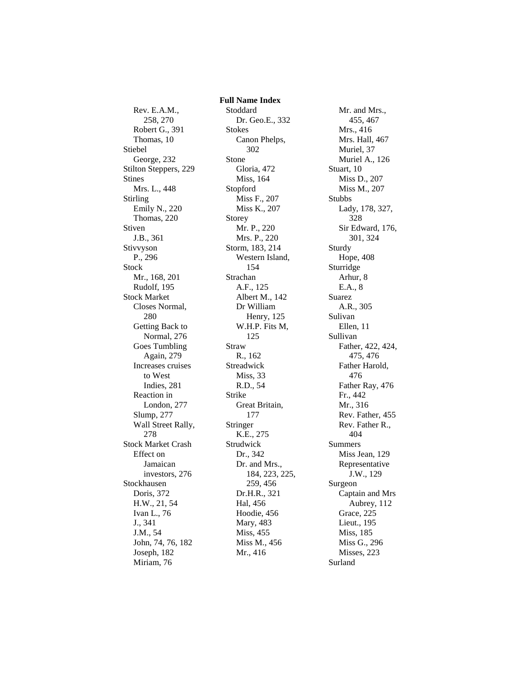Rev. E.A.M., 258, 270 Robert G., 391 Thomas, 10 Stiebel George, 232 Stilton Steppers, 229 Stines Mrs. L., 448 Stirling Emily N., 220 Thomas, 220 Stiven J.B., 361 Stivvyson P., 296 Stock Mr., 168, 201 Rudolf, 195 Stock Market Closes Normal, 280 Getting Back to Normal, 276 Goes Tumbling Again, 279 Increases cruises to West Indies, 281 Reaction in London, 277 Slump, 277 Wall Street Rally, 278 Stock Market Crash Effect on Jamaican investors, 276 Stockhausen Doris, 372 H.W., 21, 54 Ivan L., 76 J., 341 J.M., 54 John, 74, 76, 182 Joseph, 182 Miriam, 76

 **Full Name Index** Stoddard Dr. Geo.E., 332 Stokes Canon Phelps, 302 Stone Gloria, 472 Miss, 164 Stopford Miss F., 207 Miss K., 207 Storey Mr. P., 220 Mrs. P., 220 Storm, 183, 214 Western Island, 154 Strachan A.F., 125 Albert M., 142 Dr William Henry, 125 W.H.P. Fits M, 125 Straw R., 162 Streadwick Miss, 33 R.D., 54 Strike Great Britain, 177 Stringer K.E., 275 Strudwick Dr., 342 Dr. and Mrs., 184, 223, 225, 259, 456 Dr.H.R., 321 Hal, 456 Hoodie, 456 Mary, 483 Miss, 455 Miss M., 456 Mr., 416

Mr. and Mrs., 455, 467 Mrs., 416 Mrs. Hall, 467 Muriel, 37 Muriel A., 126 Stuart, 10 Miss D., 207 Miss M., 207 Stubbs Lady, 178, 327, 328 Sir Edward, 176, 301, 324 Sturdy Hope, 408 Sturridge Arhur, 8 E.A., 8 Suarez A.R., 305 Sulivan Ellen, 11 Sullivan Father, 422, 424, 475, 476 Father Harold, 476 Father Ray, 476 Fr., 442 Mr., 316 Rev. Father, 455 Rev. Father R., 404 Summers Miss Jean, 129 Representative J.W., 129 Surgeon Captain and Mrs Aubrey, 112 Grace, 225 Lieut., 195 Miss, 185 Miss G., 296 Misses, 223 Surland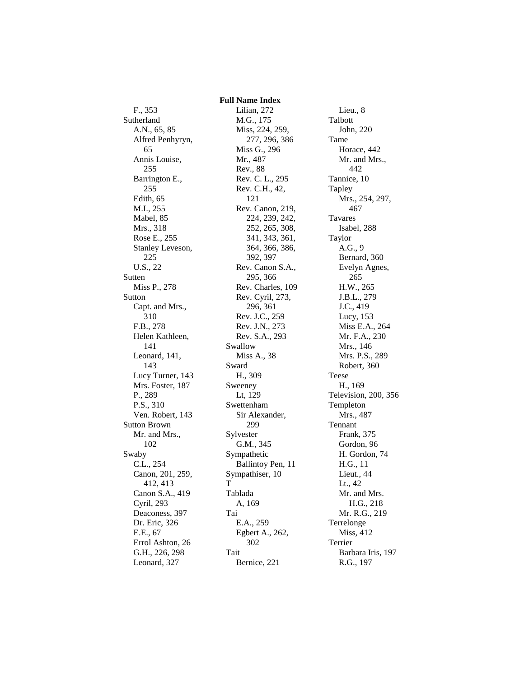F., 353 Sutherland A.N., 65, 85 Alfred Penhyryn, 65 Annis Louise, 255 Barrington E., 255 Edith, 65 M.I., 255 Mabel, 85 Mrs., 318 Rose E., 255 Stanley Leveson, 225 U.S., 22 Sutten Miss P., 278 Sutton Capt. and Mrs., 310 F.B., 278 Helen Kathleen, 141 Leonard, 141, 143 Lucy Turner, 143 Mrs. Foster, 187 P., 289 P.S., 310 Ven. Robert, 143 Sutton Brown Mr. and Mrs., 102 Swaby C.L., 254 Canon, 201, 259, 412, 413 Canon S.A., 419 Cyril, 293 Deaconess, 397 Dr. Eric, 326 E.E., 67 Errol Ashton, 26 G.H., 226, 298 Leonard, 327

Lilian, 272 M.G., 175 Miss, 224, 259, 277, 296, 386 Miss G., 296 Mr., 487 Rev., 88 Rev. C. L., 295 Rev. C.H., 42, 121 Rev. Canon, 219, 224, 239, 242, 252, 265, 308, 341, 343, 361, 364, 366, 386, 392, 397 Rev. Canon S.A., 295, 366 Rev. Charles, 109 Rev. Cyril, 273, 296, 361 Rev. J.C., 259 Rev. J.N., 273 Rev. S.A., 293 Swallow Miss A., 38 Sward H., 309 Sweeney Lt, 129 Swettenham Sir Alexander, 299 Sylvester G.M., 345 Sympathetic Ballintoy Pen, 11 Sympathiser, 10 T Tablada A, 169 Tai E.A., 259 Egbert A., 262, 302 Tait Bernice, 221

 **Full Name Index**

Lieu., 8 Talbott John, 220 Tame Horace, 442 Mr. and Mrs., 442 Tannice, 10 Tapley Mrs., 254, 297, 467 Tavares Isabel, 288 Taylor A.G., 9 Bernard, 360 Evelyn Agnes, 265 H.W., 265 J.B.L., 279 J.C., 419 Lucy, 153 Miss E.A., 264 Mr. F.A., 230 Mrs., 146 Mrs. P.S., 289 Robert, 360 Teese H., 169 Television, 200, 356 Templeton Mrs., 487 Tennant Frank, 375 Gordon, 96 H. Gordon, 74 H.G., 11 Lieut., 44 Lt., 42 Mr. and Mrs. H.G., 218 Mr. R.G., 219 Terrelonge Miss, 412 Terrier Barbara Iris, 197 R.G., 197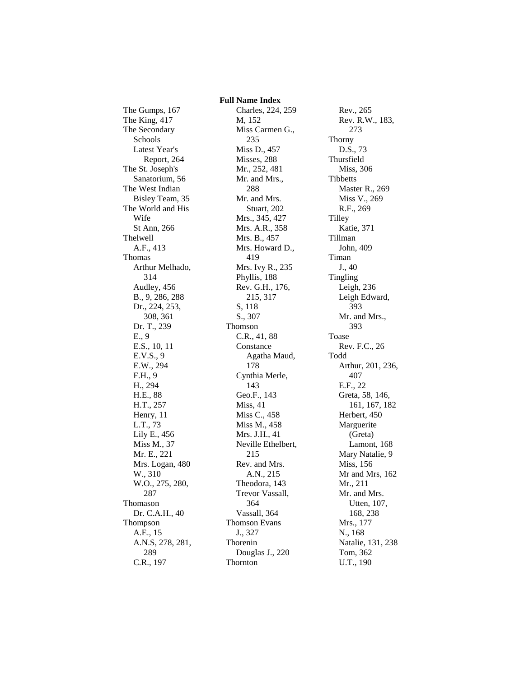The Gumps, 167 The King, 417 The Secondary Schools Latest Year's Report, 264 The St. Joseph's Sanatorium, 56 The West Indian Bisley Team, 35 The World and His Wife St Ann, 266 Thelwell A.F., 413 Thomas Arthur Melhado, 314 Audley, 456 B., 9, 286, 288 Dr., 224, 253, 308, 361 Dr. T., 239 E., 9 E.S., 10, 11 E.V.S., 9 E.W., 294 F.H., 9 H., 294 H.E., 88 H.T., 257 Henry, 11 L.T., 73 Lily E., 456 Miss M., 37 Mr. E., 221 Mrs. Logan, 480 W., 310 W.O., 275, 280, 287 Thomason Dr. C.A.H., 40 Thompson A.E., 15 A.N.S, 278, 281, 289 C.R., 197

 **Full Name Index** Charles, 224, 259 M, 152 Miss Carmen G., 235 Miss D., 457 Misses, 288 Mr., 252, 481 Mr. and Mrs., 288 Mr. and Mrs. Stuart, 202 Mrs., 345, 427 Mrs. A.R., 358 Mrs. B., 457 Mrs. Howard D., 419 Mrs. Ivy R., 235 Phyllis, 188 Rev. G.H., 176, 215, 317 S, 118 S., 307 Thomson C.R., 41, 88 Constance Agatha Maud, 178 Cynthia Merle, 143 Geo.F., 143 Miss, 41 Miss C., 458 Miss M., 458 Mrs. J.H., 41 Neville Ethelbert, 215 Rev. and Mrs. A.N., 215 Theodora, 143 Trevor Vassall, 364 Vassall, 364 Thomson Evans J., 327 Thorenin Douglas J., 220 Thornton

Rev., 265 Rev. R.W., 183, 273 Thorny D.S., 73 Thursfield Miss, 306 Tibbetts Master R., 269 Miss V., 269 R.F., 269 Tilley Katie, 371 Tillman John, 409 Timan J., 40 Tingling Leigh, 236 Leigh Edward, 393 Mr. and Mrs., 393 Toase Rev. F.C., 26 Todd Arthur, 201, 236, 407 E.F., 22 Greta, 58, 146, 161, 167, 182 Herbert, 450 Marguerite (Greta) Lamont, 168 Mary Natalie, 9 Miss, 156 Mr and Mrs, 162 Mr., 211 Mr. and Mrs. Utten, 107, 168, 238 Mrs., 177 N., 168 Natalie, 131, 238 Tom, 362 U.T., 190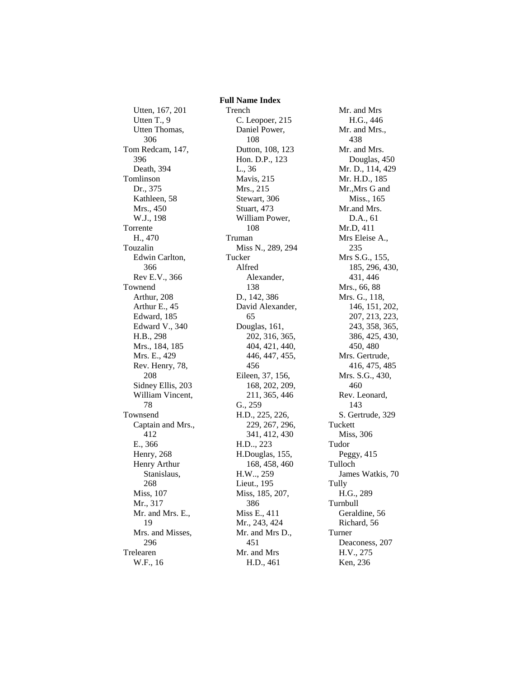Utten, 167, 201 Utten T., 9 Utten Thomas, 306 Tom Redcam, 147, 396 Death, 394 Tomlinson Dr., 375 Kathleen, 58 Mrs., 450 W.J., 198 Torrente H., 470 Touzalin Edwin Carlton, 366 Rev E.V., 366 Townend Arthur, 208 Arthur E., 45 Edward, 185 Edward V., 340 H.B., 298 Mrs., 184, 185 Mrs. E., 429 Rev. Henry, 78, 208 Sidney Ellis, 203 William Vincent, 78 Townsend Captain and Mrs., 412 E., 366 Henry, 268 Henry Arthur Stanislaus, 268 Miss, 107 Mr., 317 Mr. and Mrs. E., 19 Mrs. and Misses, 296 Trelearen W.F., 16

 **Full Name Index** Trench C. Leopoer, 215 Daniel Power, 108 Dutton, 108, 123 Hon. D.P., 123 L., 36 Mavis, 215 Mrs., 215 Stewart, 306 Stuart, 473 William Power, 108 Truman Miss N., 289, 294 Tucker Alfred Alexander, 138 D., 142, 386 David Alexander, 65 Douglas, 161, 202, 316, 365, 404, 421, 440, 446, 447, 455, 456 Eileen, 37, 156, 168, 202, 209, 211, 365, 446 G., 259 H.D., 225, 226, 229, 267, 296, 341, 412, 430 H.D.., 223 H.Douglas, 155, 168, 458, 460 H.W.., 259 Lieut., 195 Miss, 185, 207, 386 Miss E., 411 Mr., 243, 424 Mr. and Mrs D., 451 Mr. and Mrs H.D., 461

Mr. and Mrs H.G., 446 Mr. and Mrs., 438 Mr. and Mrs. Douglas, 450 Mr. D., 114, 429 Mr. H.D., 185 Mr.,Mrs G and Miss., 165 Mr.and Mrs. D.A., 61 Mr.D, 411 Mrs Eleise A., 235 Mrs S.G., 155, 185, 296, 430, 431, 446 Mrs., 66, 88 Mrs. G., 118, 146, 151, 202, 207, 213, 223, 243, 358, 365, 386, 425, 430, 450, 480 Mrs. Gertrude, 416, 475, 485 Mrs. S.G., 430, 460 Rev. Leonard, 143 S. Gertrude, 329 Tuckett Miss, 306 Tudor Peggy, 415 Tulloch James Watkis, 70 Tully H.G., 289 Turnbull Geraldine, 56 Richard, 56 Turner Deaconess, 207 H.V., 275 Ken, 236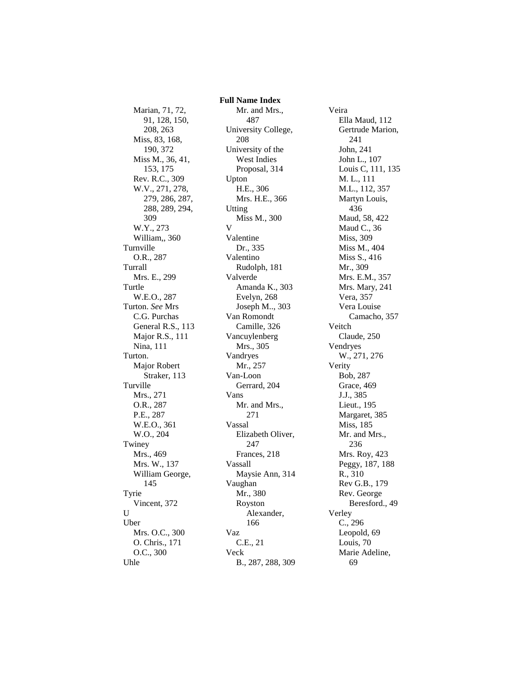Marian, 71, 72, 91, 128, 150, 208, 263 Miss, 83, 168, 190, 372 Miss M., 36, 41, 153, 175 Rev. R.C., 309 W.V., 271, 278, 279, 286, 287, 288, 289, 294, 309 W.Y., 273 William,, 360 Turnville O.R., 287 Turrall Mrs. E., 299 Turtle W.E.O., 287 Turton. *See* Mrs C.G. Purchas General R.S., 113 Major R.S., 111 Nina, 111 Turton. Major Robert Straker, 113 Turville Mrs., 271 O.R., 287 P.E., 287 W.E.O., 361 W.O., 204 Twiney Mrs., 469 Mrs. W., 137 William George, 145 Tyrie Vincent, 372  $U$ Uber Mrs. O.C., 300 O. Chris., 171 O.C., 300 Uhle

 **Full Name Index** Mr. and Mrs., 487 University College, 208 University of the West Indies Proposal, 314 Upton H.E., 306 Mrs. H.E., 366 Utting Miss M., 300 V Valentine Dr., 335 Valentino Rudolph, 181 Valverde Amanda K., 303 Evelyn, 268 Joseph M.., 303 Van Romondt Camille, 326 Vancuylenberg Mrs., 305 Vandryes Mr., 257 Van-Loon Gerrard, 204 Vans Mr. and Mrs., 271 Vassal Elizabeth Oliver, 247 Frances, 218 Vassall Maysie Ann, 314 Vaughan Mr., 380 Royston Alexander, 166 Vaz C.E., 21 Veck B., 287, 288, 309

Veira Ella Maud, 112 Gertrude Marion, 241 John, 241 John L., 107 Louis C, 111, 135 M. L., 111 M.L., 112, 357 Martyn Louis, 436 Maud, 58, 422 Maud C., 36 Miss, 309 Miss M., 404 Miss S., 416 Mr., 309 Mrs. E.M., 357 Mrs. Mary, 241 Vera, 357 Vera Louise Camacho, 357 Veitch Claude, 250 Vendryes W., 271, 276 Verity Bob, 287 Grace, 469 J.J., 385 Lieut., 195 Margaret, 385 Miss, 185 Mr. and Mrs., 236 Mrs. Roy, 423 Peggy, 187, 188 R., 310 Rev G.B., 179 Rev. George Beresford., 49 Verley C., 296 Leopold, 69 Louis, 70 Marie Adeline, 69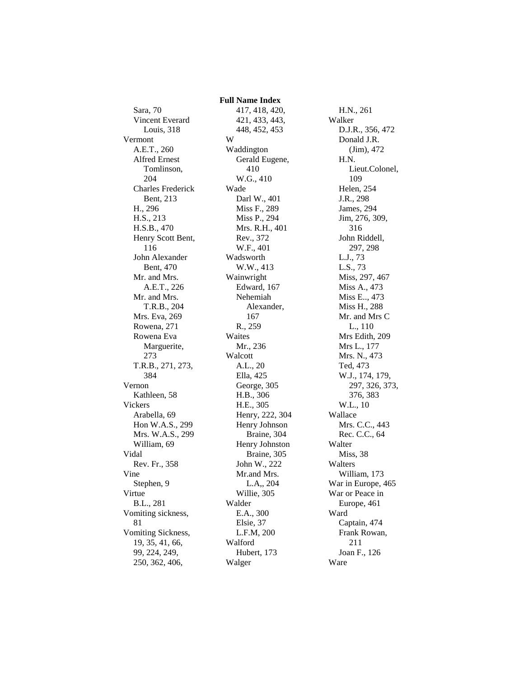Sara, 70 Vincent Everard Louis, 318 Vermont A.E.T., 260 Alfred Ernest Tomlinson, 204 Charles Frederick Bent, 213 H., 296 H.S., 213 H.S.B., 470 Henry Scott Bent, 116 John Alexander Bent, 470 Mr. and Mrs. A.E.T., 226 Mr. and Mrs. T.R.B., 204 Mrs. Eva, 269 Rowena, 271 Rowena Eva Marguerite, 273 T.R.B., 271, 273, 384 Vernon Kathleen, 58 Vickers Arabella, 69 Hon W.A.S., 299 Mrs. W.A.S., 299 William, 69 Vidal Rev. Fr., 358 Vine Stephen, 9 Virtue B.L., 281 Vomiting sickness, 81 Vomiting Sickness, 19, 35, 41, 66, 99, 224, 249, 250, 362, 406,

 **Full Name Index** 417, 418, 420, 421, 433, 443, 448, 452, 453 W Waddington Gerald Eugene, 410 W.G., 410 Wade Darl W., 401 Miss F., 289 Miss P., 294 Mrs. R.H., 401 Rev., 372 W.F., 401 Wadsworth W.W., 413 Wainwright Edward, 167 Nehemiah Alexander, 167 R., 259 Waites Mr., 236 Walcott A.L., 20 Ella, 425 George, 305 H.B., 306 H.E., 305 Henry, 222, 304 Henry Johnson Braine, 304 Henry Johnston Braine, 305 John W., 222 Mr.and Mrs. L.A,, 204 Willie, 305 Walder E.A., 300 Elsie, 37 L.F.M, 200 Walford Hubert, 173 Walger

H.N., 261 Walker D.J.R., 356, 472 Donald J.R. (Jim), 472 H.N. Lieut.Colonel, 109 Helen, 254 J.R., 298 James, 294 Jim, 276, 309, 316 John Riddell, 297, 298 L.J., 73 L.S., 73 Miss, 297, 467 Miss A., 473 Miss E.., 473 Miss H., 288 Mr. and Mrs C L., 110 Mrs Edith, 209 Mrs L., 177 Mrs. N., 473 Ted, 473 W.J., 174, 179, 297, 326, 373, 376, 383 W.L., 10 Wallace Mrs. C.C., 443 Rec. C.C., 64 Walter Miss, 38 Walters William, 173 War in Europe, 465 War or Peace in Europe, 461 Ward Captain, 474 Frank Rowan, 211 Joan F., 126 Ware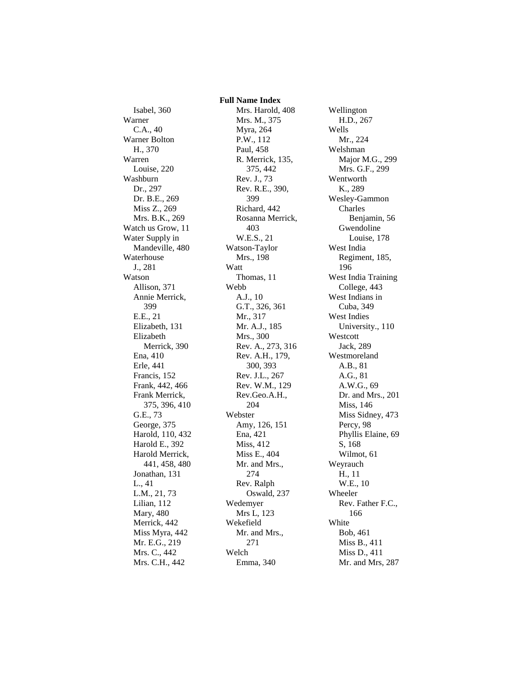Isabel, 360 Warner C.A., 40 Warner Bolton H., 370 Warren Louise, 220 Washburn Dr., 297 Dr. B.E., 269 Miss Z., 269 Mrs. B.K., 269 Watch us Grow, 11 Water Supply in Mandeville, 480 Waterhouse J., 281 Watson Allison, 371 Annie Merrick, 399 E.E., 21 Elizabeth, 131 Elizabeth Merrick, 390 Ena, 410 Erle, 441 Francis, 152 Frank, 442, 466 Frank Merrick, 375, 396, 410 G.E., 73 George, 375 Harold, 110, 432 Harold E., 392 Harold Merrick, 441, 458, 480 Jonathan, 131 L., 41 L.M., 21, 73 Lilian, 112 Mary, 480 Merrick, 442 Miss Myra, 442 Mr. E.G., 219 Mrs. C., 442 Mrs. C.H., 442

 **Full Name Index** Mrs. Harold, 408 Mrs. M., 375 Myra, 264 P.W., 112 Paul, 458 R. Merrick, 135, 375, 442 Rev. J., 73 Rev. R.E., 390, 399 Richard, 442 Rosanna Merrick, 403 W.E.S., 21 Watson-Taylor Mrs., 198 Watt Thomas, 11 Webb A.J., 10 G.T., 326, 361 Mr., 317 Mr. A.J., 185 Mrs., 300 Rev. A., 273, 316 Rev. A.H., 179, 300, 393 Rev. J.L., 267 Rev. W.M., 129 Rev.Geo.A.H., 204 Webster Amy, 126, 151 Ena, 421 Miss, 412 Miss E., 404 Mr. and Mrs., 274 Rev. Ralph Oswald, 237 Wedemyer Mrs L, 123 Wekefield Mr. and Mrs., 271 Welch Emma, 340

Wellington H.D., 267 Wells Mr., 224 Welshman Major M.G., 299 Mrs. G.F., 299 Wentworth K., 289 Wesley-Gammon Charles Benjamin, 56 Gwendoline Louise, 178 West India Regiment, 185, 196 West India Training College, 443 West Indians in Cuba, 349 West Indies University., 110 Westcott Jack, 289 Westmoreland A.B., 81 A.G., 81 A.W.G., 69 Dr. and Mrs., 201 Miss, 146 Miss Sidney, 473 Percy, 98 Phyllis Elaine, 69 S, 168 Wilmot, 61 Weyrauch H., 11 W.E., 10 Wheeler Rev. Father F.C., 166 White Bob, 461 Miss B., 411 Miss D., 411 Mr. and Mrs, 287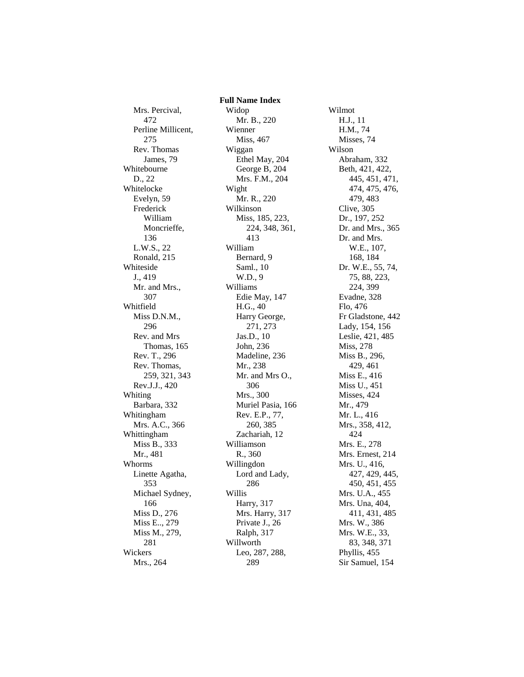Mrs. Percival, 472 Perline Millicent, 275 Rev. Thomas James, 79 Whitebourne D., 22 Whitelocke Evelyn, 59 Frederick William Moncrieffe, 136 L.W.S., 22 Ronald, 215 Whiteside J., 419 Mr. and Mrs., 307 Whitfield Miss D.N.M., 296 Rev. and Mrs Thomas, 165 Rev. T., 296 Rev. Thomas, 259, 321, 343 Rev.J.J., 420 Whiting Barbara, 332 Whitingham Mrs. A.C., 366 Whittingham Miss B., 333 Mr., 481 Whorms Linette Agatha, 353 Michael Sydney, 166 Miss D., 276 Miss E.., 279 Miss M., 279, 281 Wickers Mrs., 264

 **Full Name Index** Widop Mr. B., 220 Wienner Miss, 467 Wiggan Ethel May, 204 George B, 204 Mrs. F.M., 204 Wight Mr. R., 220 Wilkinson Miss, 185, 223, 224, 348, 361, 413 William Bernard, 9 Saml., 10 W.D., 9 Williams Edie May, 147 H.G., 40 Harry George, 271, 273 Jas.D., 10 John, 236 Madeline, 236 Mr., 238 Mr. and Mrs O., 306 Mrs., 300 Muriel Pasia, 166 Rev. E.P., 77, 260, 385 Zachariah, 12 Williamson R., 360 Willingdon Lord and Lady, 286 Willis Harry, 317 Mrs. Harry, 317 Private J., 26 Ralph, 317 Willworth Leo, 287, 288, 289

Wilmot H.J., 11 H.M., 74 Misses, 74 Wilson Abraham, 332 Beth, 421, 422, 445, 451, 471, 474, 475, 476, 479, 483 Clive, 305 Dr., 197, 252 Dr. and Mrs., 365 Dr. and Mrs. W.E., 107, 168, 184 Dr. W.E., 55, 74, 75, 88, 223, 224, 399 Evadne, 328 Flo, 476 Fr Gladstone, 442 Lady, 154, 156 Leslie, 421, 485 Miss, 278 Miss B., 296, 429, 461 Miss E., 416 Miss U., 451 Misses, 424 Mr., 479 Mr. L., 416 Mrs., 358, 412, 424 Mrs. E., 278 Mrs. Ernest, 214 Mrs. U., 416, 427, 429, 445, 450, 451, 455 Mrs. U.A., 455 Mrs. Una, 404, 411, 431, 485 Mrs. W., 386 Mrs. W.E., 33, 83, 348, 371 Phyllis, 455 Sir Samuel, 154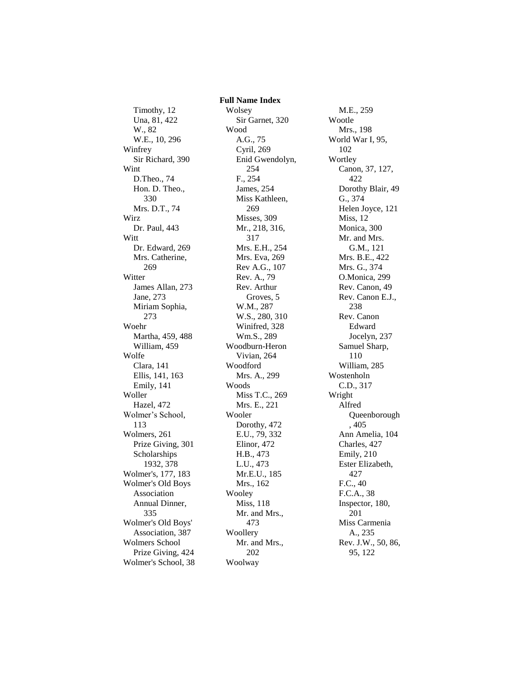Timothy, 12 Una, 81, 422 W., 82 W.E., 10, 296 Winfrey Sir Richard, 390 Wint D.Theo., 74 Hon. D. Theo., 330 Mrs. D.T., 74 Wirz Dr. Paul, 443 Witt Dr. Edward, 269 Mrs. Catherine, 269 Witter James Allan, 273 Jane, 273 Miriam Sophia, 273 Woehr Martha, 459, 488 William, 459 Wolfe Clara, 141 Ellis, 141, 163 Emily, 141 Woller Hazel, 472 Wolmer's School, 113 Wolmers, 261 Prize Giving, 301 Scholarships 1932, 378 Wolmer's, 177, 183 Wolmer's Old Boys Association Annual Dinner, 335 Wolmer's Old Boys' Association, 387 Wolmers School Prize Giving, 424 Wolmer's School, 38  **Full Name Index** Wolsey Sir Garnet, 320 Wood A.G., 75 Cyril, 269 Enid Gwendolyn, 254 F., 254 James, 254 Miss Kathleen, 269 Misses, 309 Mr., 218, 316, 317 Mrs. E.H., 254 Mrs. Eva, 269 Rev A.G., 107 Rev. A., 79 Rev. Arthur Groves, 5 W.M., 287 W.S., 280, 310 Winifred, 328 Wm.S., 289 Woodburn-Heron Vivian, 264 Woodford Mrs. A., 299 Woods Miss T.C., 269 Mrs. E., 221 Wooler Dorothy, 472 E.U., 79, 332 Elinor, 472 H.B., 473 L.U., 473 Mr.E.U., 185 Mrs., 162 Wooley Miss, 118 Mr. and Mrs., 473 Woollery Mr. and Mrs., 202 Woolway

M.E., 259 Wootle Mrs., 198 World War I, 95, 102 Wortley Canon, 37, 127, 422 Dorothy Blair, 49 G., 374 Helen Joyce, 121 Miss, 12 Monica, 300 Mr. and Mrs. G.M., 121 Mrs. B.E., 422 Mrs. G., 374 O.Monica, 299 Rev. Canon, 49 Rev. Canon E.J., 238 Rev. Canon Edward Jocelyn, 237 Samuel Sharp, 110 William, 285 Wostenholn C.D., 317 Wright Alfred Queenborough , 405 Ann Amelia, 104 Charles, 427 Emily, 210 Ester Elizabeth, 427 F.C., 40 F.C.A., 38 Inspector, 180, 201 Miss Carmenia A., 235 Rev. J.W., 50, 86, 95, 122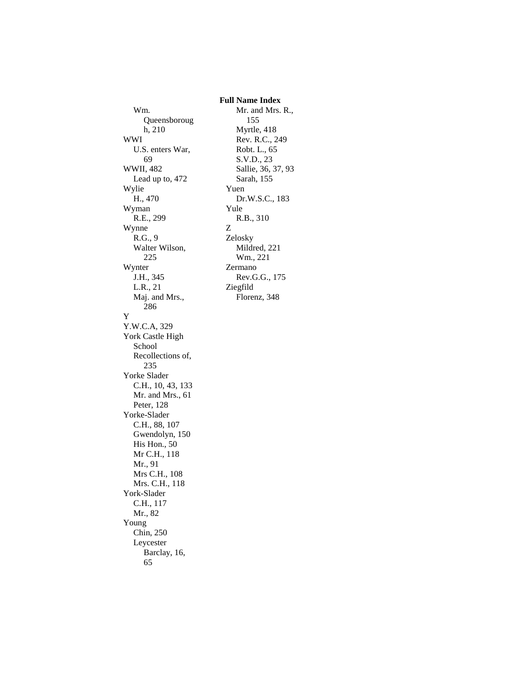Wm. Queensboroug h, 210 WWI U.S. enters War, 69 WWII, 482 Lead up to, 472 Wylie H., 470 Wyman R.E., 299 Wynne R.G., 9 Walter Wilson, 225 Wynter J.H., 345 L.R., 21 Maj. and Mrs., 286 Y Y.W.C.A, 329 York Castle High School Recollections of, 235 Yorke Slader C.H., 10, 43, 133 Mr. and Mrs., 61 Peter, 128 Yorke-Slader C.H., 88, 107 Gwendolyn, 150 His Hon., 50 Mr C.H., 118 Mr., 91 Mrs C.H., 108 Mrs. C.H., 118 York-Slader C.H., 117 Mr., 82 Young Chin, 250 Leycester Barclay, 16, 65

 **Full Name Index** Mr. and Mrs. R., 155 Myrtle, 418 Rev. R.C., 249 Robt. L., 65 S.V.D., 23 Sallie, 36, 37, 93 Sarah, 155 Yuen Dr.W.S.C., 183 Yule R.B., 310 Z Zelosky Mildred, 221 Wm., 221 Zermano Rev.G.G., 175 Ziegfild Florenz, 348